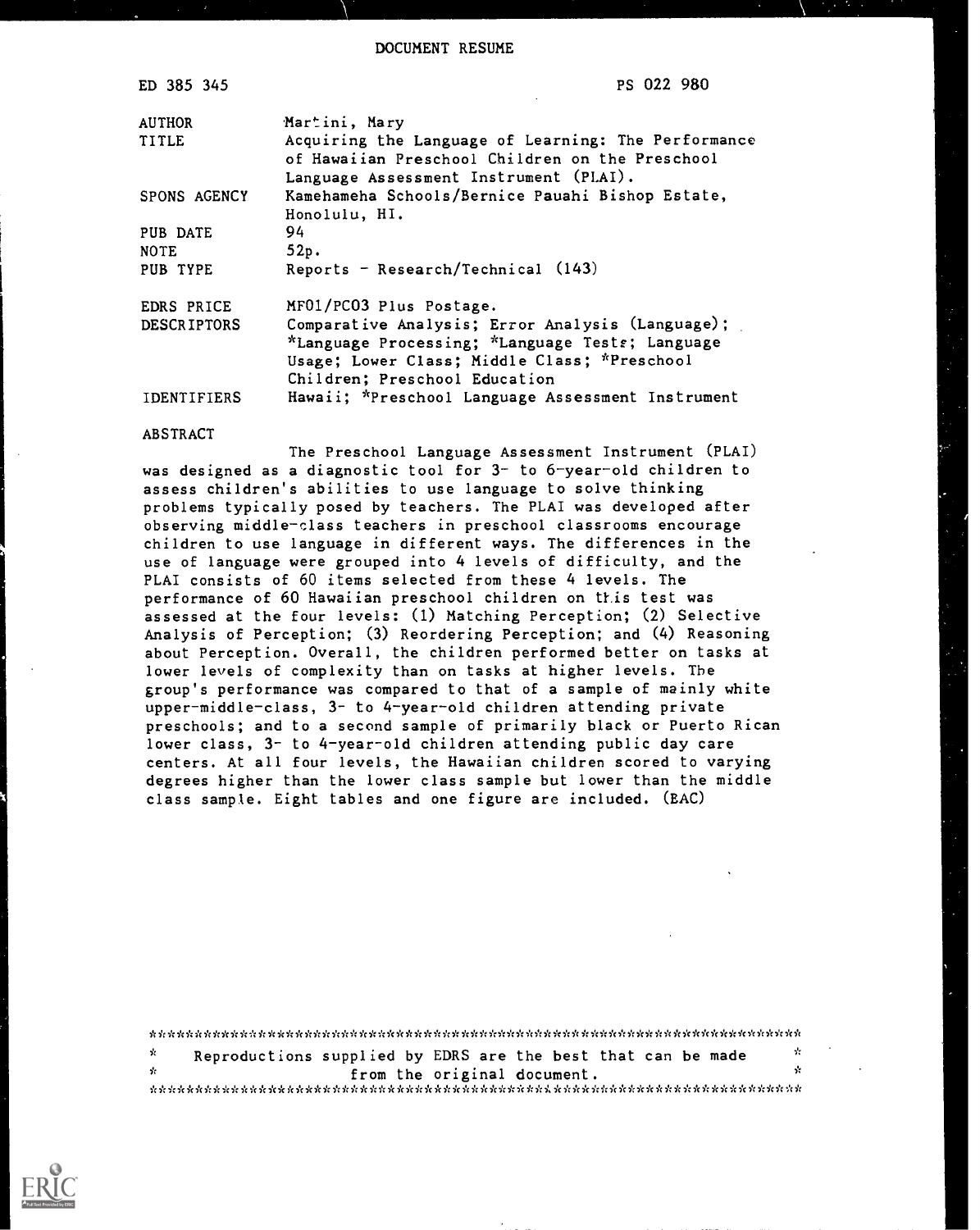DOCUMENT RESUME

| ED 385 345         | PS 022 980                                                                                                                                                                           |
|--------------------|--------------------------------------------------------------------------------------------------------------------------------------------------------------------------------------|
| <b>AUTHOR</b>      | Martini, Mary                                                                                                                                                                        |
| TITLE              | Acquiring the Language of Learning: The Performance<br>of Hawaiian Preschool Children on the Preschool<br>Language Assessment Instrument (PLAI).                                     |
| SPONS AGENCY       | Kamehameha Schools/Bernice Pauahi Bishop Estate,<br>Honolulu, HI.                                                                                                                    |
| PUB DATE           | 94                                                                                                                                                                                   |
| <b>NOTE</b>        | 52p.                                                                                                                                                                                 |
| PUB TYPE           | Reports - Research/Technical $(143)$                                                                                                                                                 |
| EDRS PRICE         | MF01/PC03 Plus Postage.                                                                                                                                                              |
| <b>DESCRIPTORS</b> | Comparative Analysis; Error Analysis (Language);<br>*Language Processing; *Language Tests; Language<br>Usage; Lower Class; Middle Class; *Preschool<br>Children; Preschool Education |
| IDENTIFIERS        | Hawaii; *Preschool Language Assessment Instrument                                                                                                                                    |

#### ABSTRACT

The Preschool Language Assessment Instrument (PLAI) was designed as a diagnostic tool for 3- to 6-year-old children to assess children's abilities to use language to solve thinking problems typically posed by teachers. The PLAI was developed after observing middle-class teachers in preschool classrooms encourage children to use language in different ways. The differences in the use of language were grouped into 4 levels of difficulty, and the PLAI consists of 60 items selected from these 4 levels. The performance of 60 Hawaiian preschool children on this test was assessed at the four levels: (1) Matching Perception; (2) Selective Analysis of Perception; (3) Reordering Perception; and (4) Reasoning about Perception. Overall, the children performed better on tasks at lower levels of complexity than on tasks at higher levels. The group's performance was compared to that of a sample of mainly white upper-middle-class, 3- to 4-year-old children attending private preschools; and to a second sample of primarily black or Puerto Rican lower class, 3- to 4-year-old children attending public day care centers. At all four levels, the Hawaiian children scored to varying degrees higher than the lower class sample but lower than the middle class sample. Eight tables and one figure are included. (EAC)

|      | Reproductions supplied by EDRS are the best that can be made | - 55 |  |
|------|--------------------------------------------------------------|------|--|
| - fr | from the original document.                                  |      |  |
|      |                                                              |      |  |

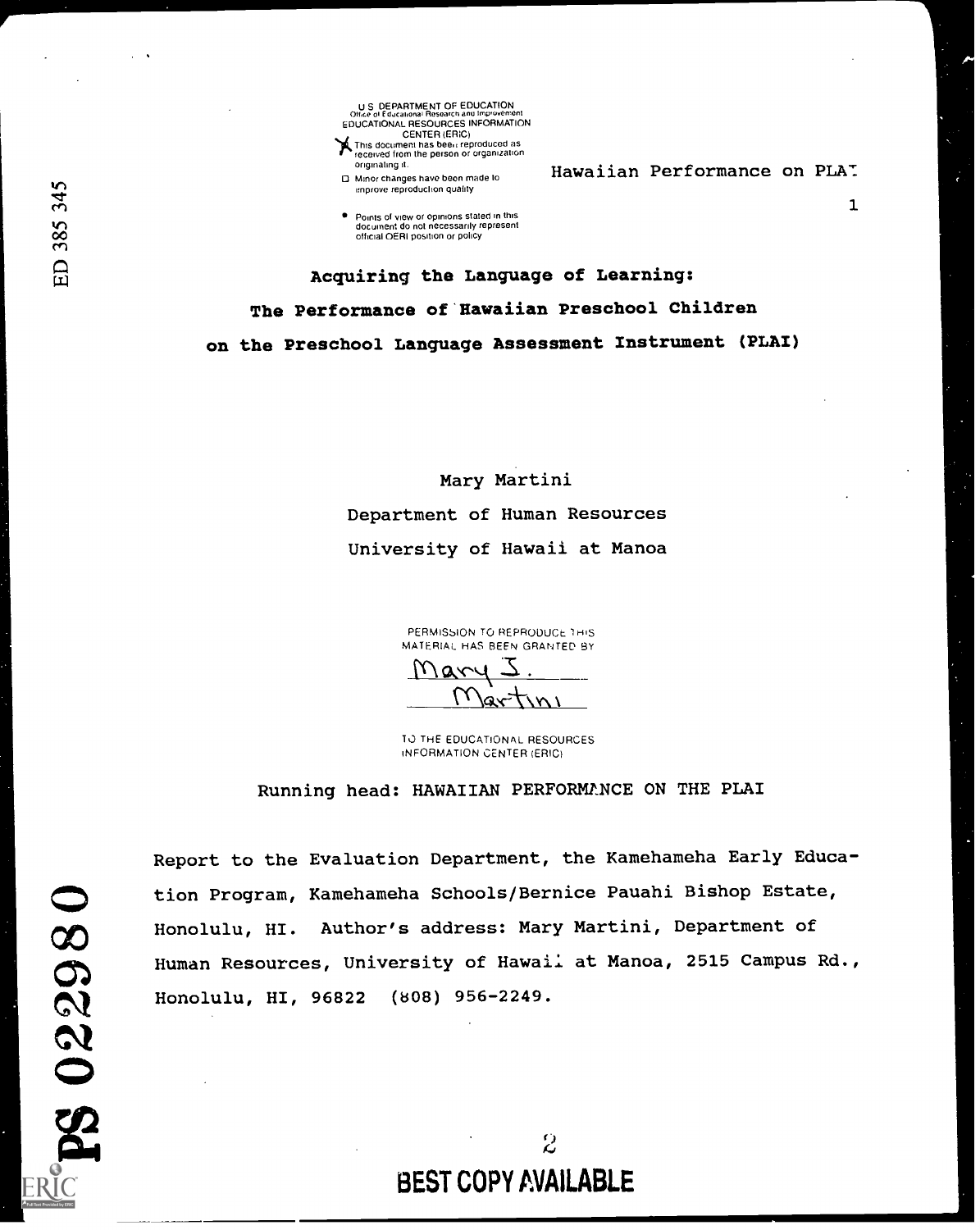U S DEPARTMENT OF EDUCATION<br>Office of Educational Research and Improvement<br>EDUCATIONAL RESOURCES INFORMATION EDUCATIONAL RESOURCES INFORMATION<br>CENTER (ERIC)<br>This document has been reproduced as received from the person or organization originating it

Minor changes have been made to improve reproduction quality

Points of view or opinions stated in this document do not necessarily represent official OERI position or policy

Hawaiian Performance on PLA:

 $\mathbf{1}$ 

Acquiring the Language of Learning: The Performance of Hawaiian Preschool Children on the Preschool Language Assessment Instrument (PLAI)

> Mary Martini Department of Human Resources University of Hawaii at Manoa

> > PERMISSION TO REPRODUCE 1HIS MATERIAL HAS BEEN GRANTED BY  $\mathcal{V}$ ary

> > TO THE EDUCATIONAL RESOURCES INFORMATION CENTER (ERIC)

Running head: HAWAIIAN PERFORMANCE ON THE PLAI

 $M$ artini

Report to the Evaluation Department, the Kamehameha Early Education Program, Kamehameha Schools/Bernice Pauahi Bishop Estate, Honolulu, HI. Author's address: Mary Martini, Department of Human Resources, University of Hawaii at Manoa, 2515 Campus Rd., Honolulu, HI, 96822 (808) 956-2249.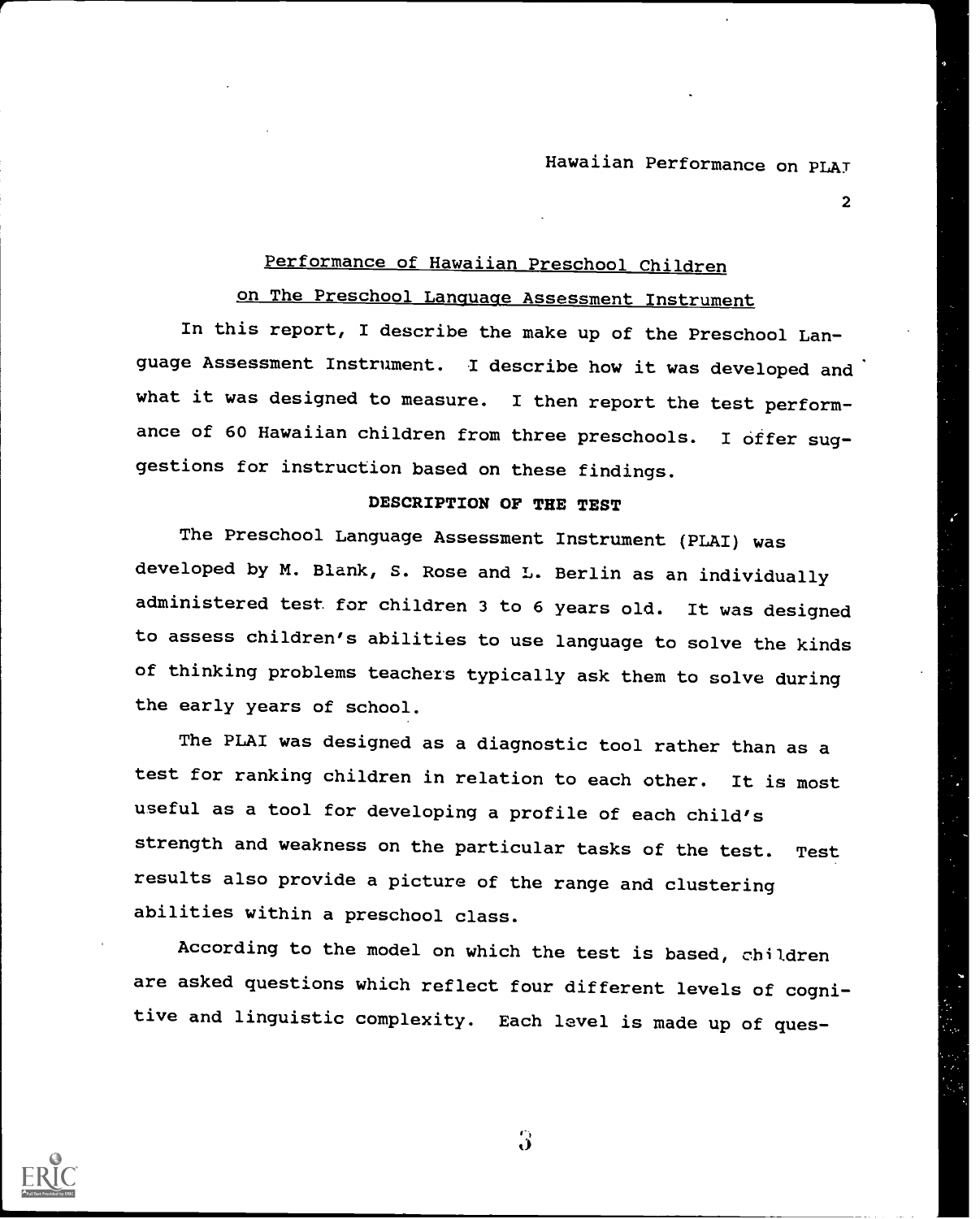2

# Performance of Hawaiian Preschool Children

# on The Preschool Language Assessment Instrument

In this report, I describe the make up of the Preschool Language Assessment Instrument. I describe how it was developed and what it was designed to measure. I then report the test performance of 60 Hawaiian children from three preschools. I offer suggestions for instruction based on these findings.

## DESCRIPTION OF THE TEST

The Preschool Language Assessment Instrument (PLAI) was developed by M. Blank, S. Rose and L. Berlin as an individually administered test for children 3 to 6 years old. It was designed to assess children's abilities to use language to solve the kinds of thinking problems teachers typically ask them to solve during the early years of school.

The PLAI was designed as a diagnostic tool rather than as <sup>a</sup> test for ranking children in relation to each other. It is most useful as a tool for developing a profile of each child's strength and weakness on the particular tasks of the test. Test results also provide a picture of the range and clustering abilities within a preschool class.

According to the model on which the test is based, children are asked questions which reflect four different levels of cognitive and linguistic complexity. Each level is made up of ques-



t)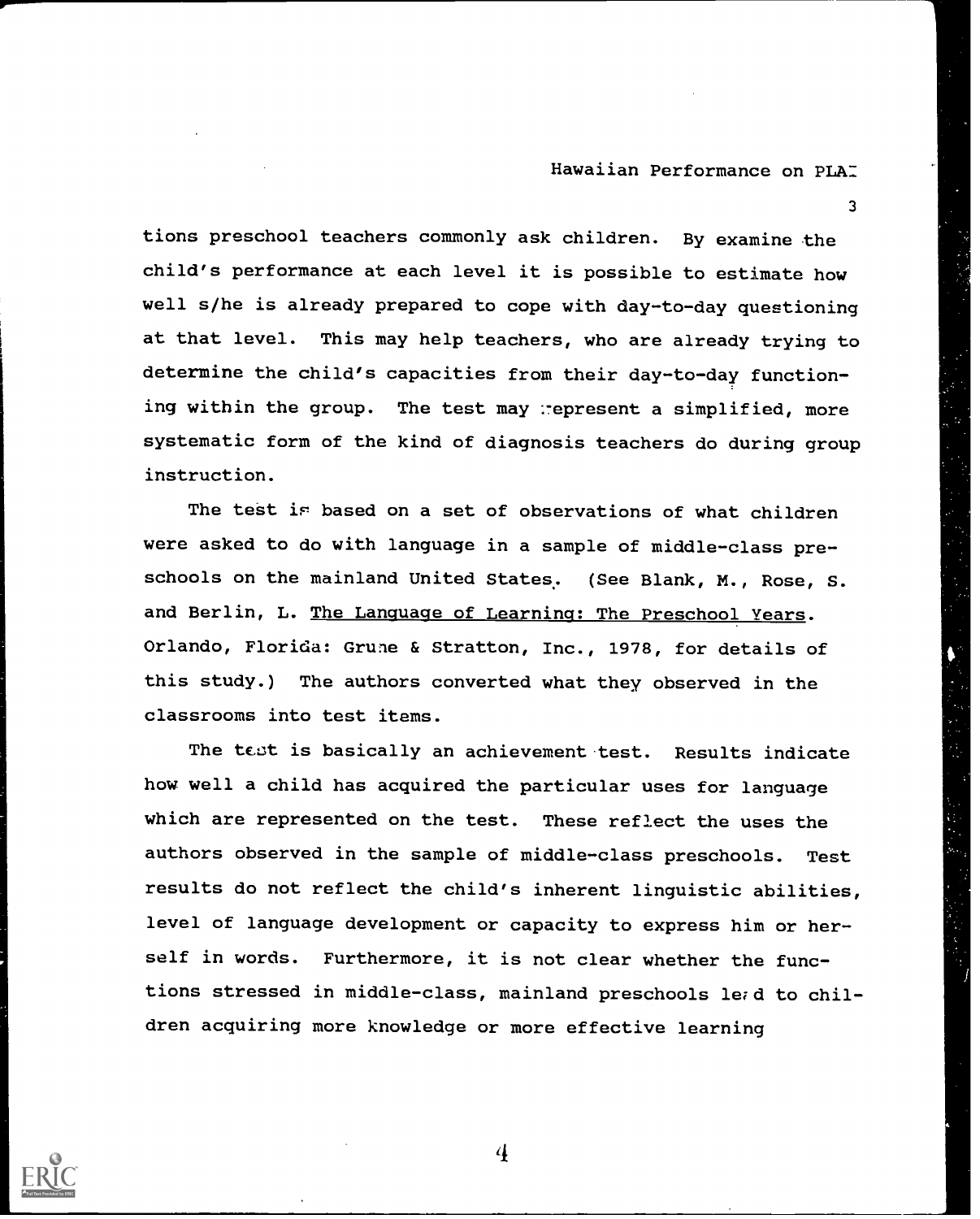3

tions preschool teachers commonly ask children. By examine the child's performance at each level it is possible to estimate how well s/he is already prepared to cope with day-to-day questioning at that level. This may help teachers, who are already trying to determine the child's capacities from their day-to-day functioning within the group. The test may represent a simplified, more systematic form of the kind of diagnosis teachers do during group instruction.

The test is based on a set of observations of what children were asked to do with language in a sample of middle-class preschools on the mainland United States. (See Blank, M., Rose, S. and Berlin, L. The Language of Learning: The Preschool Years. Orlando, Florida: Grune & Stratton, Inc., 1978, for details of this study.) The authors converted what they observed in the classrooms into test items.

The teot is basically an achievement test. Results indicate how well a child has acquired the particular uses for language which are represented on the test. These reflect the uses the authors observed in the sample of middle-class preschools. Test results do not reflect the child's inherent linguistic abilities, level of language development or capacity to express him or herself in words. Furthermore, it is not clear whether the functions stressed in middle-class, mainland preschools le;d to children acquiring more knowledge or more effective learning

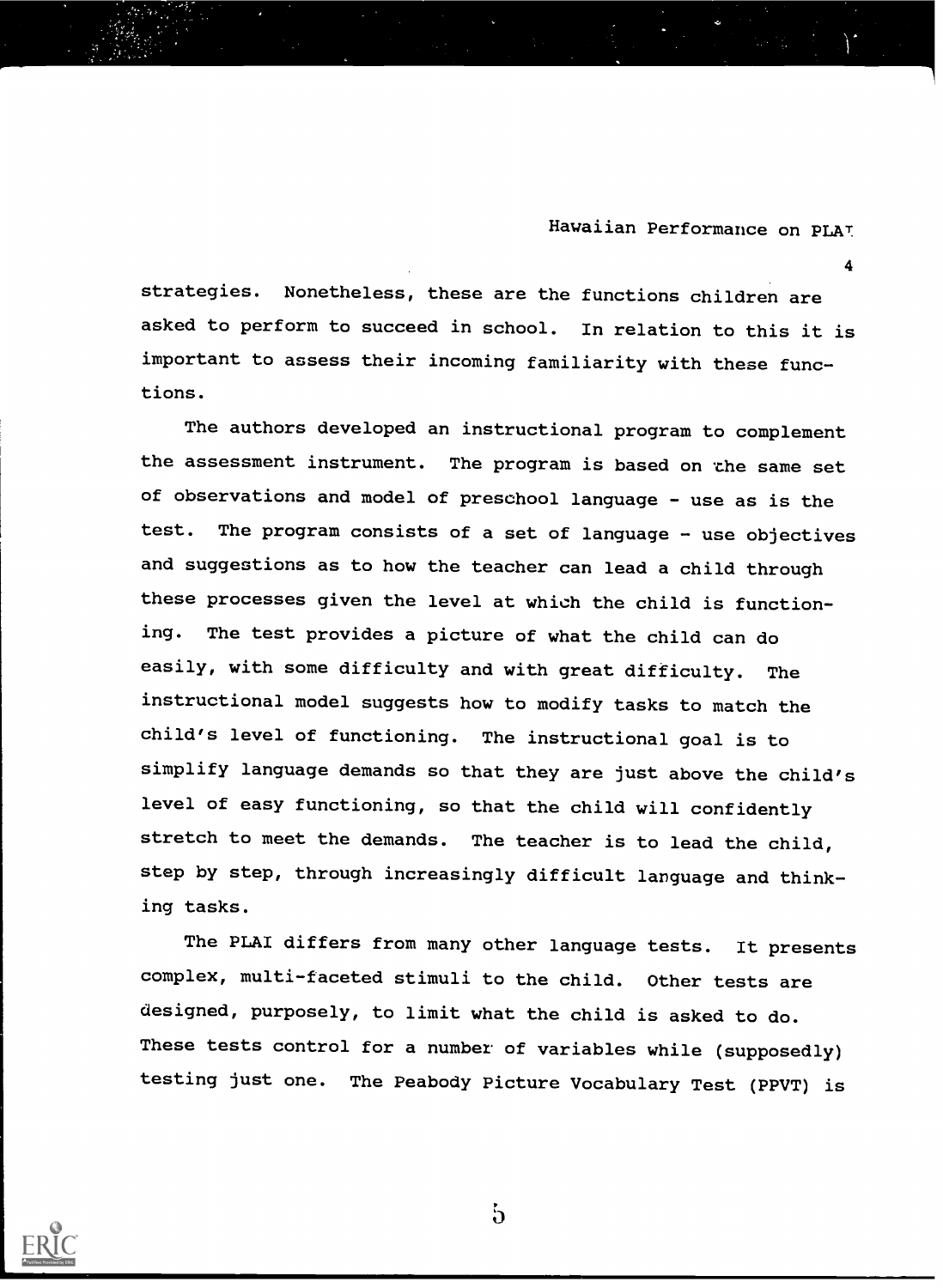4

strategies. Nonetheless, these are the functions children are asked to perform to succeed in school. In relation to this it is important to assess their incoming familiarity with these functions.

The authors developed an instructional program to complement the assessment instrument. The program is based on the same set of observations and model of preschool language - use as is the test. The program consists of a set of language - use objectives and suggestions as to how the teacher can lead a child through these processes given the level at which the child is functioning. The test provides a picture of what the child can do easily, with some difficulty and with great difficulty. The instructional model suggests how to modify tasks to match the child's level of functioning. The instructional goal is to simplify language demands so that they are just above the child's level of easy functioning, so that the child will confidently stretch to meet the demands. The teacher is to lead the child, step by step, through increasingly difficult language and thinking tasks.

The PLAI differs from many other language tests. It presents complex, multi-faceted stimuli to the child. Other tests are designed, purposely, to limit what the child is asked to do. These tests control for a number of variables while (supposedly) testing just one. The Peabody Picture Vocabulary Test (PPVT) is



 $\mathfrak{h}$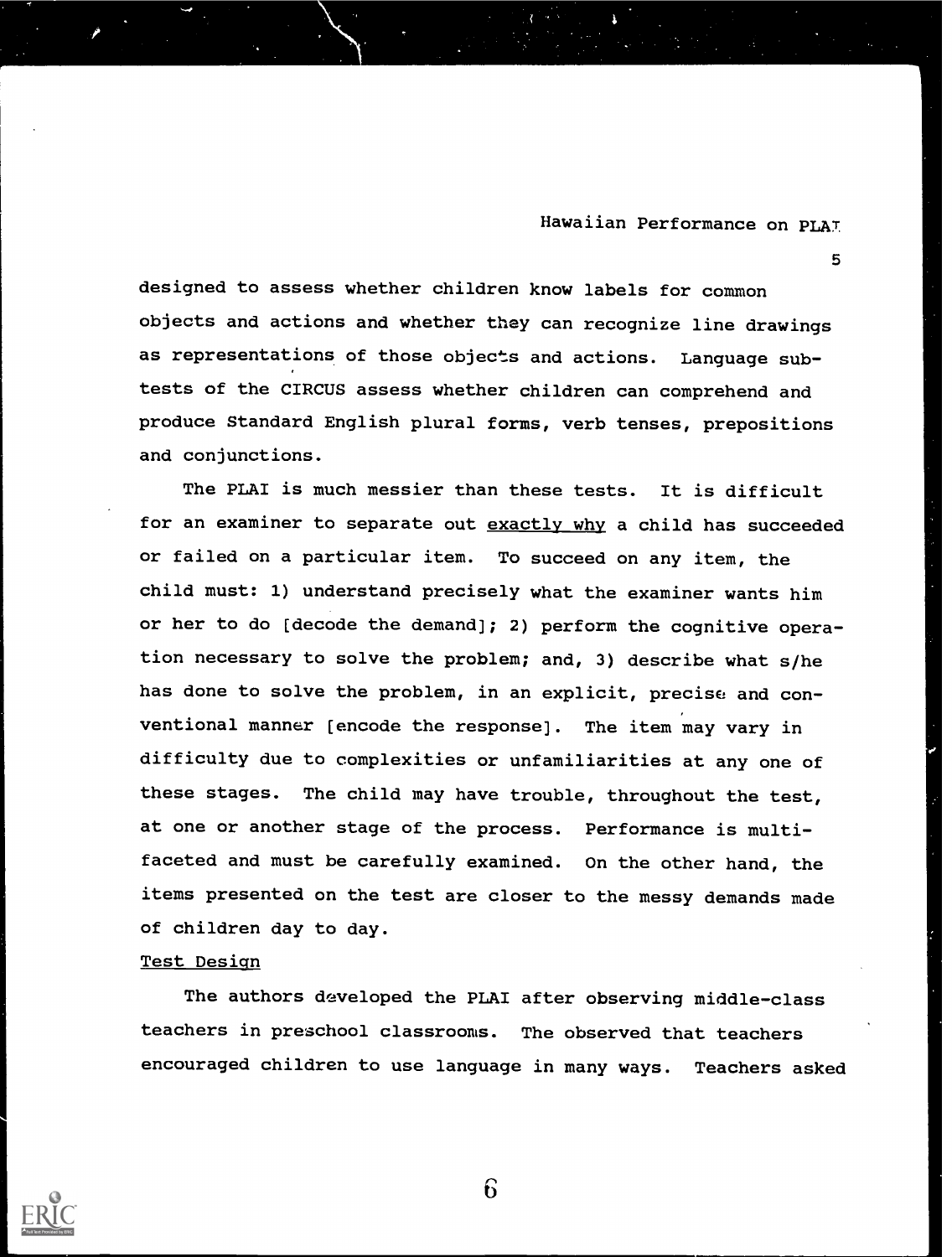5

designed to assess whether children know labels for common objects and actions and whether they can recognize line drawings as representations of those objects and actions. Language subtests of the CIRCUS assess whether children can comprehend and produce Standard English plural forms, verb tenses, prepositions and conjunctions.

The PLAI is much messier than these tests. It is difficult for an examiner to separate out exactly why a child has succeeded or failed on a particular item. To succeed on any item, the child must: 1) understand precisely what the examiner wants him or her to do [decode the demand]; 2) perform the cognitive operation necessary to solve the problem; and, 3) describe what s/he has done to solve the problem, in an explicit, precise and conventional manner [encode the response]. The item may vary in difficulty due to complexities or unfamiliarities at any one of these stages. The child may have trouble, throughout the test, at one or another stage of the process. Performance is multifaceted and must be carefully examined. On the other hand, the items presented on the test are closer to the messy demands made of children day to day.

## Test Design

The authors developed the PLAI after observing middle-class teachers in preschool classrooms. The observed that teachers encouraged children to use language in many ways. Teachers asked

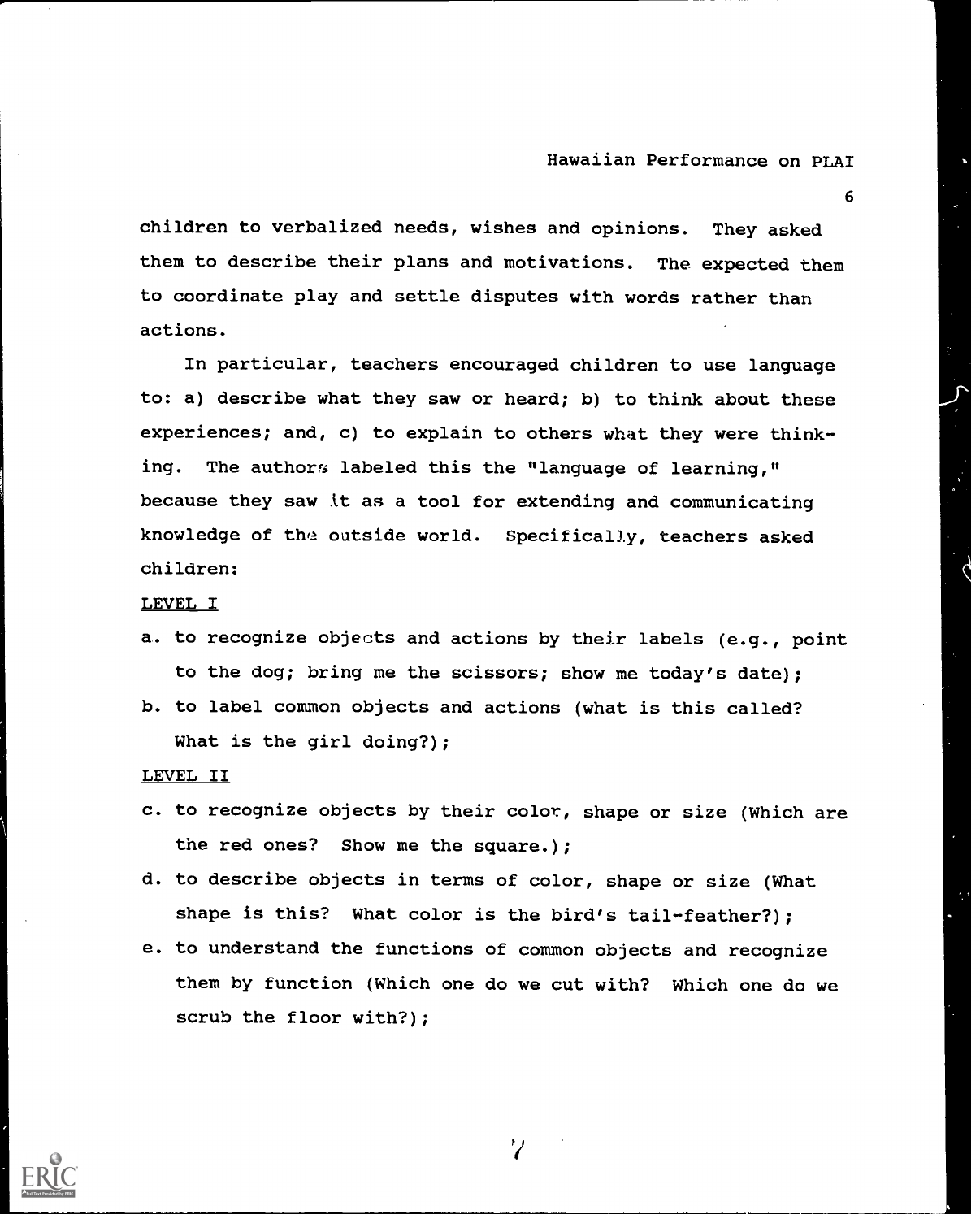6

children to verbalized needs, wishes and opinions. They asked them to describe their plans and motivations. The expected them to coordinate play and settle disputes with words rather than actions.

In particular, teachers encouraged children to use language to: a) describe what they saw or heard; b) to think about these experiences; and, c) to explain to others what they were thinking. The authors labeled this the "language of learning," because they saw it as a tool for extending and communicating knowledge of the outside world. Specifically, teachers asked children:

#### LEVEL I

- a. to recognize objects and actions by their labels (e.g., point to the dog; bring me the scissors; show me today's date);
- b. to label common objects and actions (what is this called? What is the girl doing?);

LEVEL II

- c. to recognize objects by their color, shape or size (Which are the red ones? Show me the square.);
- d. to describe objects in terms of color, shape or size (What shape is this? What color is the bird's tail-feather?);
- e. to understand the functions of common objects and recognize them by function (Which one do we cut with? Which one do we scrub the floor with?);

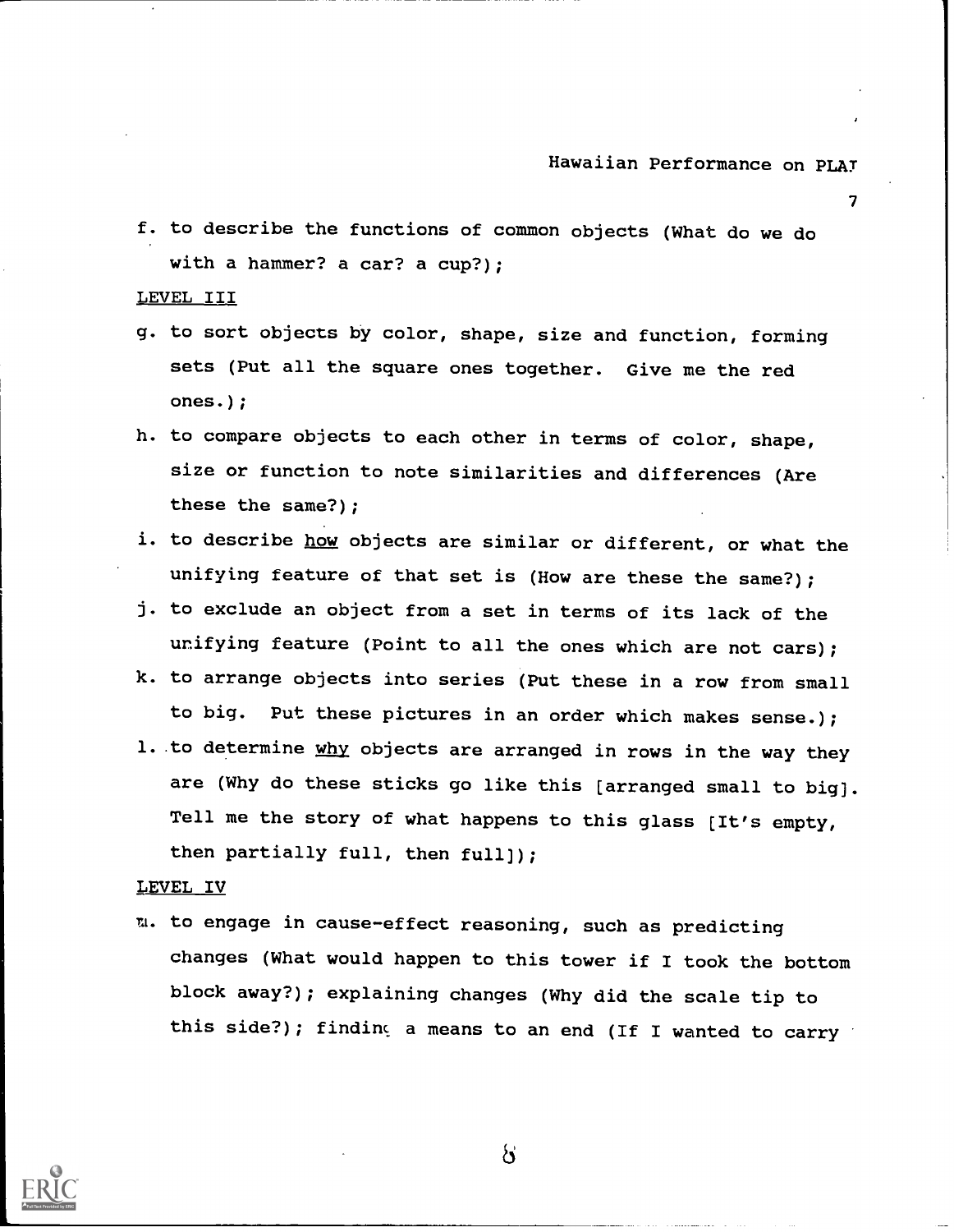7

f. to describe the functions of common objects (What do we do with a hammer? a car? a cup?):

LEVEL III

- g. to sort objects by color, shape, size and function, forming sets (Put all the square ones together. Give me the red ones.);
- h. to compare objects to each other in terms of color, shape, size or function to note similarities and differences (Are these the same?);
- i. to describe how objects are similar or different, or what the unifying feature of that set is (How are these the same?);
- j. to exclude an object from a set in terms of its lack of the unifying feature (Point to all the ones which are not cars);
- k. to arrange objects into series (Put these in a row from small to big. Put these pictures in an order which makes sense.);
- 1. to determine why objects are arranged in rows in the way they are (Why do these sticks go like this [arranged small to big). Tell me the story of what happens to this glass [It's empty, then partially full, then full));

#### LEVEL IV

m. to engage in cause-effect reasoning, such as predicting changes (What would happen to this tower if I took the bottom block away?); explaining changes (Why did the scale tip to this side?); finding a means to an end (If I wanted to carry



 $\mathcal{S}$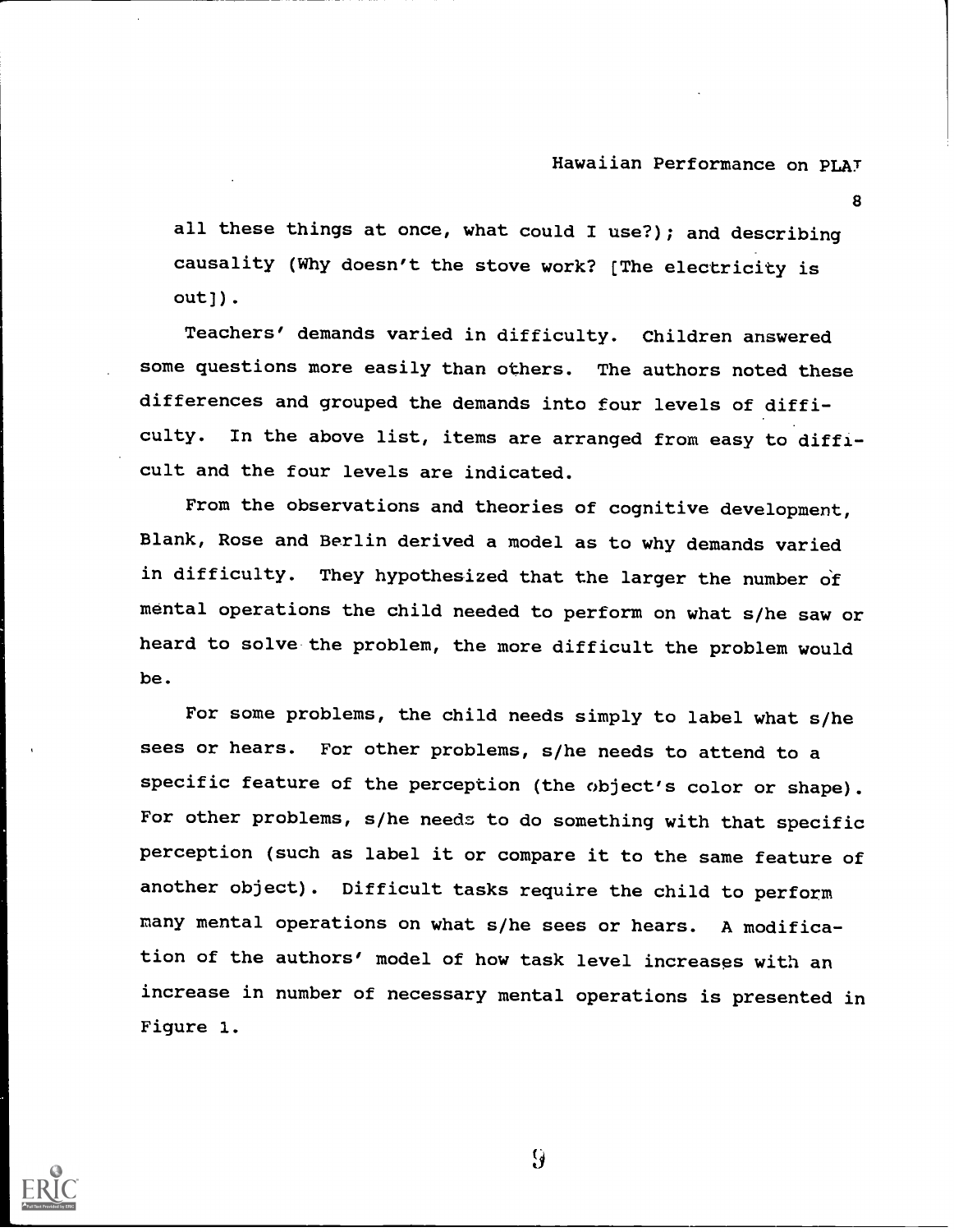8

all these things at once, what could I use?); and describing causality (Why doesn't the stove work? [The electricity is out)).

Teachers' demands varied in difficulty. Children answered some questions more easily than others. The authors noted these differences and grouped the demands into four levels of difficulty. In the above list, items are arranged from easy to difficult and the four levels are indicated.

From the observations and theories of cognitive development, Blank, Rose and Berlin derived a model as to why demands varied in difficulty. They hypothesized that the larger the number of mental operations the child needed to perform on what s/he saw or heard to solve the problem, the more difficult the problem would be.

For some problems, the child needs simply to label what s/he sees or hears. For other problems, s/he needs to attend to <sup>a</sup> specific feature of the perception (the object's color or shape). For other problems, s/he needs to do something with that specific perception (such as label it or compare it to the same feature of another object). Difficult tasks require the child to perform many mental operations on what s/he sees or hears. A modification of the authors' model of how task level increases with an increase in number of necessary mental operations is presented in Figure 1.



 $\mathcal{G}$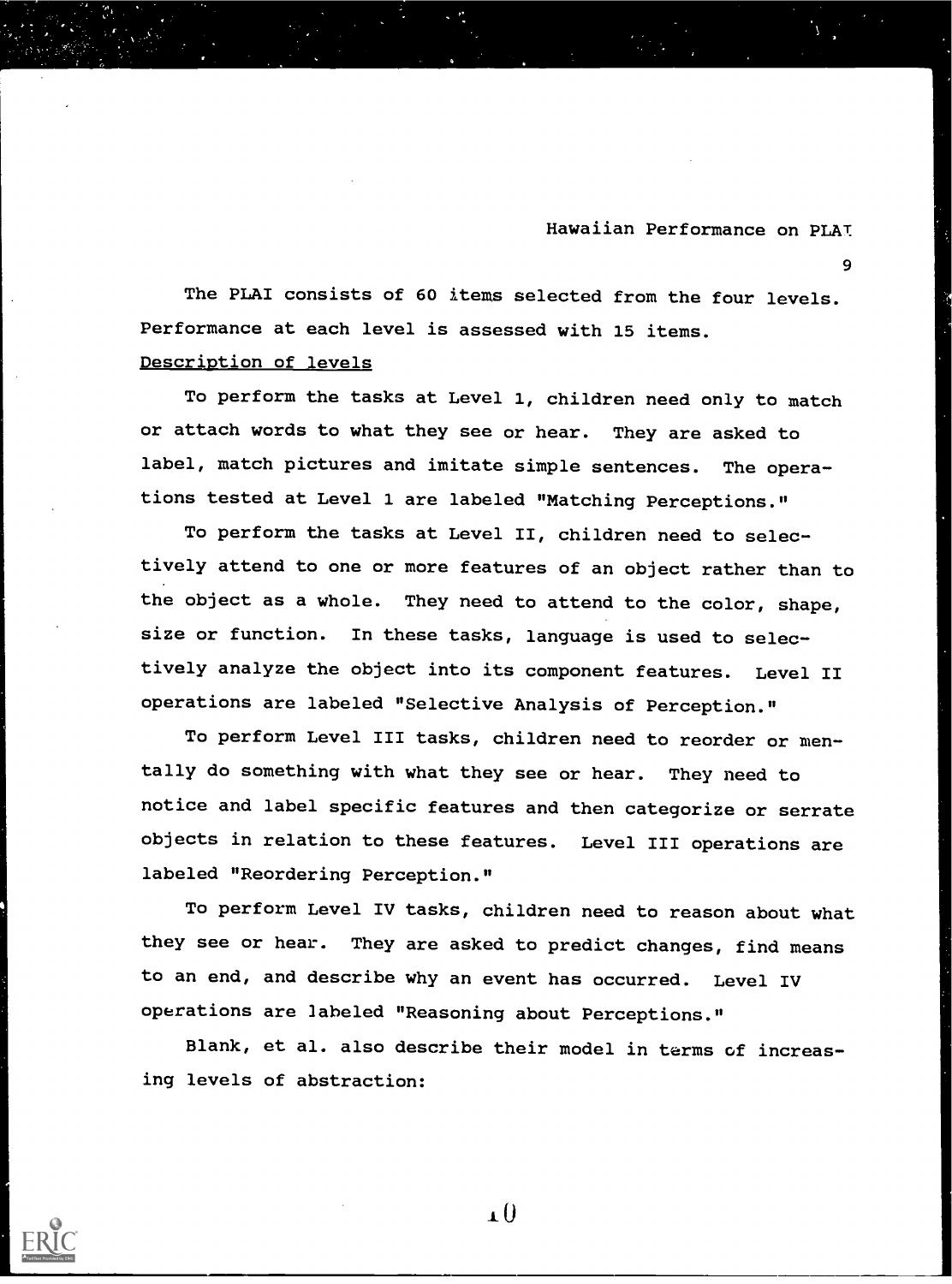9

The PLAI consists of 60 items selected from the four levels. Performance at each level is assessed with 15 items. Description of levels

To perform the tasks at Level 1, children need only to match or attach words to what they see or hear. They are asked to label, match pictures and imitate simple sentences. The operations tested at Level 1 are labeled "Matching Perceptions."

To perform the tasks at Level II, children need to selectively attend to one or more features of an object rather than to the object as a whole. They need to attend to the color, shape, size or function. In these tasks, language is used to selectively analyze the object into its component features. Level II operations are labeled "Selective Analysis of Perception."

To perform Level III tasks, children need to reorder or mentally do something with what they see or hear. They need to notice and label specific features and then categorize or serrate objects in relation to these features. Level III operations are labeled "Reordering Perception."

To perform Level IV tasks, children need to reason about what they see or hear. They are asked to predict changes, find means to an end, and describe why an event has occurred. Level IV operations are labeled "Reasoning about Perceptions."

Blank, et al. also describe their model in terms of increasing levels of abstraction:



1\_0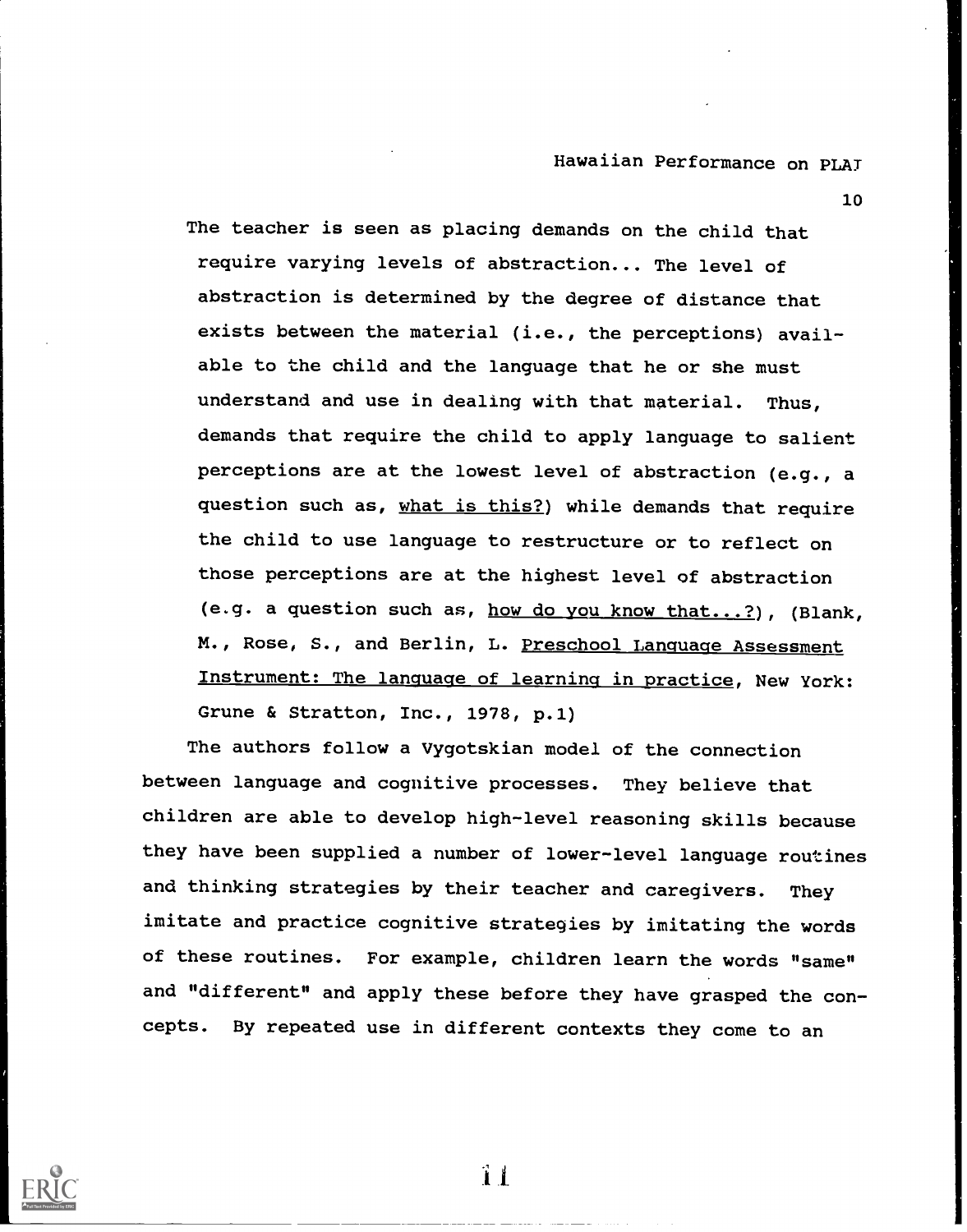10

The teacher is seen as placing demands on the child that require varying levels of abstraction... The level of abstraction is determined by the degree of distance that exists between the material (i.e., the perceptions) available to the child and the language that he or she must understand and use in dealing with that material. Thus, demands that require the child to apply language to salient perceptions are at the lowest level of abstraction (e.g., a question such as, what is this?) while demands that require the child to use language to restructure or to reflect on those perceptions are at the highest level of abstraction (e.g. a question such as, how do you know that...?), (Blank, M., Rose, S., and Berlin, L. Preschool Language Assessment Instrument: The language of learning in practice, New York: Grune & Stratton, Inc., 1978, p.1)

The authors follow a Vygotskian model of the connection between language and cognitive processes. They believe that children are able to develop high-level reasoning skills because they have been supplied a number of lower-level language routines and thinking strategies by their teacher and caregivers. They imitate and practice cognitive strategies by imitating the words of these routines. For example, children learn the words "same" and "different" and apply these before they have grasped the concepts. By repeated use in different contexts they come to an



.1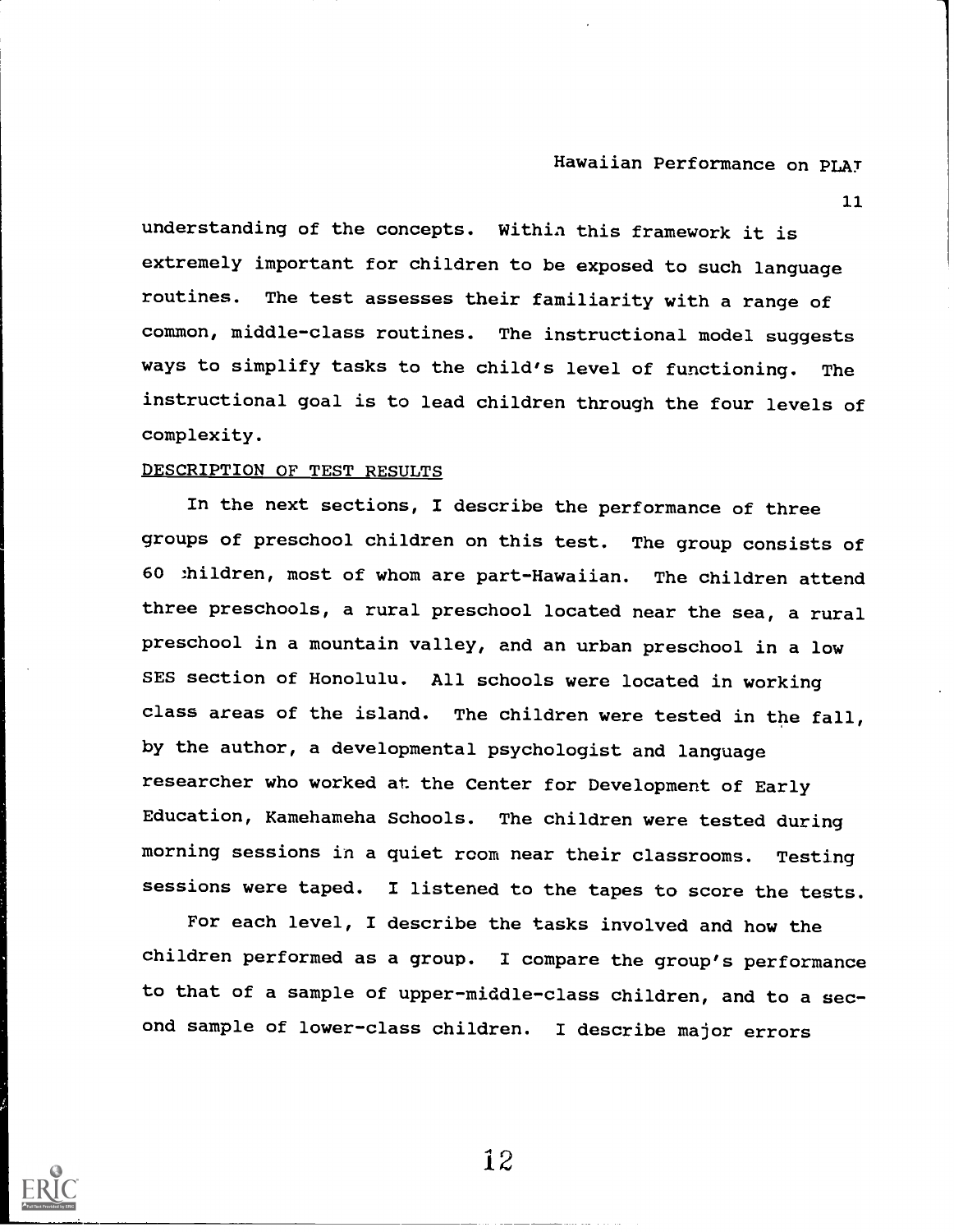11

understanding of the concepts. Within this framework it is extremely important for children to be exposed to such language routines. The test assesses their familiarity with a range of common, middle-class routines. The instructional model suggests ways to simplify tasks to the child's level of functioning. The instructional goal is to lead children through the four levels of complexity.

## DESCRIPTION OF TEST RESULTS

In the next sections, I describe the performance of three groups of preschool children on this test. The group consists of 60 thildren, most of whom are part-Hawaiian. The children attend three preschools, a rural preschool located near the sea, a rural preschool in a mountain valley, and an urban preschool in a low SES section of Honolulu. All schools were located in working class areas of the island. The children were tested in the fall, by the author, a developmental psychologist and language researcher who worked at the Center for Development of Early Education, Kamehameha Schools. The children were tested during morning sessions in a quiet room near their classrooms. Testing sessions were taped. I listened to the tapes to score the tests.

For each level, I describe the tasks involved and how the children performed as a group. I compare the group's performance to that of a sample of upper-middle-class children, and to a second sample of lower-class children. I describe major errors

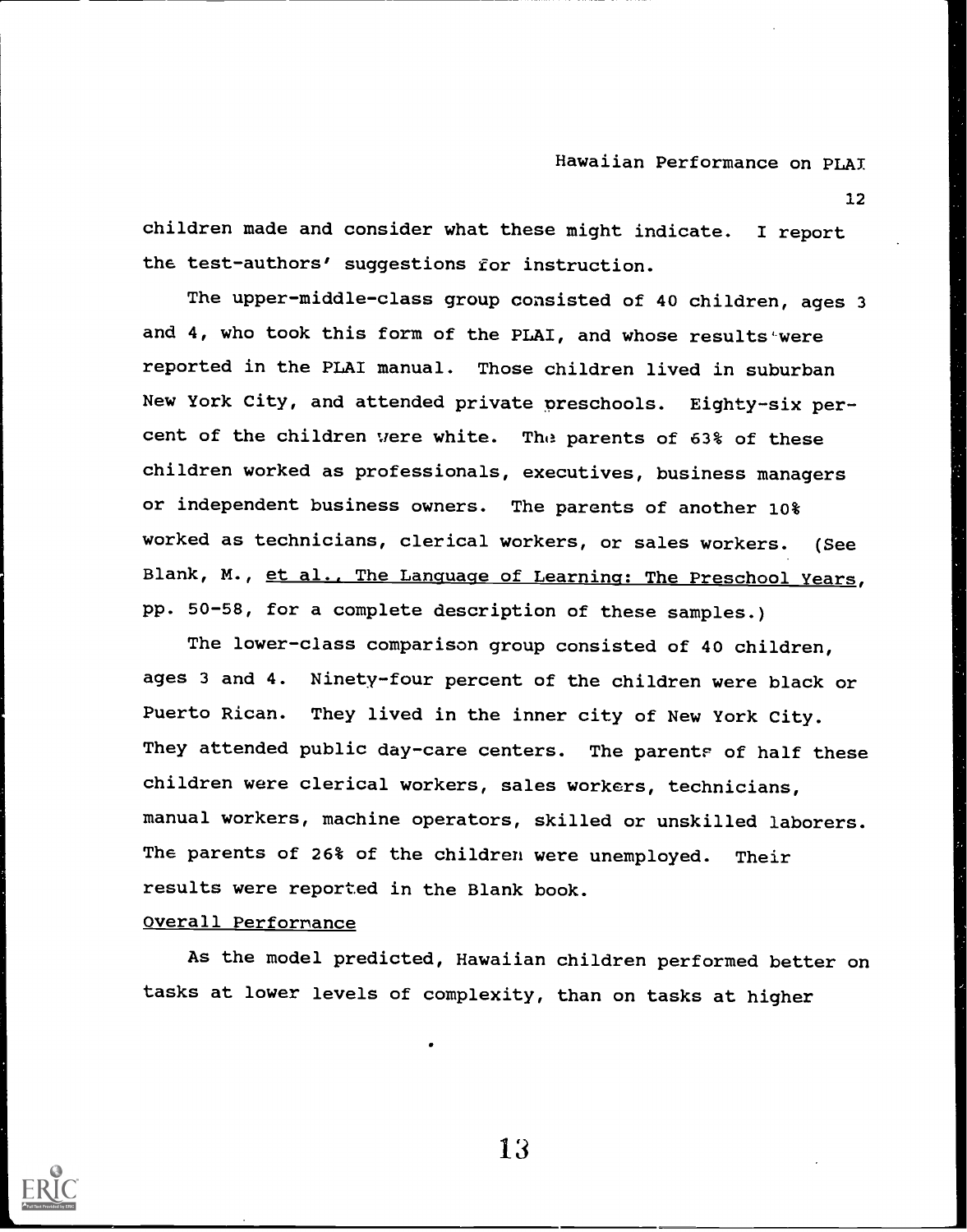12

children made and consider what these might indicate. I report the test-authors' suggestions for instruction.

The upper-middle-class group consisted of 40 children, ages 3 and 4, who took this form of the PLAI, and whose results were reported in the PLAI manual. Those children lived in suburban New York City, and attended private preschools. Eighty-six percent of the children were white. The parents of 63% of these children worked as professionals, executives, business managers or independent business owners. The parents of another 10% worked as technicians, clerical workers, or sales workers. (See Blank, M., et al.. The Language of Learning: The Preschool Years, pp. 50-58, for a complete description of these samples.)

The lower-class comparison group consisted of 40 children, ages 3 and 4. Ninety-four percent of the children were black or Puerto Rican. They lived in the inner city of New York City. They attended public day-care centers. The parents of half these children were clerical workers, sales workers, technicians, manual workers, machine operators, skilled or unskilled laborers. The parents of 26% of the children were unemployed. Their results were reported in the Blank book.

#### Overall Performance

As the model predicted, Hawaiian children performed better on tasks at lower levels of complexity, than on tasks at higher

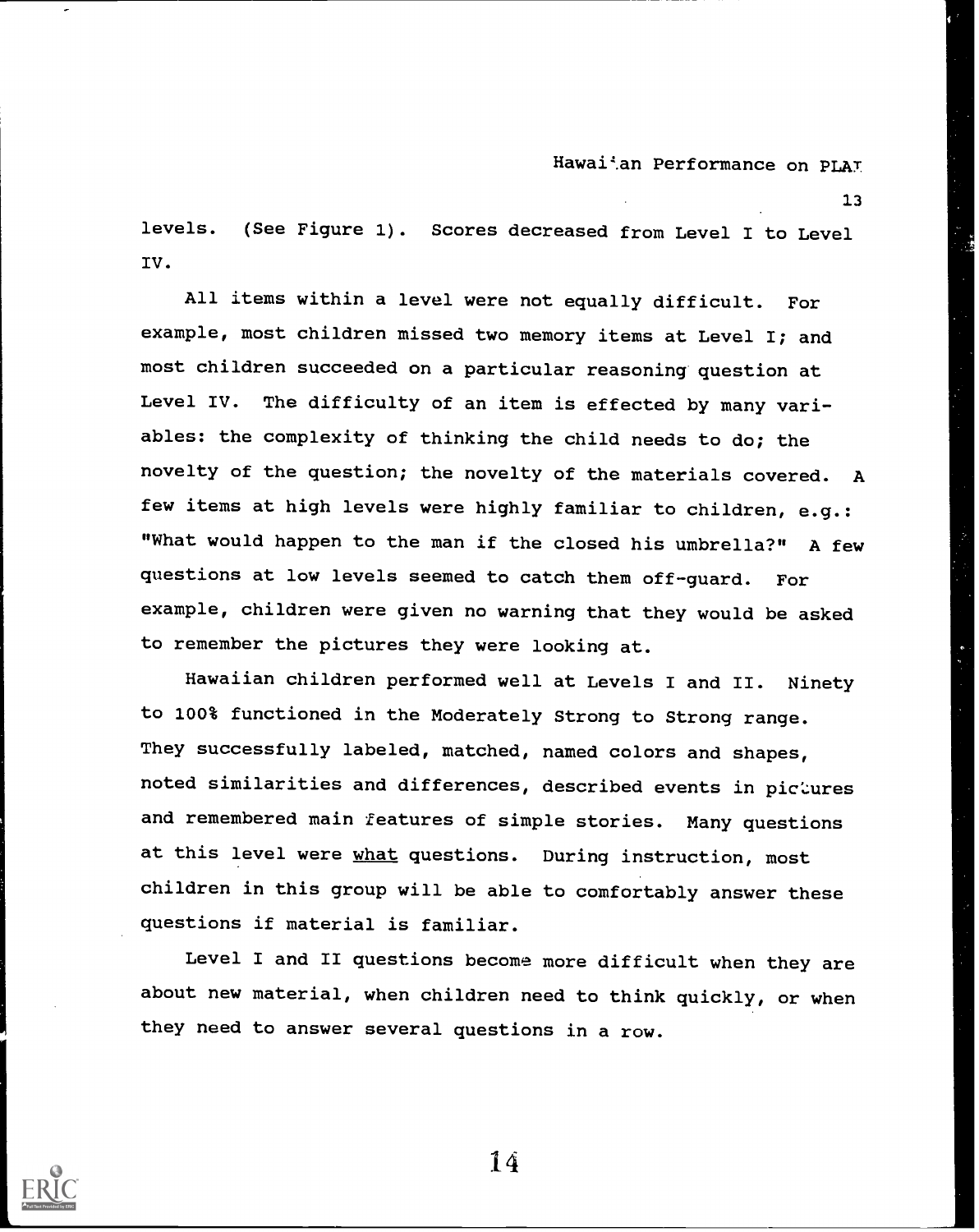13

levels. (See Figure 1). Scores decreased from Level I to Level IV.

All items within a level were not equally difficult. For example, most children missed two memory items at Level I; and most children succeeded on a particular reasoning question at Level IV. The difficulty of an item is effected by many variables: the complexity of thinking the child needs to do; the novelty of the question; the novelty of the materials covered. A few items at high levels were highly familiar to children, e.g.: "What would happen to the man if the closed his umbrella?" A few questions at low levels seemed to catch them off-guard. For example, children were given no warning that they would be asked to remember the pictures they were looking at.

Hawaiian children performed well at Levels I and II. Ninety to 100% functioned in the Moderately Strong to Strong range. They successfully labeled, matched, named colors and shapes, noted similarities and differences, described events in pictures and remembered main features of simple stories. Many questions at this level were what questions. During instruction, most children in this group will be able to comfortably answer these questions if material is familiar.

Level I and II questions become more difficult when they are about new material, when children need to think quickly, or when they need to answer several questions in a row.

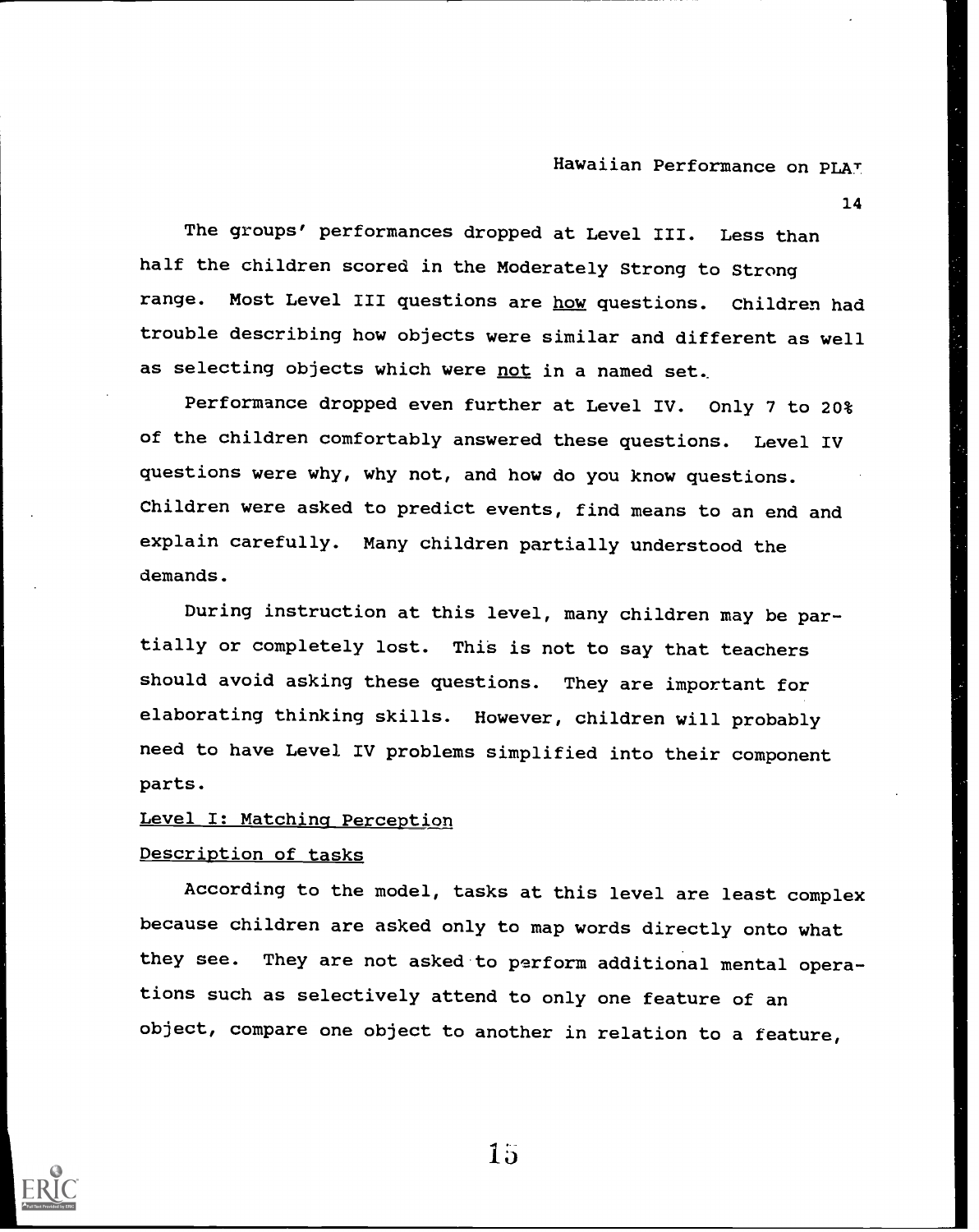14

The groups' performances dropped at Level III. Less than half the children scored in the Moderately Strong to Strong range. Most Level III questions are how questions. Children had trouble describing how objects were similar and different as well as selecting objects which were not in a named set.

Performance dropped even further at Level IV. Only 7 to 20% of the children comfortably answered these questions. Level IV questions were why, why not, and how do you know questions. Children were asked to predict events, find means to an end and explain carefully. Many children partially understood the demands.

During instruction at this level, many children may be partially or completely lost. This is not to say that teachers should avoid asking these questions. They are important for elaborating thinking skills. However, children will probably need to have Level IV problems simplified into their component parts.

## Level I: Matching Perception

#### Description of tasks

According to the model, tasks at this level are least complex because children are asked only to map words directly onto what they see. They are not asked to perform additional mental operations such as selectively attend to only one feature of an object, compare one object to another in relation to a feature,

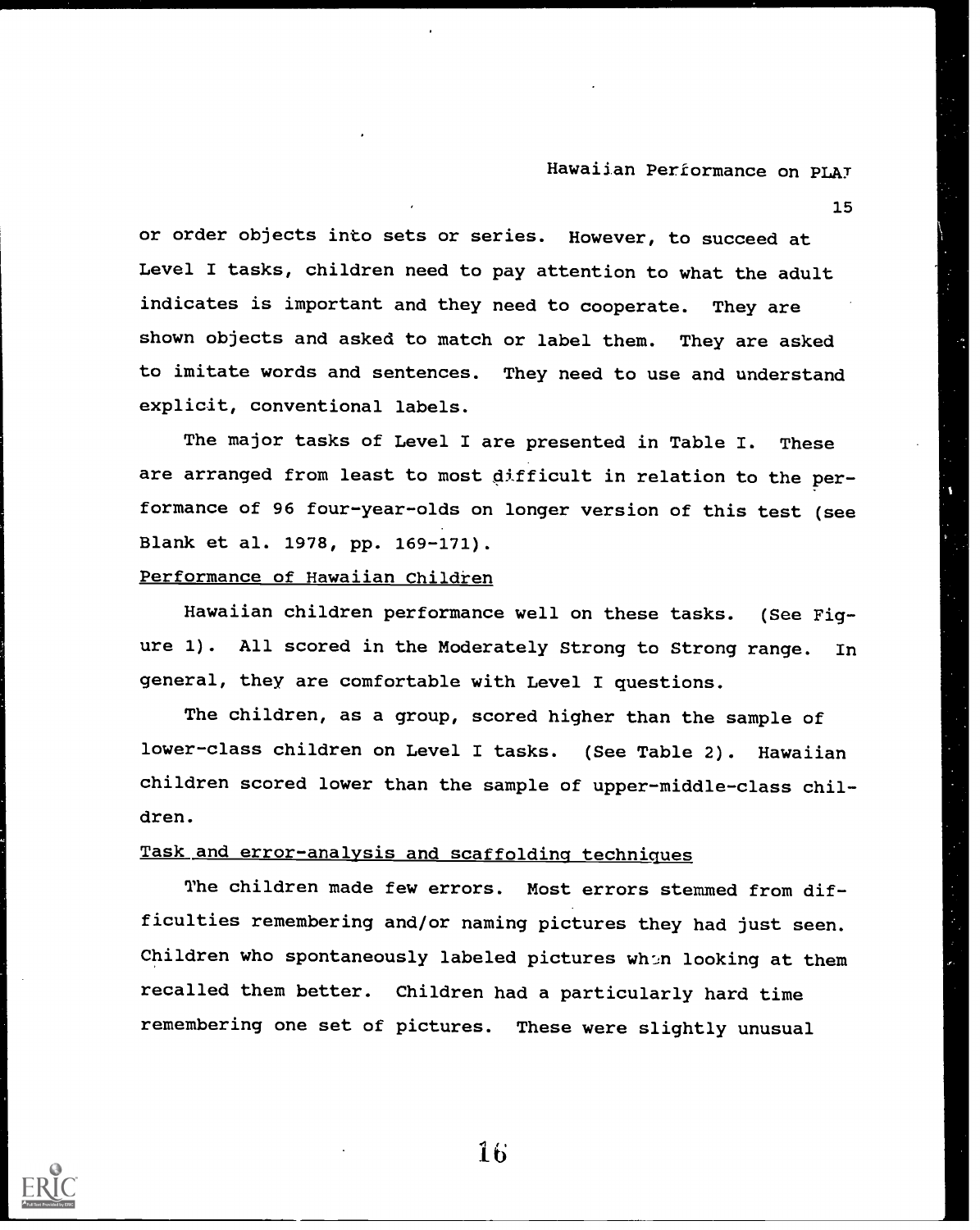15

or order objects into sets or series. However, to succeed at Level I tasks, children need to pay attention to what the adult indicates is important and they need to cooperate. They are shown objects and asked to match or label them. They are asked to imitate words and sentences. They need to use and understand explicit, conventional labels.

The major tasks of Level I are presented in Table I. These are arranged from least to most difficult in relation to the performance of 96 four-year-olds on longer version of this test (see Blank et al. 1978, pp. 169-171).

## Performance of Hawaiian Children

Hawaiian children performance well on these tasks. (See Figure 1). All scored in the Moderately Strong to Strong range. In general, they are comfortable with Level I questions.

The children, as a group, scored higher than the sample of lower-class children on Level I tasks. (See Table 2). Hawaiian children scored lower than the sample of upper-middle-class children.

## Task and error-analysis and scaffolding techniques

The children made few errors. Most errors stemmed from difficulties remembering and/or naming pictures they had just seen. Children who spontaneously labeled pictures whon looking at them recalled them better. Children had a particularly hard time remembering one set of pictures. These were slightly unusual

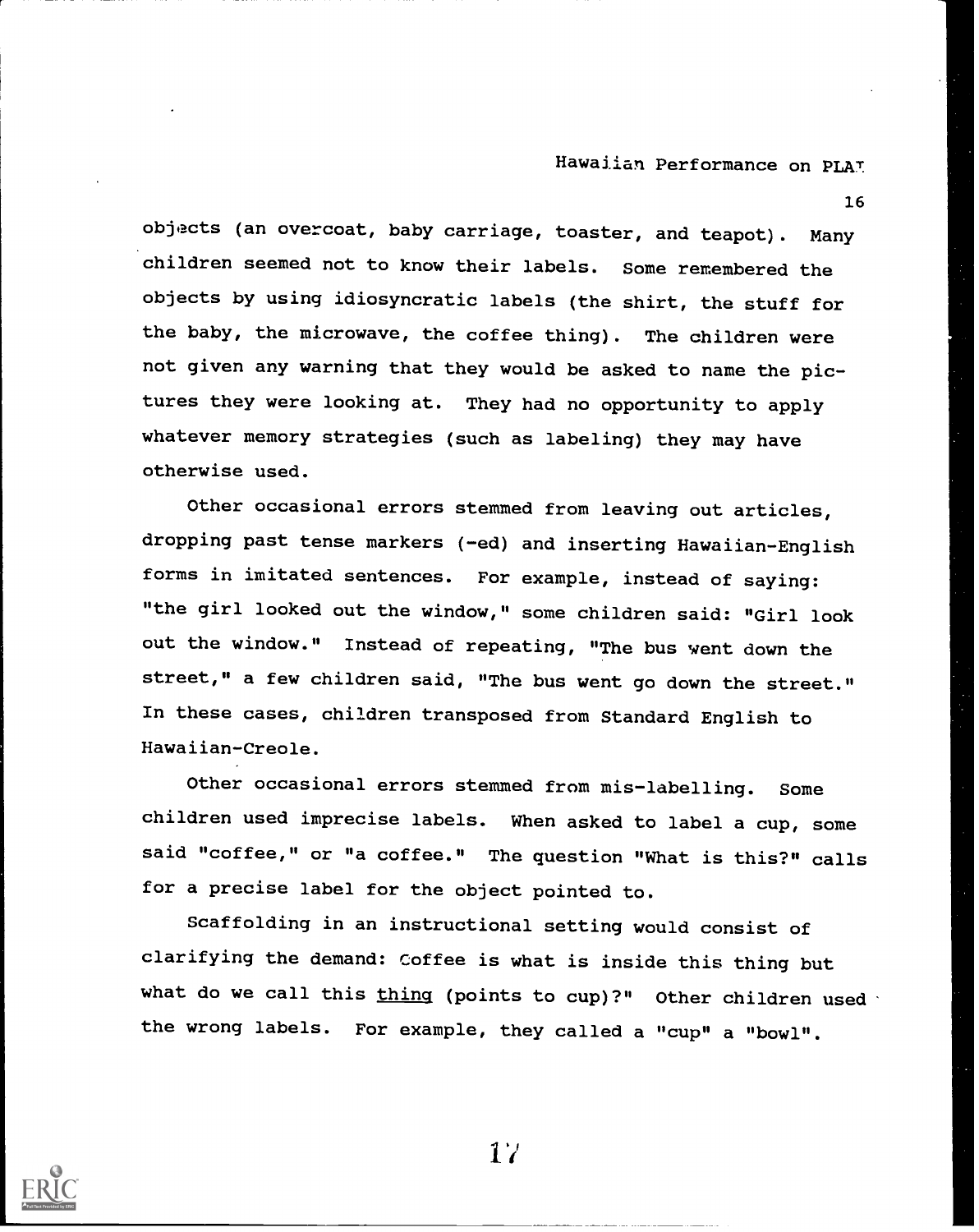16

objects (an overcoat, baby carriage, toaster, and teapot). Many children seemed not to know their labels. Some remembered the objects by using idiosyncratic labels (the shirt, the stuff for the baby, the microwave, the coffee thing). The children were not given any warning that they would be asked to name the pictures they were looking at. They had no opportunity to apply whatever memory strategies (such as labeling) they may have otherwise used.

Other occasional errors stemmed from leaving out articles, dropping past tense markers (-ed) and inserting Hawaiian-English forms in imitated sentences. For example, instead of saying: "the girl looked out the window," some children said: "Girl look out the window." Instead of repeating, "The bus went down the street," a few children said, "The bus went go down the street." In these cases, children transposed from Standard English to Hawaiian-Creole.

Other occasional errors stemmed from mis-labelling. Some children used imprecise labels. When asked to label a cup, some said "coffee," or "a coffee." The question "What is this?" calls for a precise label for the object pointed to.

Scaffolding in an instructional setting would consist of clarifying the demand: Coffee is what is inside this thing but what do we call this  $\underline{thing}$  (points to cup)?" Other children used the wrong labels. For example, they called a "cup" a "bowl".

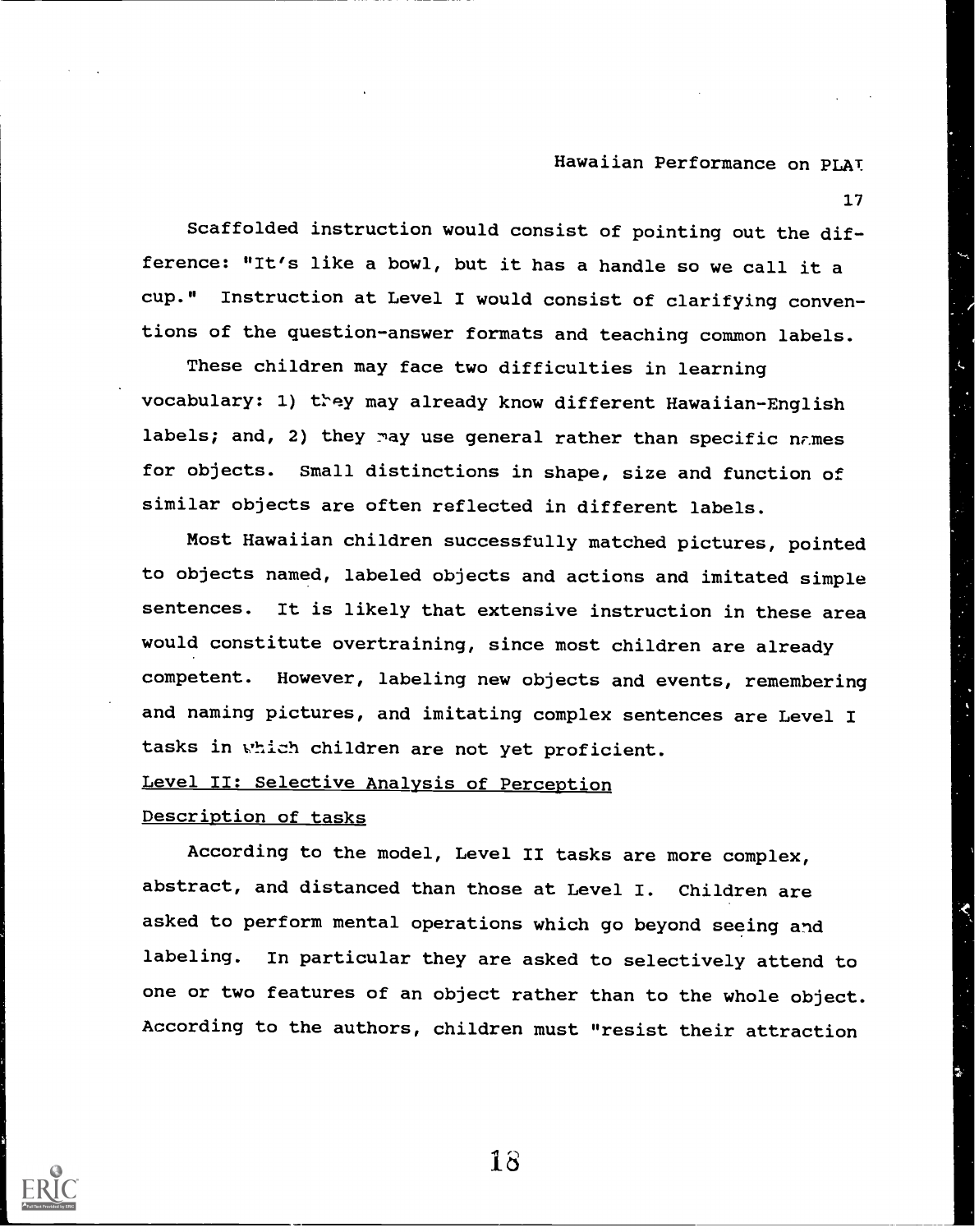17

Scaffolded instruction would consist of pointing out the difference: "It's like a bowl, but it has a handle so we call it a cup." Instruction at Level I would consist of clarifying conventions of the question-answer formats and teaching common labels.

These children may face two difficulties in learning vocabulary: 1) they may already know different Hawaiian-English labels; and, 2) they may use general rather than specific names for objects. Small distinctions in shape, size and function of similar objects are often reflected in different labels.

Most Hawaiian children successfully matched pictures, pointed to objects named, labeled objects and actions and imitated simple sentences. It is likely that extensive instruction in these area would constitute overtraining, since most children are already competent. However, labeling new objects and events, remembering and naming pictures, and imitating complex sentences are Level I tasks in which children are not yet proficient.

## Level II: Selective Analysis of Perception

#### Description of tasks

According to the model, Level II tasks are more complex, abstract, and distanced than those at Level I. Children are asked to perform mental operations which go beyond seeing and labeling. In particular they are asked to selectively attend to one or two features of an object rather than to the whole object. According to the authors, children must "resist their attraction

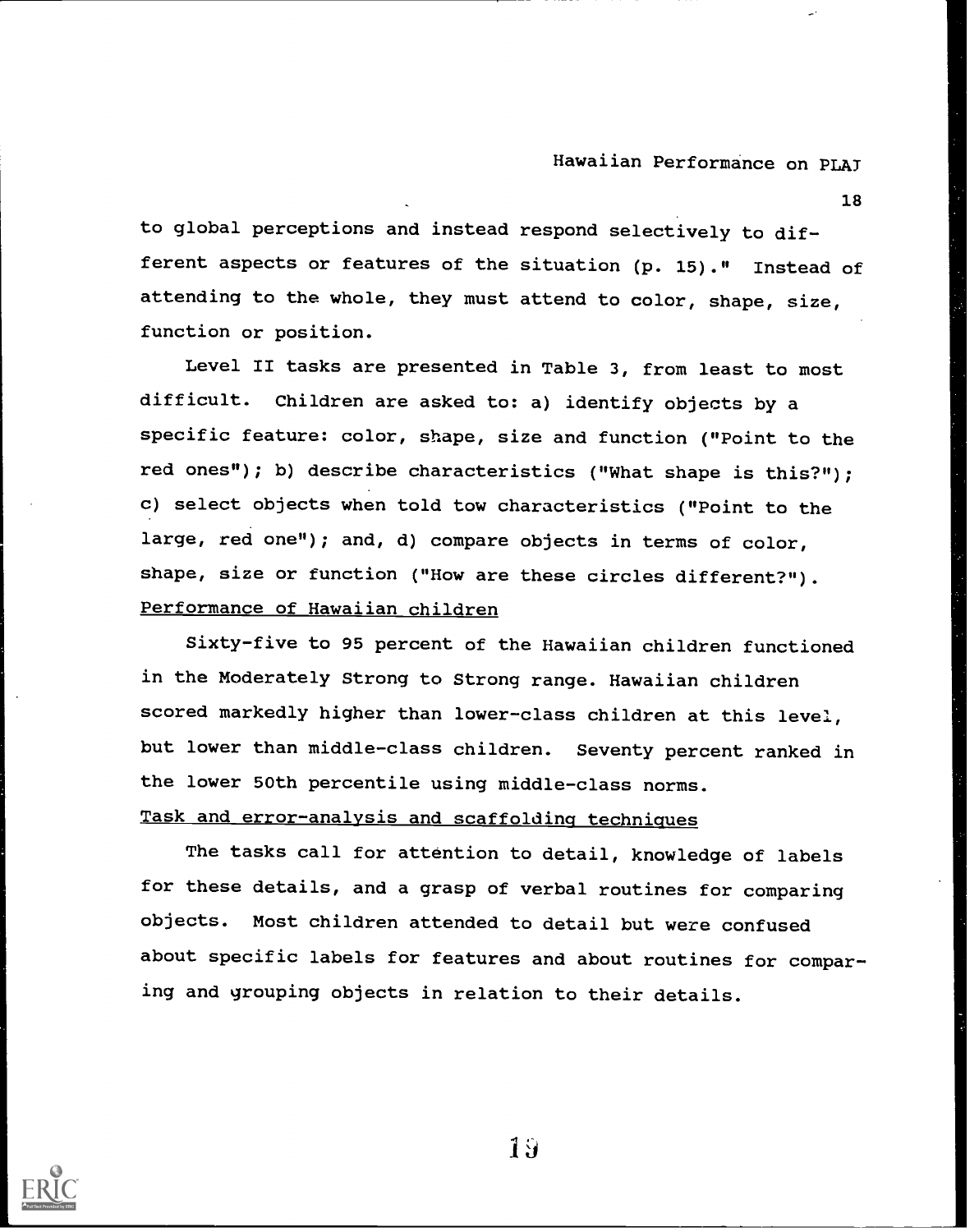18

to global perceptions and instead respond selectively to different aspects or features of the situation (p. 15)." Instead of attending to the whole, they must attend to color, shape, size, function or position.

Level II tasks are presented in Table 3, from least to most difficult. Children are asked to: a) identify objects by a specific feature: color, shape, size and function ("Point to the red ones"); b) describe characteristics ("What shape is this?"); c) select objects when told tow characteristics ("Point to the large, red one"); and, d) compare objects in terms of color, shape, size or function ("How are these circles different?"). Performance of Hawaiian children

Sixty-five to 95 percent of the Hawaiian children functioned in the Moderately Strong to Strong range. Hawaiian children scored markedly higher than lower-class children at this level, but lower than middle-class children. Seventy percent ranked in the lower 50th percentile using middle-class norms. Task and error-analysis and scaffolding techniques

The tasks call for attention to detail, knowledge of labels for these details, and a grasp of verbal routines for comparing objects. Most children attended to detail but were confused about specific labels for features and about routines for comparing and grouping objects in relation to their details.

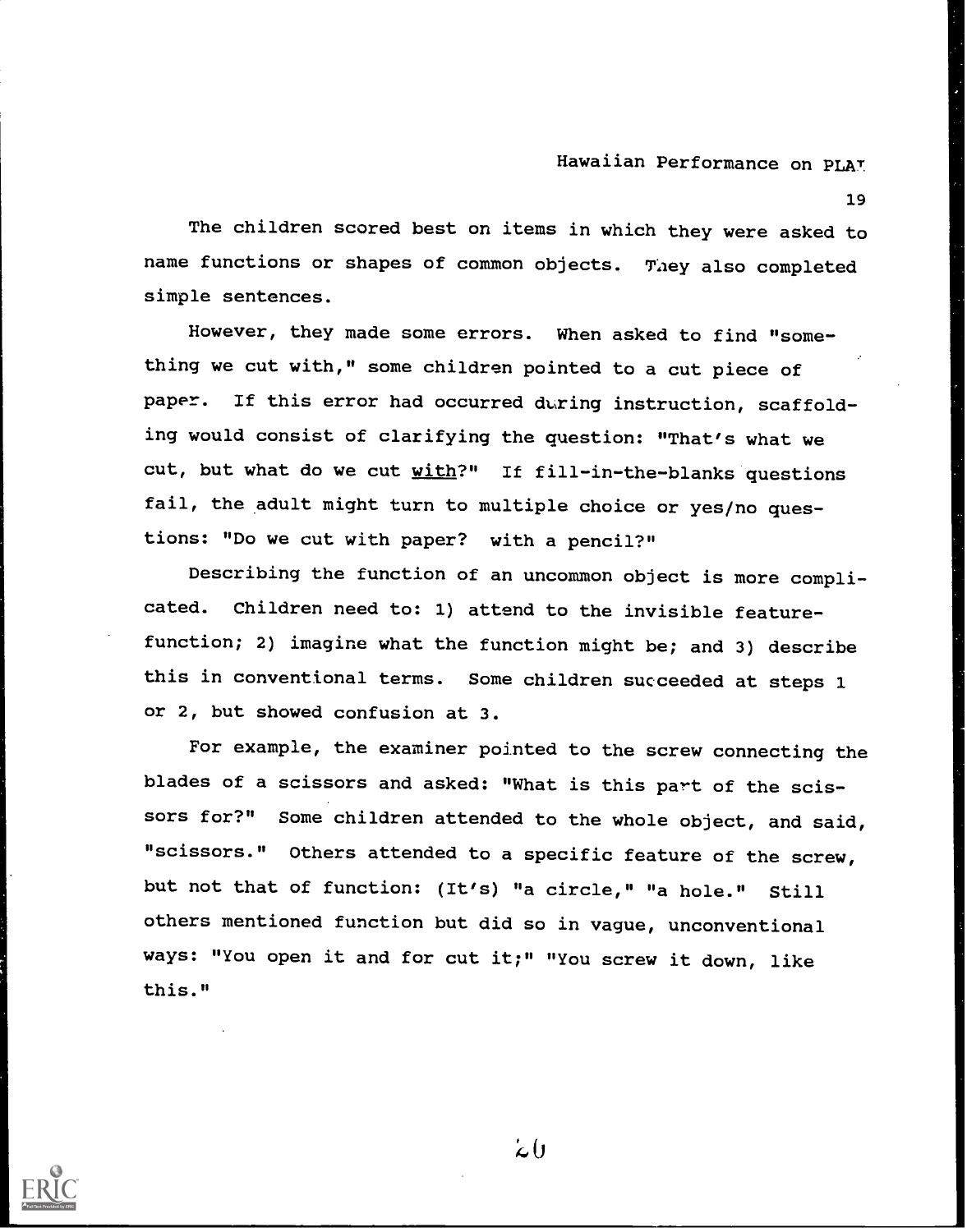19

The children scored best on items in which they were asked to name functions or shapes of common objects. They also completed simple sentences.

However, they made some errors. When asked to find "something we cut with," some children pointed to a cut piece of paper. If this error had occurred during instruction, scaffolding would consist of clarifying the question: "That's what we cut, but what do we cut with?" If fill-in-the-blanks questions fail, the adult might turn to multiple choice or yes/no questions: "Do we cut with paper? with a pencil?"

Describing the function of an uncommon object is more complicated. Children need to: 1) attend to the invisible featurefunction; 2) imagine what the function might be; and 3) describe this in conventional terms. Some children succeeded at steps 1 or 2, but showed confusion at 3.

For example, the examiner pointed to the screw connecting the blades of a scissors and asked: "What is this part of the scissors for?" Some children attended to the whole object, and said, "scissors." Others attended to a specific feature of the screw, but not that of function: (It's) "a circle," "a hole." Still others mentioned function but did so in vague, unconventional ways: "You open it and for cut it;" "You screw it down, like this."

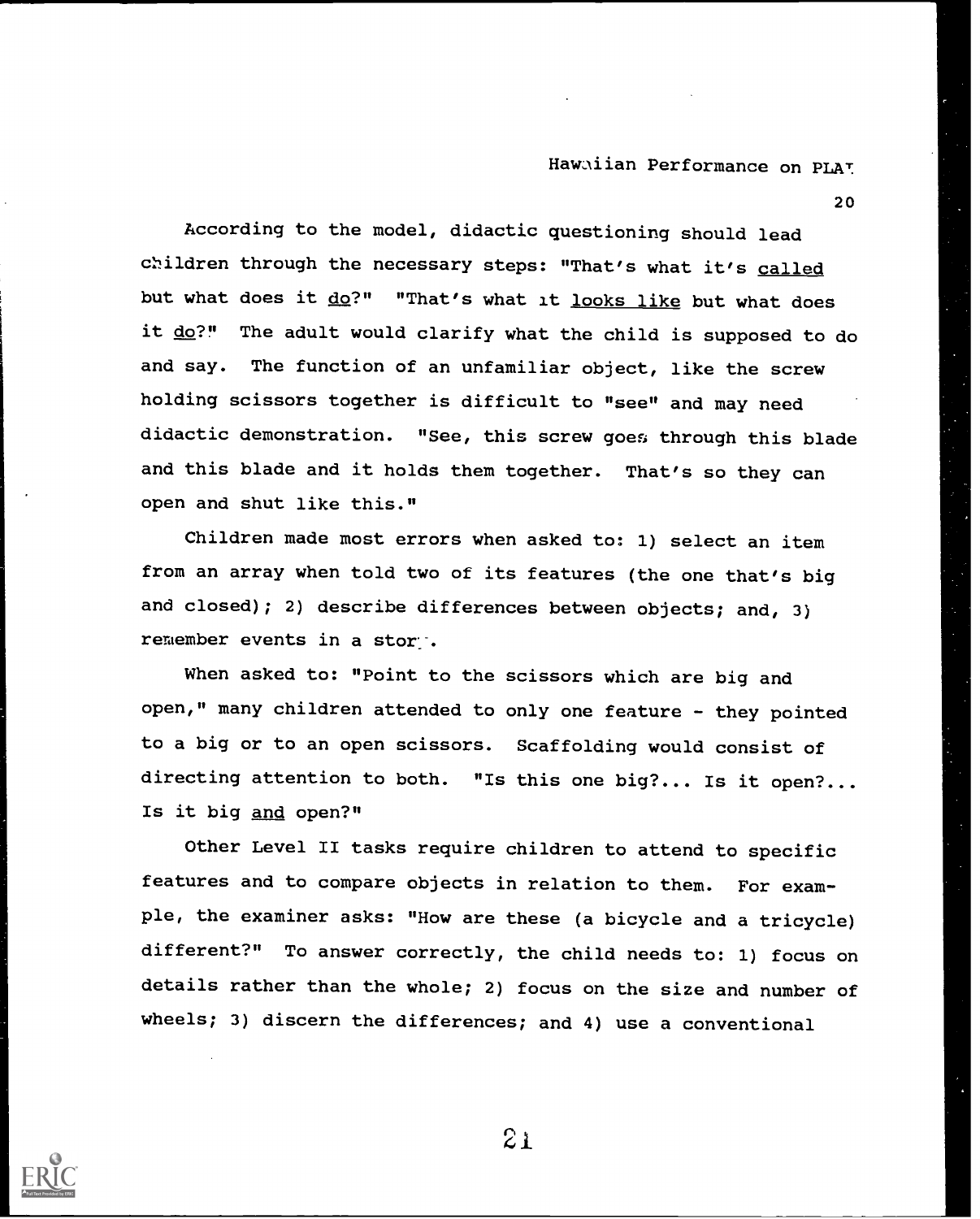20

According to the model, didactic questioning should lead children through the necessary steps: "That's what it's called but what does it do?" "That's what it looks like but what does it do?" The adult would clarify what the child is supposed to do and say. The function of an unfamiliar object, like the screw holding scissors together is difficult to "see" and may need didactic demonstration. "See, this screw goes through this blade and this blade and it holds them together. That's so they can open and shut like this."

Children made most errors when asked to: 1) select an item from an array when told two of its features (the one that's big and closed); 2) describe differences between objects; and, 3) remember events in a stor.

When asked to: "Point to the scissors which are big and open," many children attended to only one feature - they pointed to a big or to an open scissors. Scaffolding would consist of directing attention to both. "Is this one big?... Is it open?...Is it big and open?"

Other Level II tasks require children to attend to specific features and to compare objects in relation to them. For example, the examiner asks: "How are these (a bicycle and a tricycle) different?" To answer correctly, the child needs to: 1) focus on details rather than the whole; 2) focus on the size and number of wheels; 3) discern the differences; and 4) use a conventional

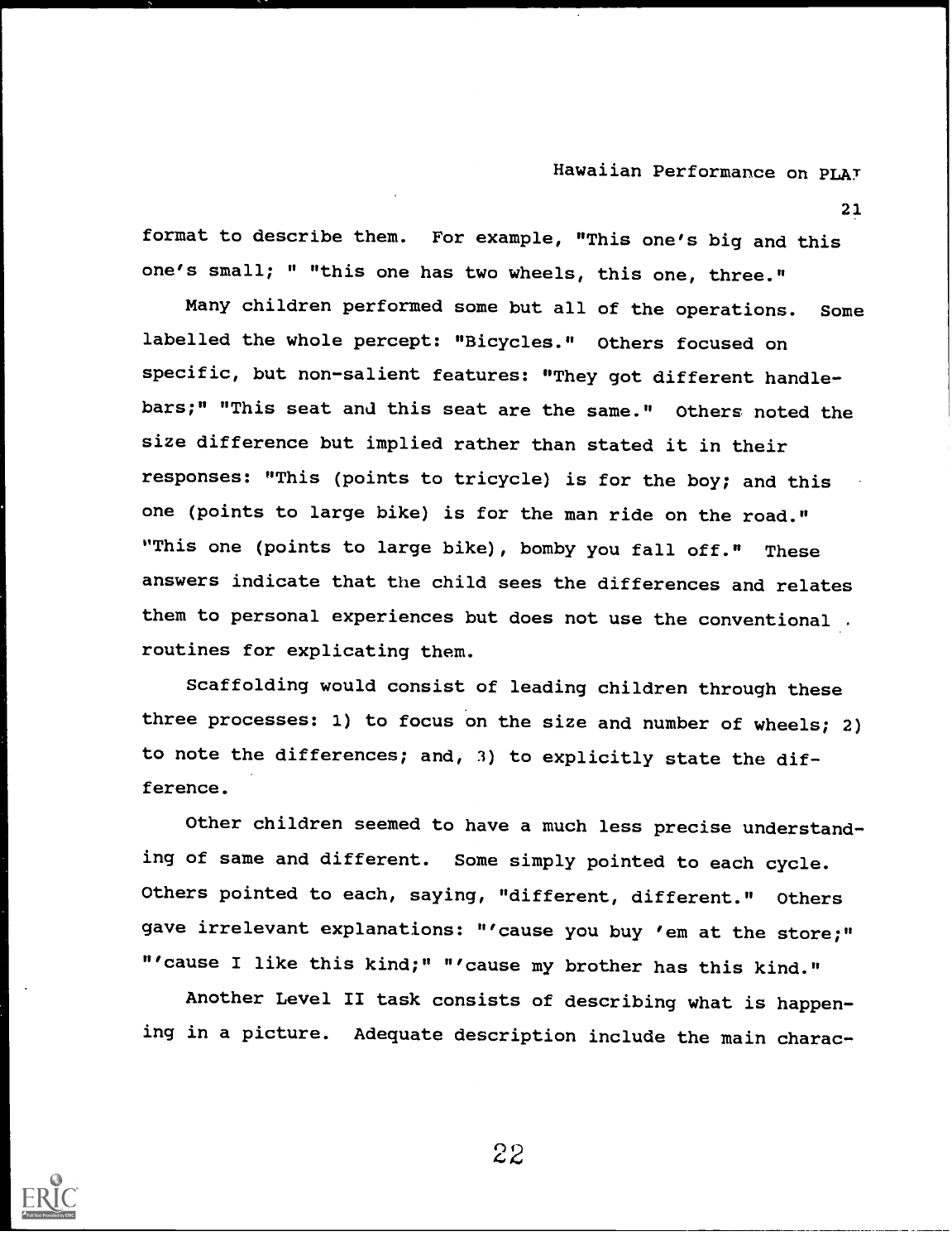21

format to describe them. For example, "This one's big and this one's small; " "this one has two wheels, this one, three."

Many children performed some but all of the operations. Some labelled the whole percept: "Bicycles." Others focused on specific, but non-salient features: "They got different handlebars;" "This seat and this seat are the same." Others noted the size difference but implied rather than stated it in their responses: "This (points to tricycle) is for the boy; and this one (points to large bike) is for the man ride on the road." "This one (points to large bike), bomby you fall off." These answers indicate that the child sees the differences and relates them to personal experiences but does not use the conventional . routines for explicating them.

Scaffolding would consist of leading children through these three processes: 1) to focus on the size and number of wheels; 2) to note the differences; and, 3) to explicitly state the difference.

Other children seemed to have a much less precise understanding of same and different. Some simply pointed to each cycle. Others pointed to each, saying, "different, different." Others gave irrelevant explanations: "'cause you buy 'em at the store;" "'cause I like this kind;" "'cause my brother has this kind."

Another Level II task consists of describing what is happening in a picture. Adequate description include the main charac-

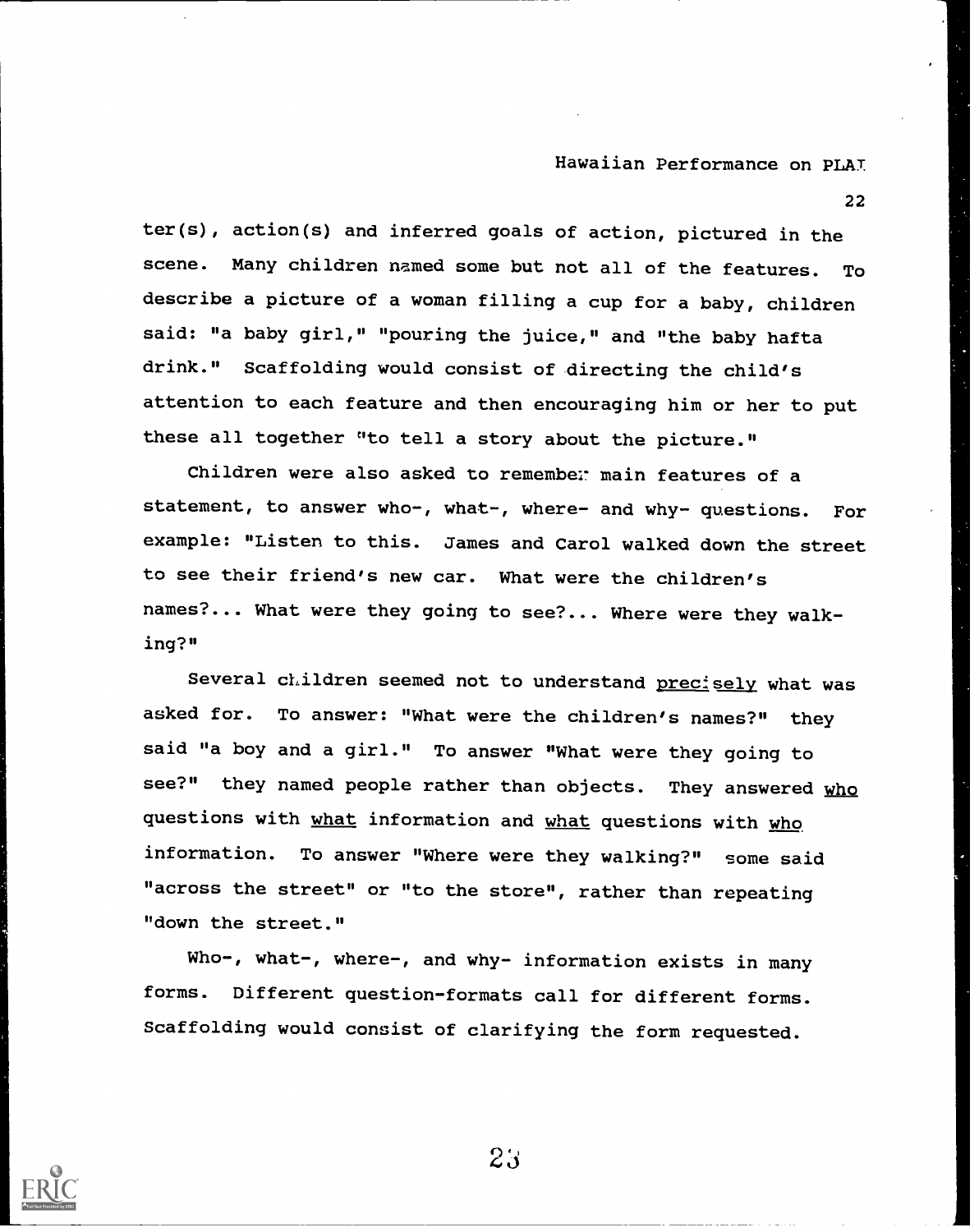22

ter(s), action(s) and inferred goals of action, pictured in the scene. Many children named some but not all of the features. To describe a picture of a woman filling a cup for a baby, children said: "a baby girl," "pouring the juice," and "the baby hafta drink." Scaffolding would consist of directing the child's attention to each feature and then encouraging him or her to put these all together "to tell a story about the picture."

Children were also asked to remember main features of a statement, to answer who-, what-, where- and why- questions. For example: "Listen to this. James and Carol walked down the street to see their friend's new car. What were the children's names?... What were they going to see?... Where were they walking?"

Several children seemed not to understand precisely what was asked for. To answer: "What were the children's names?" they said "a boy and a girl." To answer "What were they going to see?" they named people rather than objects. They answered who questions with what information and what questions with who information. To answer "Where were they walking?" some said "across the street" or "to the store", rather than repeating "down the street."

Who-, what-, where-, and why- information exists in many forms. Different question-formats call for different forms. Scaffolding would consist of clarifying the form requested.

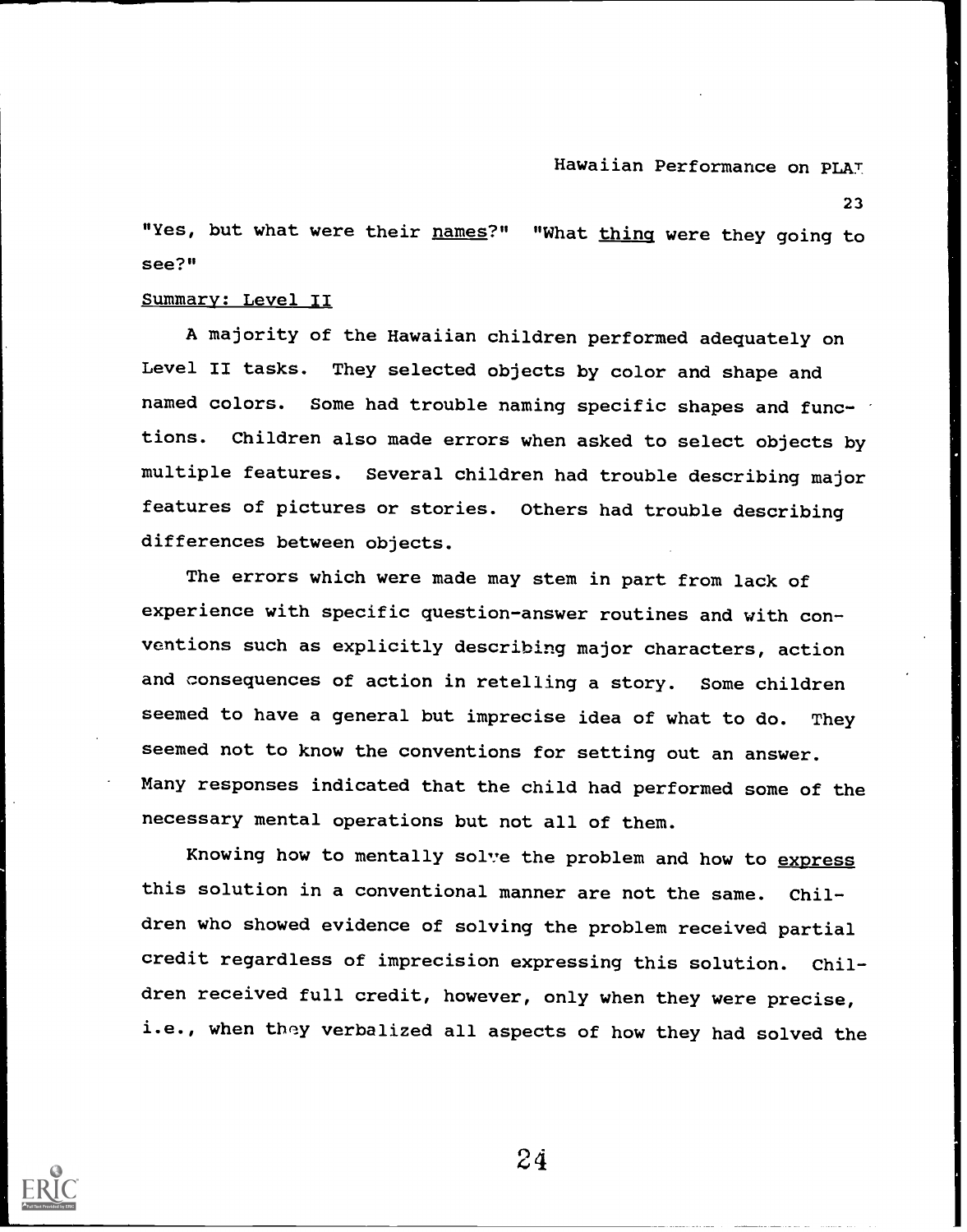23

"Yes, but what were their names?" "What thing were they going to see?"

#### Summary: Level II

A majority of the Hawaiian children performed adequately on Level II tasks. They selected objects by color and shape and named colors. Some had trouble naming specific shapes and functions. Children also made errors when asked to select objects by multiple features. Several children had trouble describing major features of pictures or stories. Others had trouble describing differences between objects.

The errors which were made may stem in part from lack of experience with specific question-answer routines and with conventions such as explicitly describing major characters, action and consequences of action in retelling a story. Some children seemed to have a general but imprecise idea of what to do. They seemed not to know the conventions for setting out an answer. Many responses indicated that the child had performed some of the necessary mental operations but not all of them.

Knowing how to mentally solve the problem and how to express this solution in a conventional manner are not the same. Children who showed evidence of solving the problem received partial credit regardless of imprecision expressing this solution. Children received full credit, however, only when they were precise, i.e., when they verbalized all aspects of how they had solved the

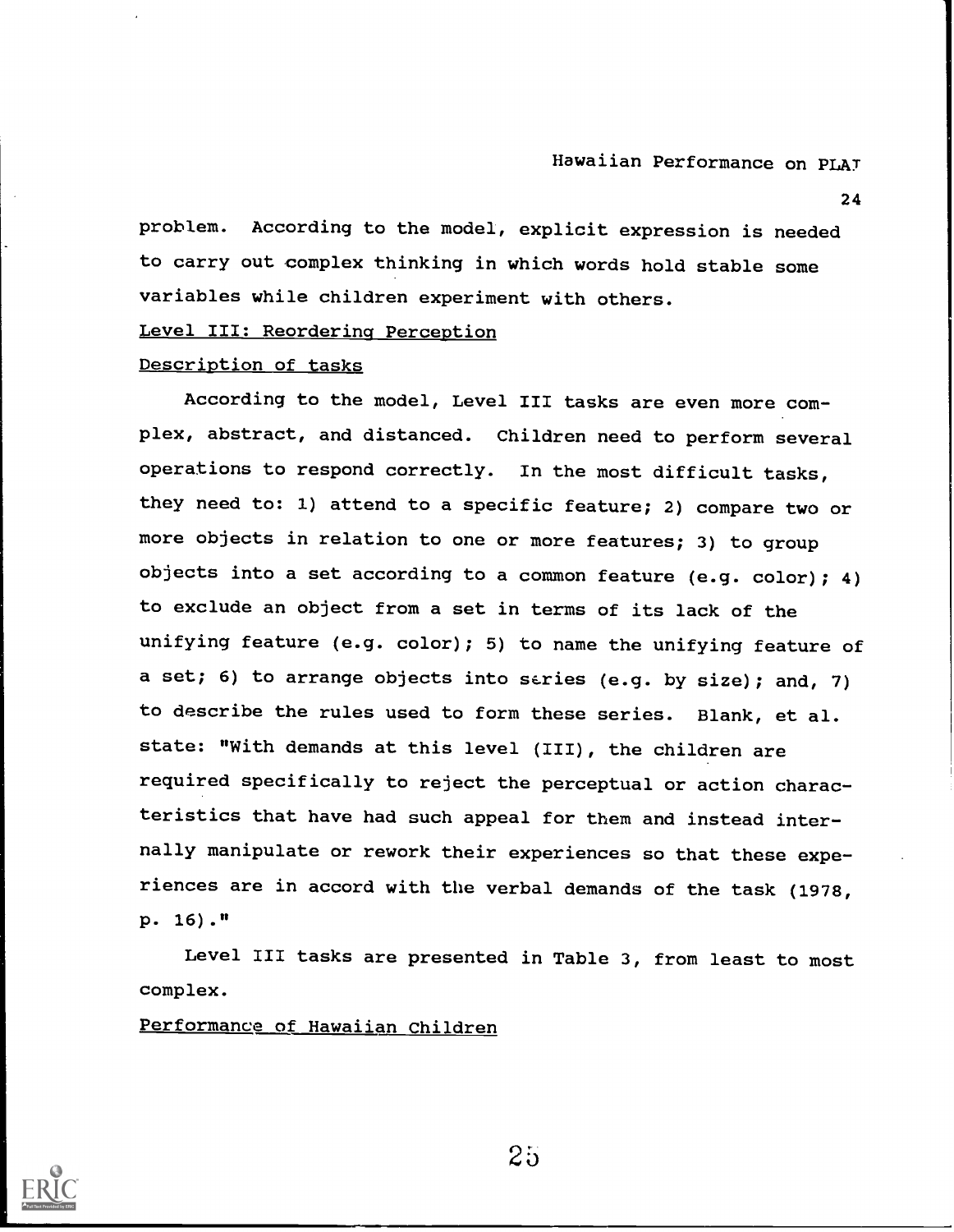24

problem. According to the model, explicit expression is needed to carry out complex thinking in which words hold stable some variables while children experiment with others.

Level III: Reordering Perception

#### Description of tasks

According to the model, Level III tasks are even more complex, abstract, and distanced. Children need to perform several operations to respond correctly. In the most difficult tasks, they need to: 1) attend to a specific feature; 2) compare two or more objects in relation to one or more features; 3) to group objects into a set according to a common feature (e.g. color); 4) to exclude an object from a set in terms of its lack of the unifying feature (e.g. color); 5) to name the unifying feature of a set; 6) to arrange objects into series (e.g. by size); and, 7) to describe the rules used to form these series. Blank, et al. state: "With demands at this level (III), the children are required specifically to reject the perceptual or action characteristics that have had such appeal for them and instead internally manipulate or rework their experiences so that these experiences are in accord with the verbal demands of the task (1978, p. 16)."

Level III tasks are presented in Table 3, from least to most complex.

Performance of Hawaiian Children

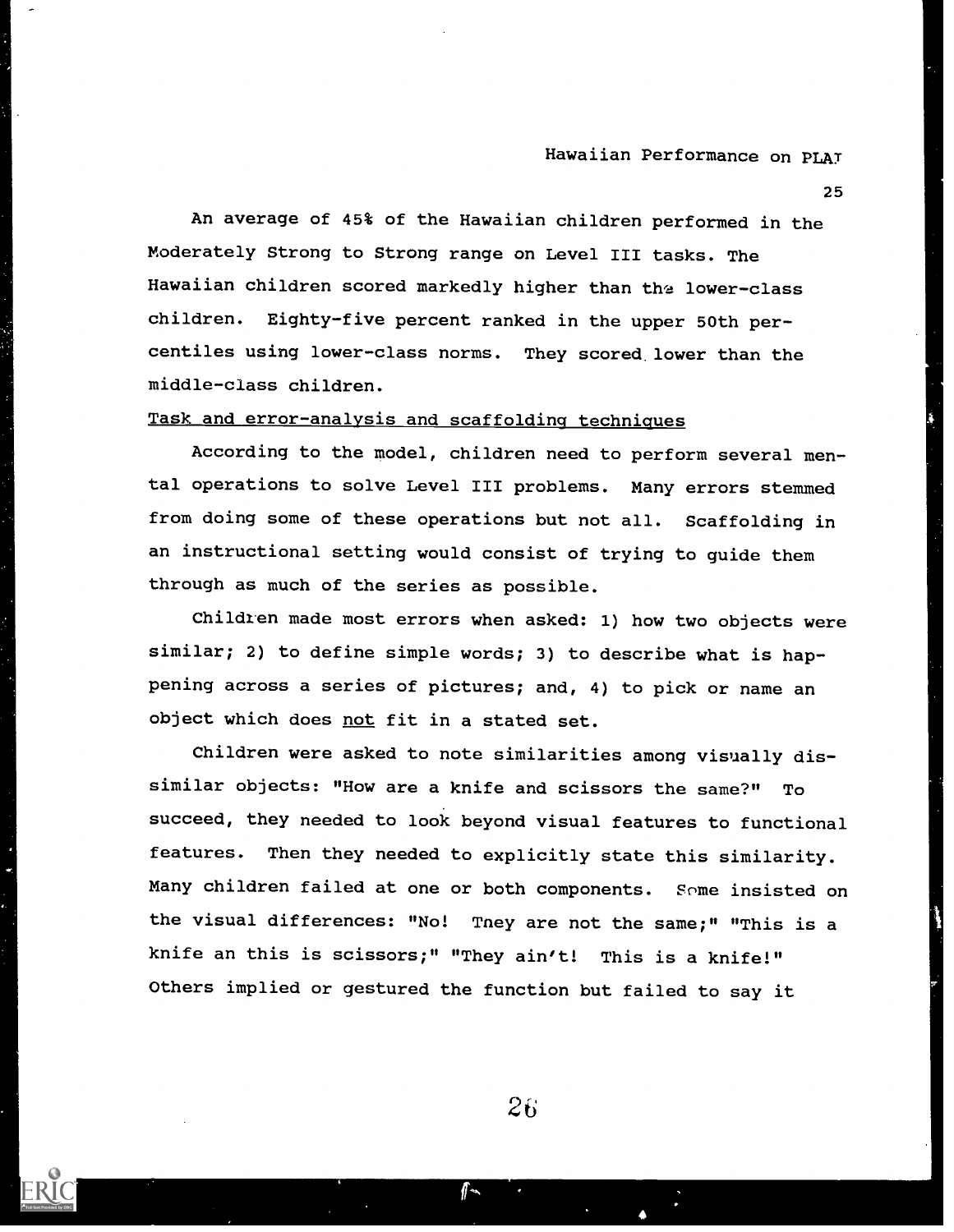25

An average of 45% of the Hawaiian children performed in the Moderately Strong to Strong range on Level III tasks. The Hawaiian children scored markedly higher than the lower-class children. Eighty-five percent ranked in the upper 50th percentiles using lower-class norms. They scored. lower than the middle-class children.

#### Task and error-analysis and scaffolding techniques

According to the model, children need to perform several mental operations to solve Level III problems. Many errors stemmed from doing some of these operations but not all. Scaffolding in an instructional setting would consist of trying to guide them through as much of the series as possible.

Children made most errors when asked: 1) how two objects were similar; 2) to define simple words; 3) to describe what is happening across a series of pictures; and, 4) to pick or name an object which does not fit in a stated set.

Children were asked to note similarities among visually dissimilar objects: "How are a knife and scissors the same?" To succeed, they needed to look beyond visual features to functional features. Then they needed to explicitly state this similarity. Many children failed at one or both components. Some insisted on the visual differences: "No! Tney are not the same;" "This is a knife an this is scissors;" "They ain't! This is a knife!" Others implied or gestured the function but failed to say it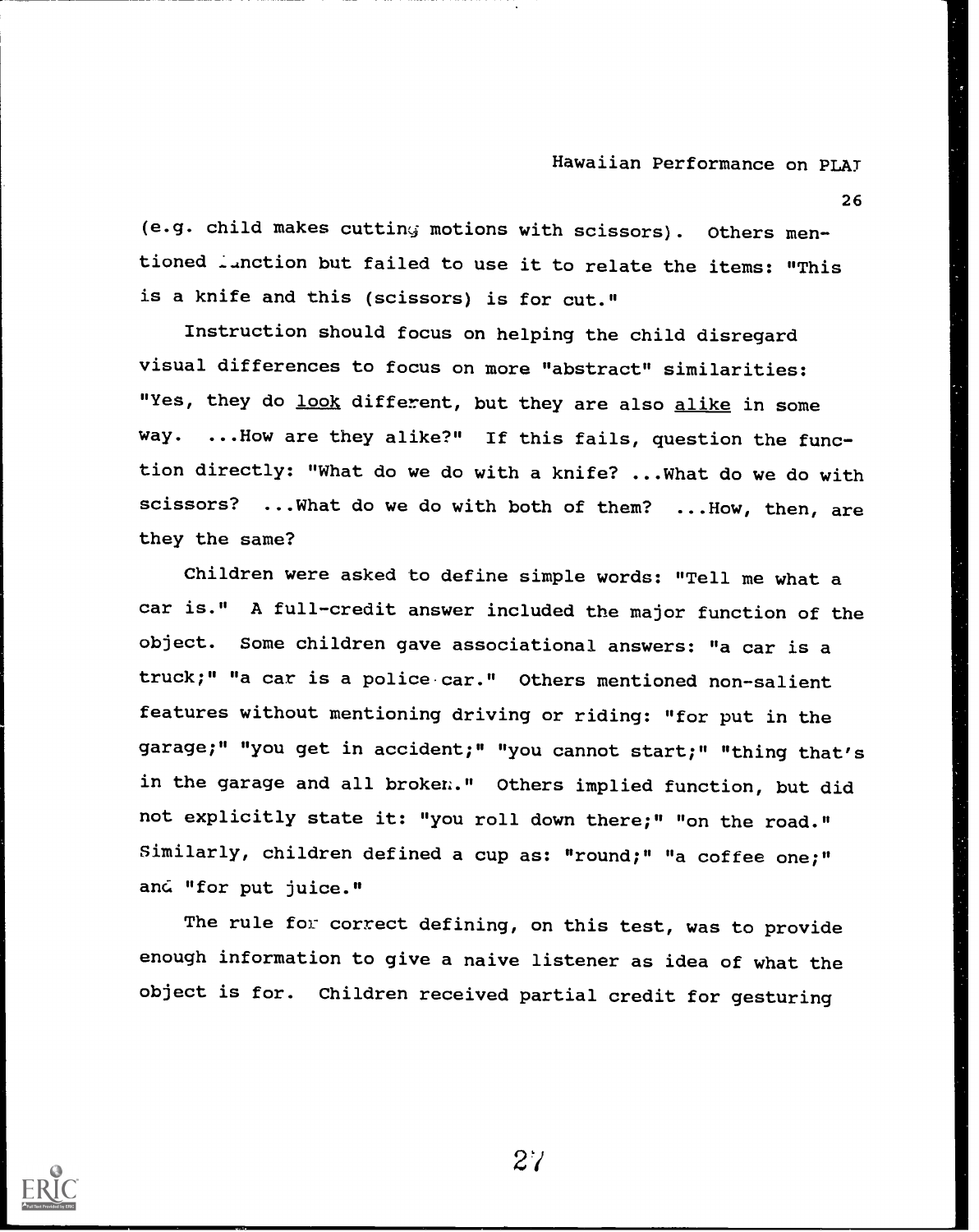26

(e.g. child makes cutting motions with scissors). Others mentioned ..nction but failed to use it to relate the items: "This is a knife and this (scissors) is for cut."

Instruction should focus on helping the child disregard visual differences to focus on more "abstract" similarities: "Yes, they do look different, but they are also alike in some way. ...How are they alike?" If this fails, question the function directly: "What do we do with a knife? ...What do we do with scissors? ...What do we do with both of them? ...How, then, are they the same?

Children were asked to define simple words: "Tell me what a car is." A full-credit answer included the major function of the object. Some children gave associational answers: "a car is a truck;" "a car is a police car." Others mentioned non-salient features without mentioning driving or riding: "for put in the garage;" "you get in accident;" "you cannot start;" "thing that's in the garage and all broken." Others implied function, but did not explicitly state it: "you roll down there;" "on the road." Similarly, children defined a cup as: "round;" "a coffee one;" and "for put juice."

The rule for correct defining, on this test, was to provide enough information to give a naive listener as idea of what the object is for. Children received partial credit for gesturing

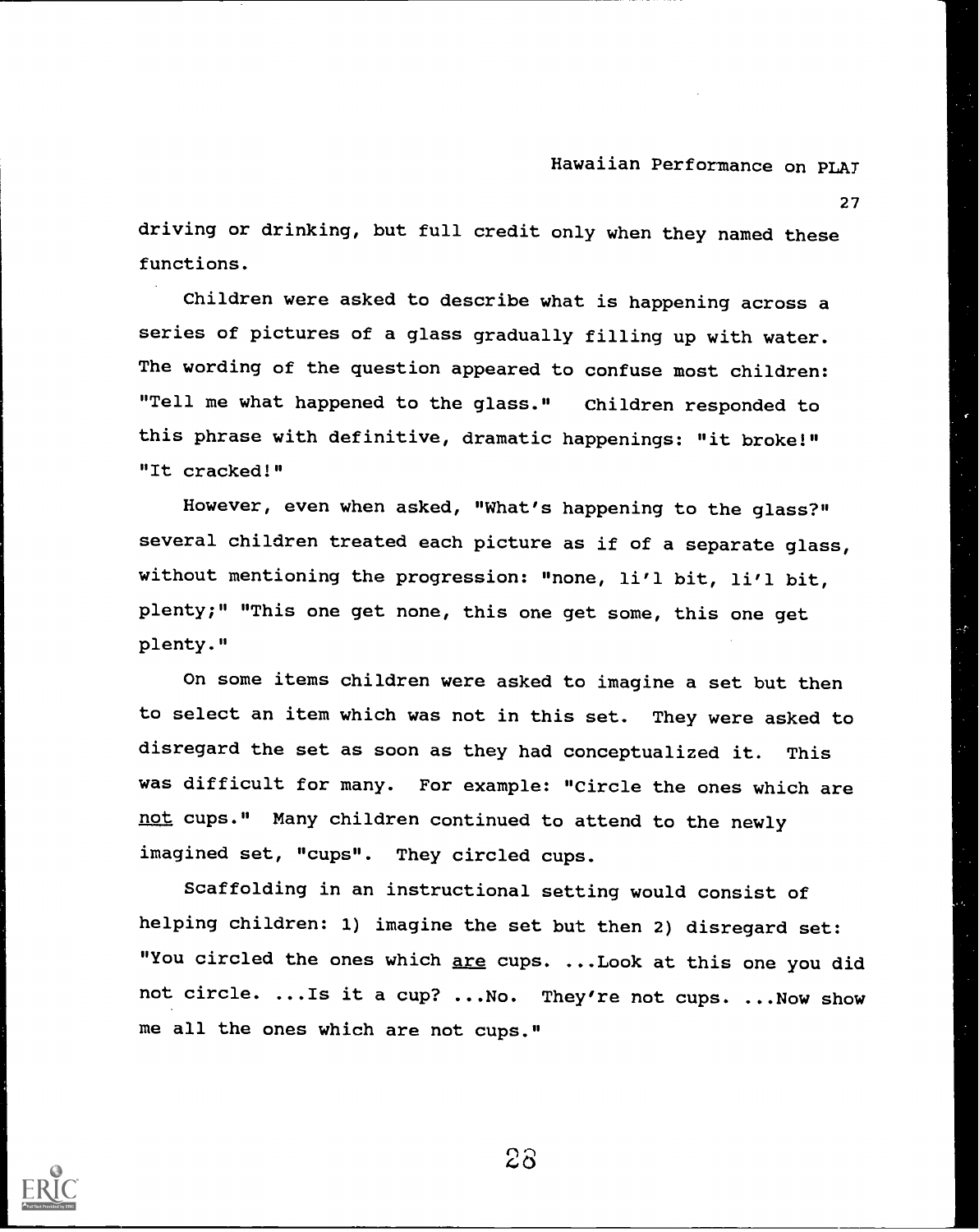27

driving or drinking, but full credit only when they named these functions.

Children were asked to describe what is happening across a series of pictures of a glass gradually filling up with water. The wording of the question appeared to confuse most children: "Tell me what happened to the glass." Children responded to this phrase with definitive, dramatic happenings: "it broke!" "It cracked!"

However, even when asked, "What's happening to the glass?" several children treated each picture as if of a separate glass, without mentioning the progression: "none, li'l bit, li'l bit, plenty;" "This one get none, this one get some, this one get plenty."

On some items children were asked to imagine a set but then to select an item which was not in this set. They were asked to disregard the set as soon as they had conceptualized it. This was difficult for many. For example: "Circle the ones which are not cups." Many children continued to attend to the newly imagined set, "cups". They circled cups.

Scaffolding in an instructional setting would consist of helping children: 1) imagine the set but then 2) disregard set: "You circled the ones which are cups. ...Look at this one you did not circle. ...Is it a cup? ...No. They're not cups. ...Now show me all the ones which are not cups."

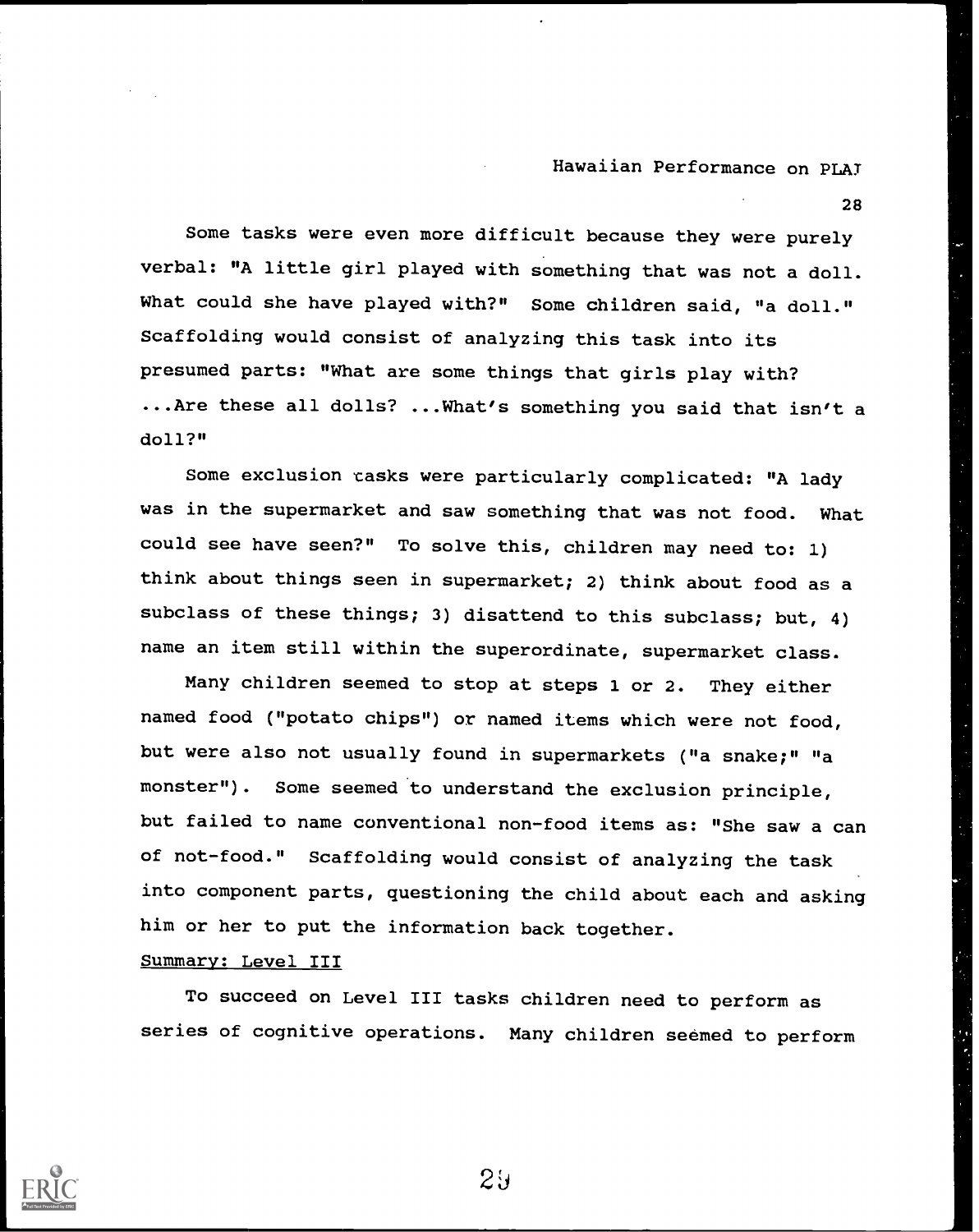28

Some tasks were even more difficult because they were purely verbal: "A little girl played with something that was not a doll. What could she have played with?" Some children said, "a doll." Scaffolding would consist of analyzing this task into its presumed parts: "What are some things that girls play with? ...Are these all dolls? ...What's something you said that isn't a doll?"

Some exclusion casks were particularly complicated: "A lady was in the supermarket and saw something that was not food. What could see have seen?" To solve this, children may need to: 1) think about things seen in supermarket; 2) think about food as a subclass of these things; 3) disattend to this subclass; but, 4) name an item still within the superordinate, supermarket class.

Many children seemed to stop at steps 1 or 2. They either named food ("potato chips") or named items which were not food, but were also not usually found in supermarkets ("a snake;" "a monster"). Some seemed to understand the exclusion principle, but failed to name conventional non-food items as: "She saw a can of not-food." Scaffolding would consist of analyzing the task into component parts, questioning the child about each and asking him or her to put the information back together.

#### Summary: Level III

To succeed on Level III tasks children need to perform as series of cognitive operations. Many children seemed to perform



 $2y$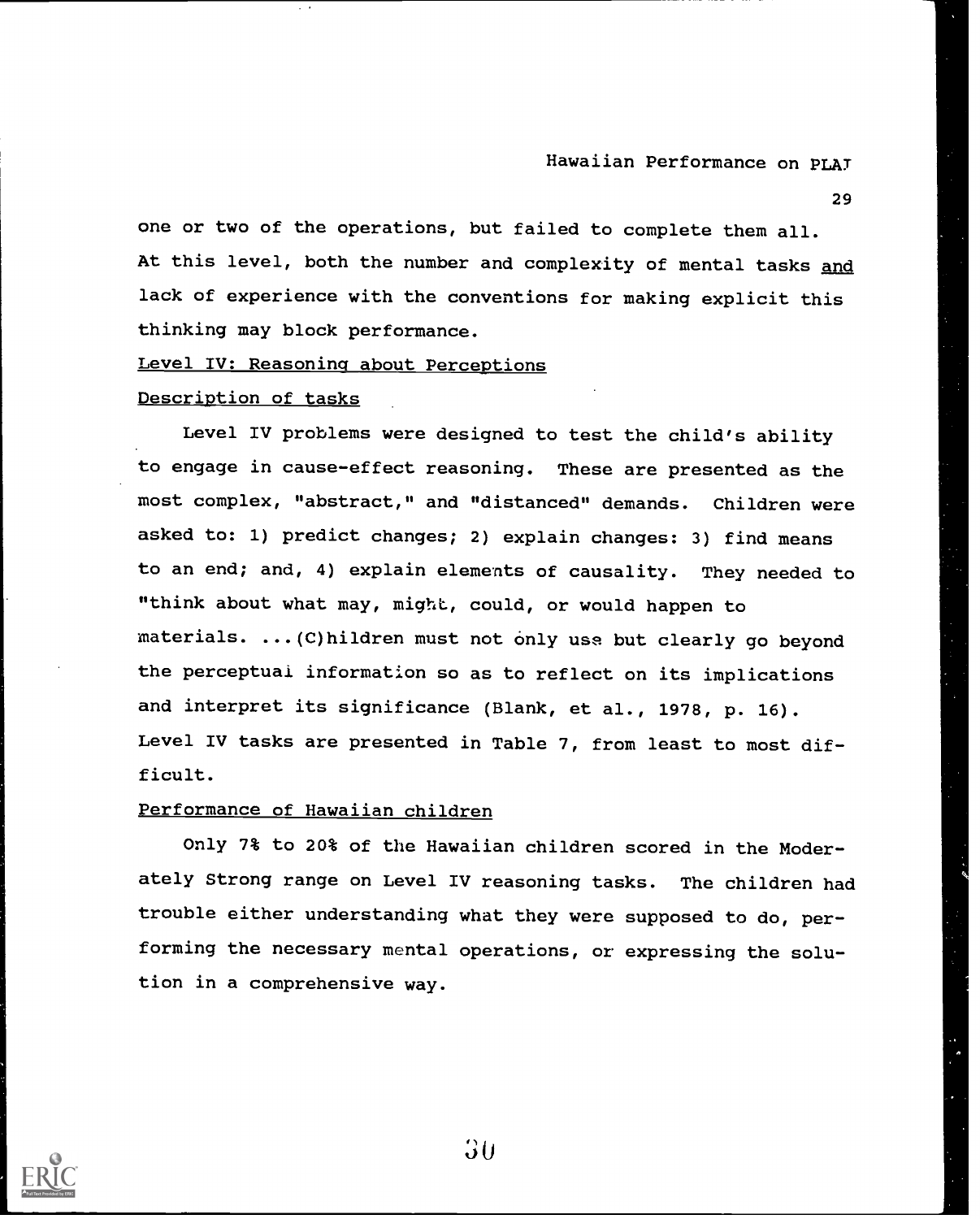29

one or two of the operations, but failed to complete them all. At this level, both the number and complexity of mental tasks and lack of experience with the conventions for making explicit this thinking may block performance.

## Level IV: Reasoning about Perceptions

#### Description of tasks

Level IV problems were designed to test the child's ability to engage in cause-effect reasoning. These are presented as the most complex, "abstract," and "distanced" demands. Children were asked to: 1) predict changes; 2) explain changes: 3) find means to an end; and, 4) explain elements of causality. They needed to "think about what may, might, could, or would happen to materials. ...(C)hildren must not only use but clearly go beyond the perceptual information so as to reflect on its implications and interpret its significance (Blank, et al., 1978, p. 16). Level IV tasks are presented in Table 7, from least to most difficult.

#### Performance of Hawaiian children

Only 7% to 20% of the Hawaiian children scored in the Moderately Strong range on Level IV reasoning tasks. The children had trouble either understanding what they were supposed to do, performing the necessary mental operations, or expressing the solution in a comprehensive way.

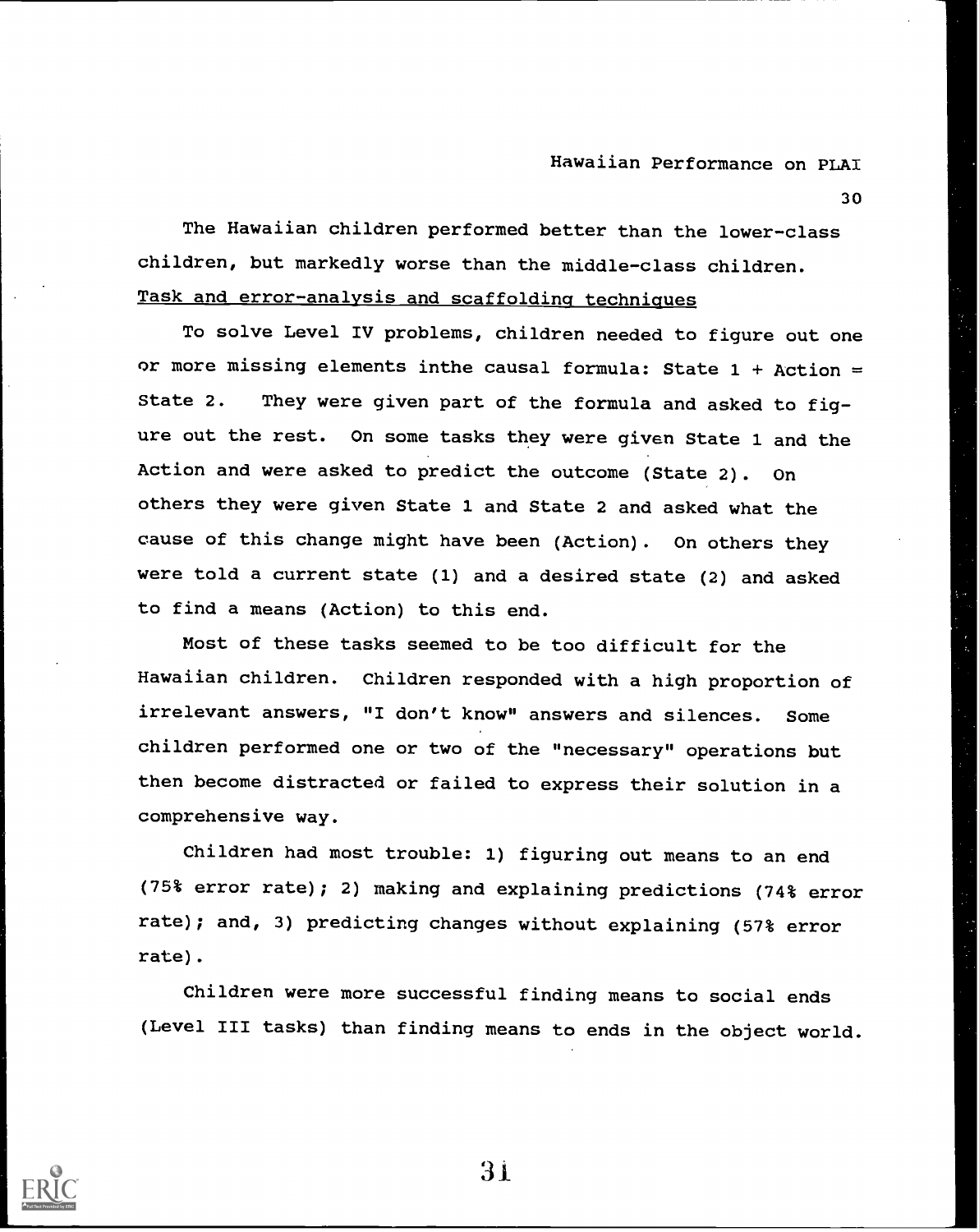30

The Hawaiian children performed better than the lower-class children, but markedly worse than the middle-class children. Task and error-analysis and scaffolding techniques

To solve Level IV problems, children needed to figure out one or more missing elements inthe causal formula: State  $1 +$  Action = State 2. They were given part of the formula and asked to figure out the rest. On some tasks they were given State 1 and the Action and were asked to predict the outcome (State 2). On others they were given State 1 and State 2 and asked what the cause of this change might have been (Action). On others they were told a current state (1) and a desired state (2) and asked to find a means (Action) to this end.

Most of these tasks seemed to be too difficult for the Hawaiian children. Children responded with a high proportion of irrelevant answers, "I don't know" answers and silences. Some children performed one or two of the "necessary" operations but then become distracted or failed to express their solution in a comprehensive way.

Children had most trouble: 1) figuring out means to an end (75% error rate); 2) making and explaining predictions (74% error rate); and, 3) predicting changes without explaining (57% error rate).

Children were more successful finding means to social ends (Level III tasks) than finding means to ends in the object world.



3'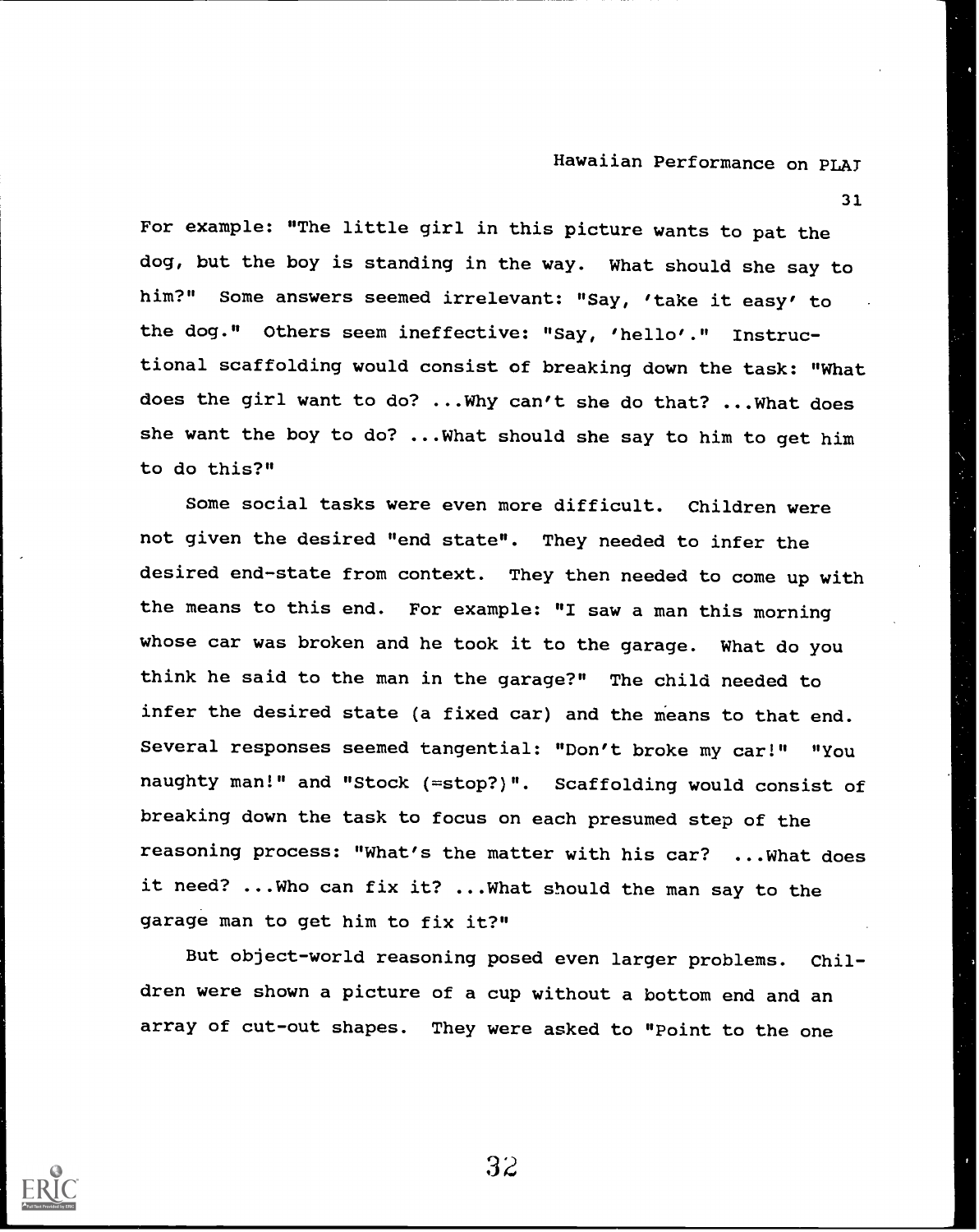31

For example: "The little girl in this picture wants to pat the dog, but the boy is standing in the way. What should she say to him?" Some answers seemed irrelevant: "Say, 'take it easy' to the dog." Others seem ineffective: "Say, 'hello'." Instructional scaffolding would consist of breaking down the task: "What does the girl want to do? ...Why can't she do that? ...What does she want the boy to do? ...What should she say to him to get him to do this?"

Some social tasks were even more difficult. Children were not given the desired "end state". They needed to infer the desired end-state from context. They then needed to come up with the means to this end. For example: "I saw a man this morning whose car was broken and he took it to the garage. What do you think he said to the man in the garage?" The child needed to infer the desired state (a fixed car) and the means to that end. Several responses seemed tangential: "Don't broke my car!" "You naughty man!" and "Stock (=stop?)". Scaffolding would consist of breaking down the task to focus on each presumed step of the reasoning process: "What's the matter with his car? ...What does it need? ...Who can fix it? ...What should the man say to the garage man to get him to fix it?"

But object-world reasoning posed even larger problems. Children were shown a picture of a cup without a bottom end and an array of cut-out shapes. They were asked to "Point to the one

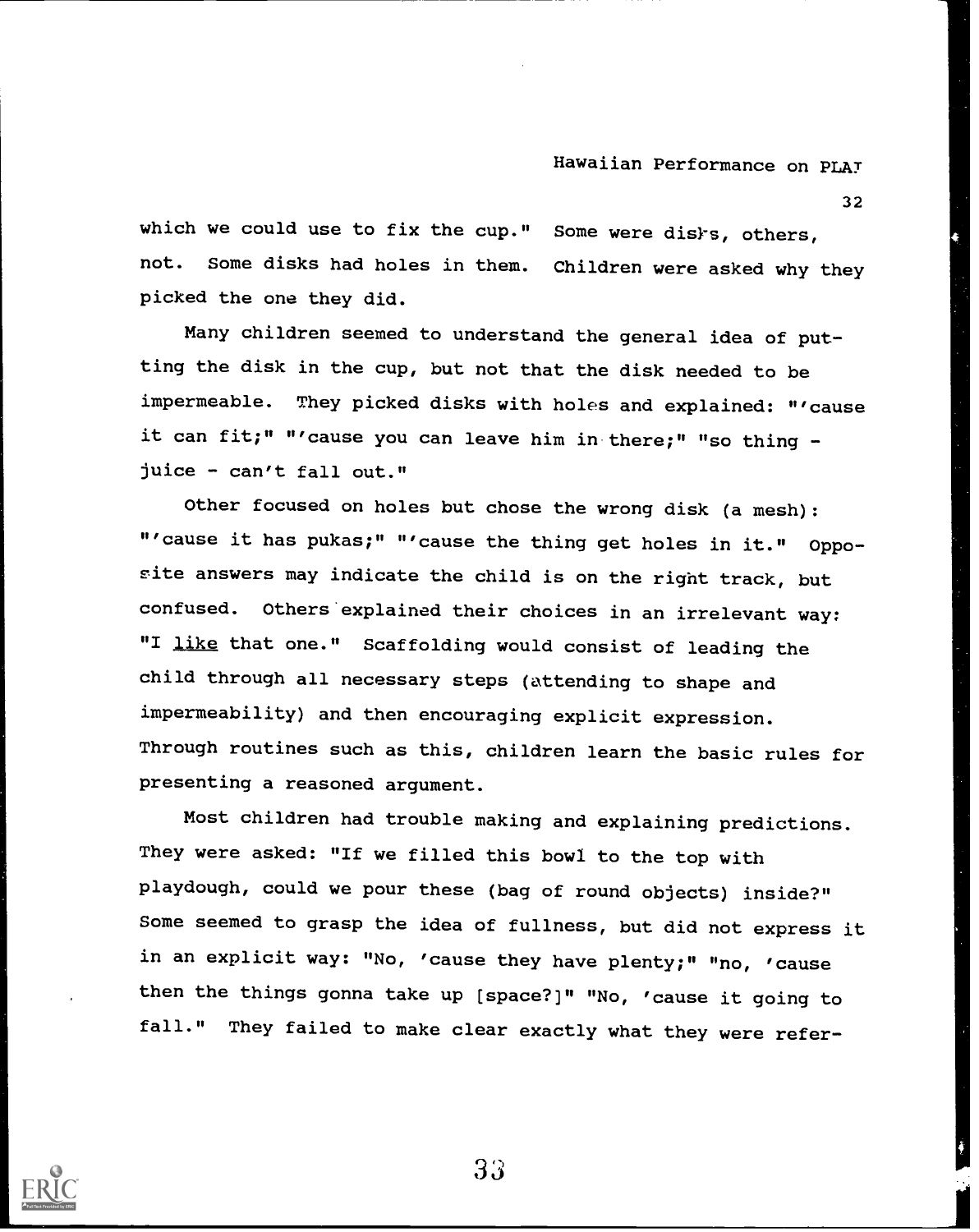32

which we could use to fix the cup." Some were disks, others, not. Some disks had holes in them. Children were asked why they picked the one they did.

Many children seemed to understand the general idea of putting the disk in the cup, but not that the disk needed to be impermeable. They picked disks with holes and explained: "'cause it can fit;" "'cause you can leave him in there;" "so thing juice - can't fall out."

Other focused on holes but chose the wrong disk (a mesh): "'cause it has pukas;" "'cause the thing get holes in it." Opposite answers may indicate the child is on the right track, but confused. Others explained their choices in an irrelevant way: "I like that one." Scaffolding would consist of leading the child through all necessary steps (attending to shape and impermeability) and then encouraging explicit expression. Through routines such as this, children learn the basic rules for presenting a reasoned argument.

Most children had trouble making and explaining predictions. They were asked: "If we filled this bowl to the top with playdough, could we pour these (bag of round objects) inside?" Some seemed to grasp the idea of fullness, but did not express it in an explicit way: "No, 'cause they have plenty;" "no, 'cause then the things gonna take up (space?)" "No, 'cause it going to fall." They failed to make clear exactly what they were refer-

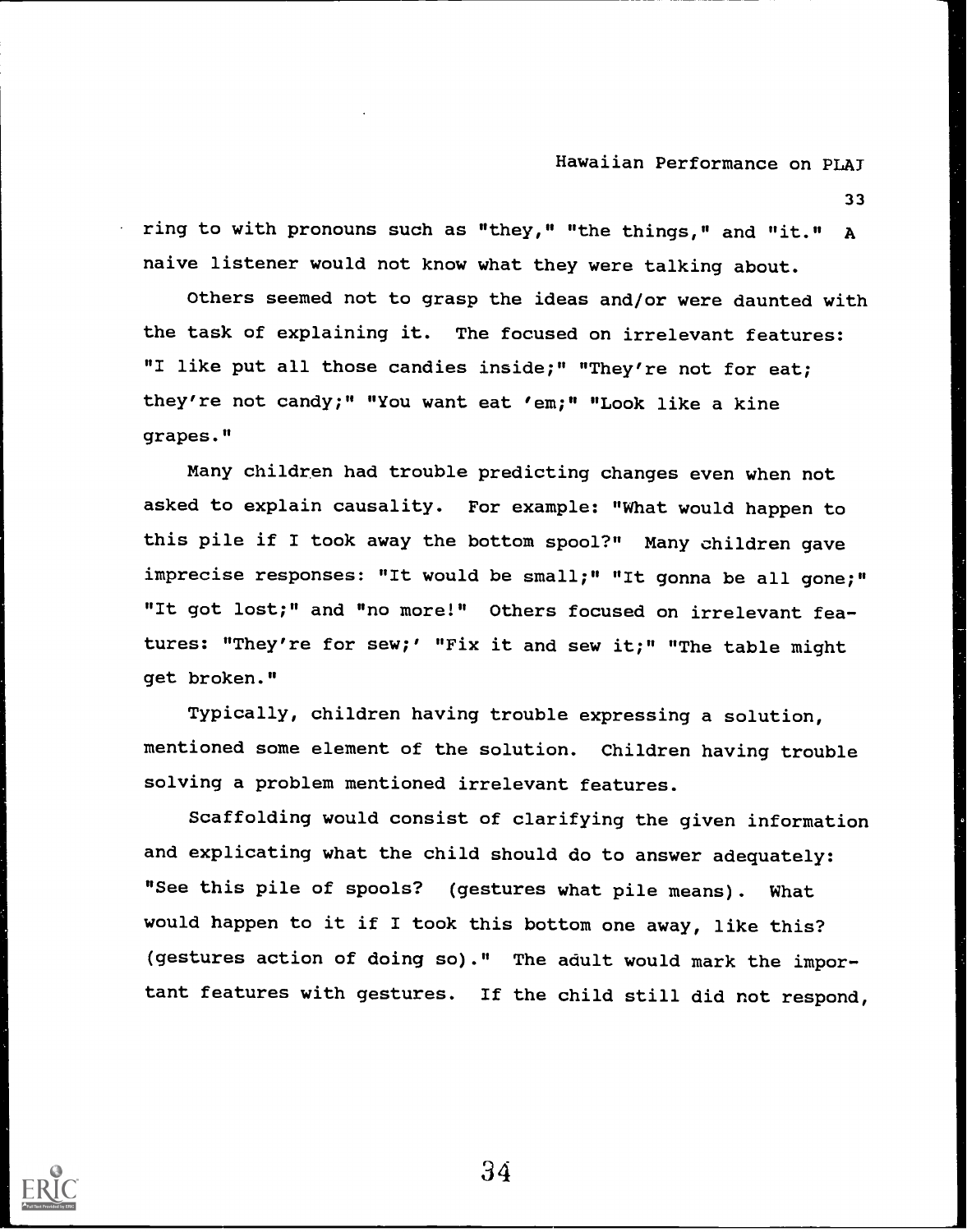33

ring to with pronouns such as "they," "the things," and "it." A naive listener would not know what they were talking about.

Others seemed not to grasp the ideas and/or were daunted with the task of explaining it. The focused on irrelevant features: "I like put all those candies inside;" "They're not for eat; they're not candy;" "You want eat 'em;" "Look like a kine grapes."

Many children had trouble predicting changes even when not asked to explain causality. For example: "What would happen to this pile if I took away the bottom spool?" Many children gave imprecise responses: "It would be small;" "It gonna be all gone;" "It got lost;" and "no more!" Others focused on irrelevant features: "They're for sew;' "Fix it and sew it;" "The table might get broken."

Typically, children having trouble expressing a solution, mentioned some element of the solution. Children having trouble solving a problem mentioned irrelevant features.

Scaffolding would consist of clarifying the given information and explicating what the child should do to answer adequately: "See this pile of spools? (gestures what pile means). What would happen to it if I took this bottom one away, like this? (gestures action of doing so)." The adult would mark the important features with gestures. If the child still did not respond,

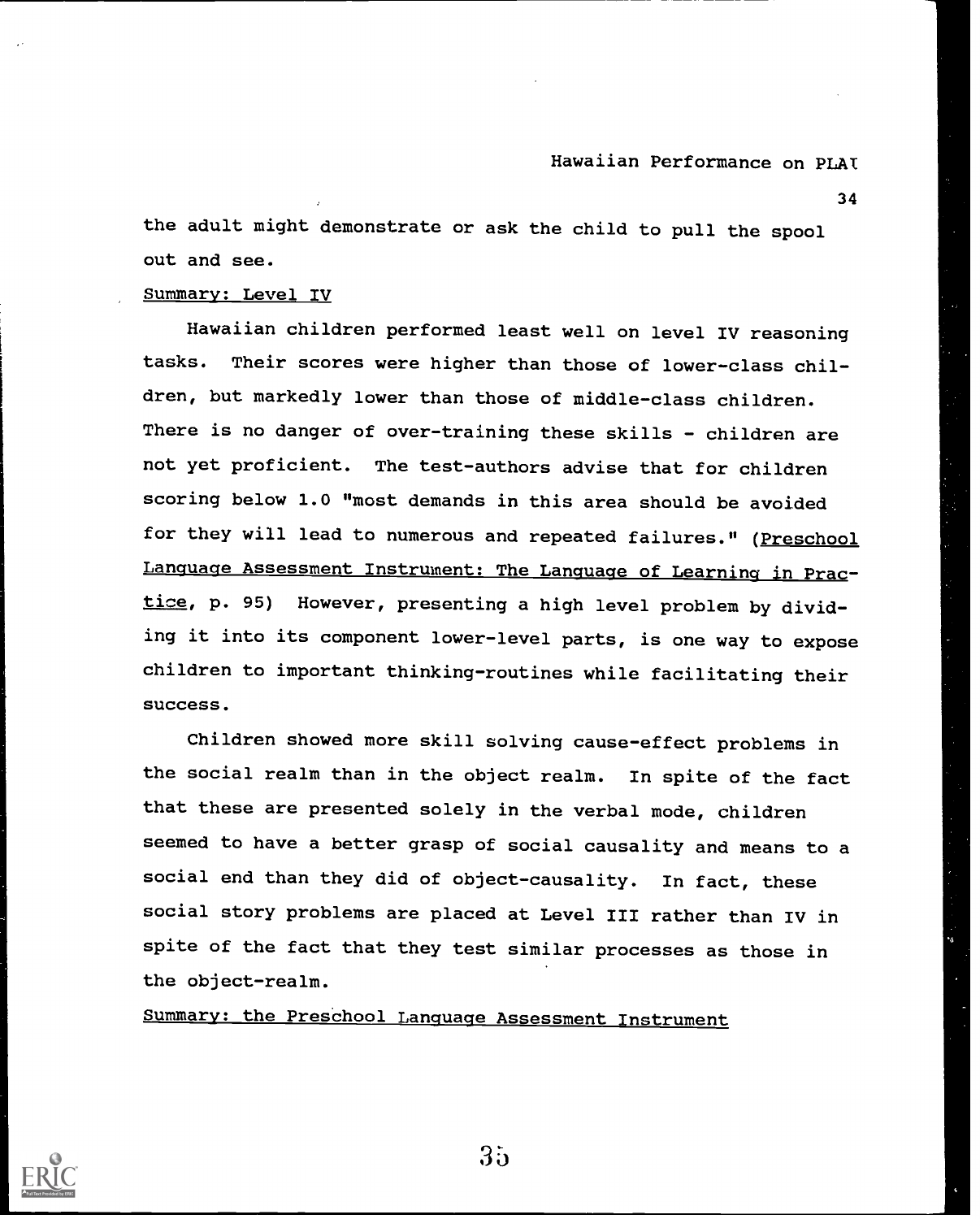34

the adult might demonstrate or ask the child to pull the spool out and see.

#### Summary: Level IV

Hawaiian children performed least well on level IV reasoning tasks. Their scores were higher than those of lower-class children, but markedly lower than those of middle-class children. There is no danger of over-training these skills - children are not yet proficient. The test-authors advise that for children scoring below 1.0 "most demands in this area should be avoided for they will lead to numerous and repeated failures." (Preschool Language Assessment Instrument: The Language of Learning in Practice, p. 95) However, presenting a high level problem by dividing it into its component lower-level parts, is one way to expose children to important thinking-routines while facilitating their success.

Children showed more skill solving cause-effect problems in the social realm than in the object realm. In spite of the fact that these are presented solely in the verbal mode, children seemed to have a better grasp of social causality and means to a social end than they did of object-causality. In fact, these social story problems are placed at Level III rather than IV in spite of the fact that they test similar processes as those in the object-realm.

Summary: the Preschool Language Assessment Instrument

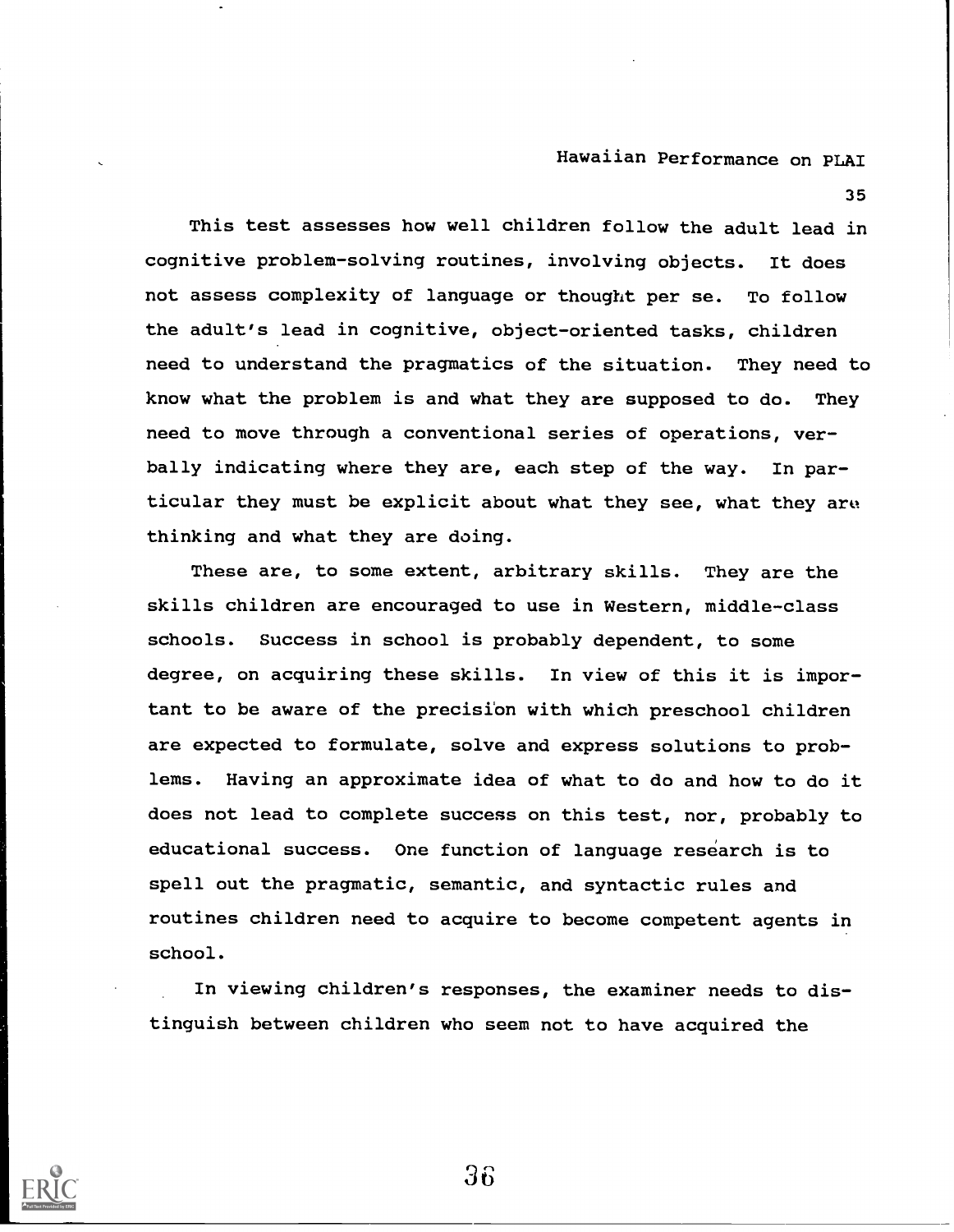35

This test assesses how well children follow the adult lead in cognitive problem-solving routines, involving objects. It does not assess complexity of language or thought per se. To follow the adult's lead in cognitive, object-oriented tasks, children need to understand the pragmatics of the situation. They need to know what the problem is and what they are supposed to do. They need to move through a conventional series of operations, verbally indicating where they are, each step of the way. In particular they must be explicit about what they see, what they are thinking and what they are doing.

These are, to some extent, arbitrary skills. They are the skills children are encouraged to use in Western, middle-class schools. Success in school is probably dependent, to some degree, on acquiring these skills. In view of this it is important to be aware of the precision with which preschool children are expected to formulate, solve and express solutions to problems. Having an approximate idea of what to do and how to do it does not lead to complete success on this test, nor, probably to educational success. One function of language research is to spell out the pragmatic, semantic, and syntactic rules and routines children need to acquire to become competent agents in school.

In viewing children's responses, the examiner needs to distinguish between children who seem not to have acquired the

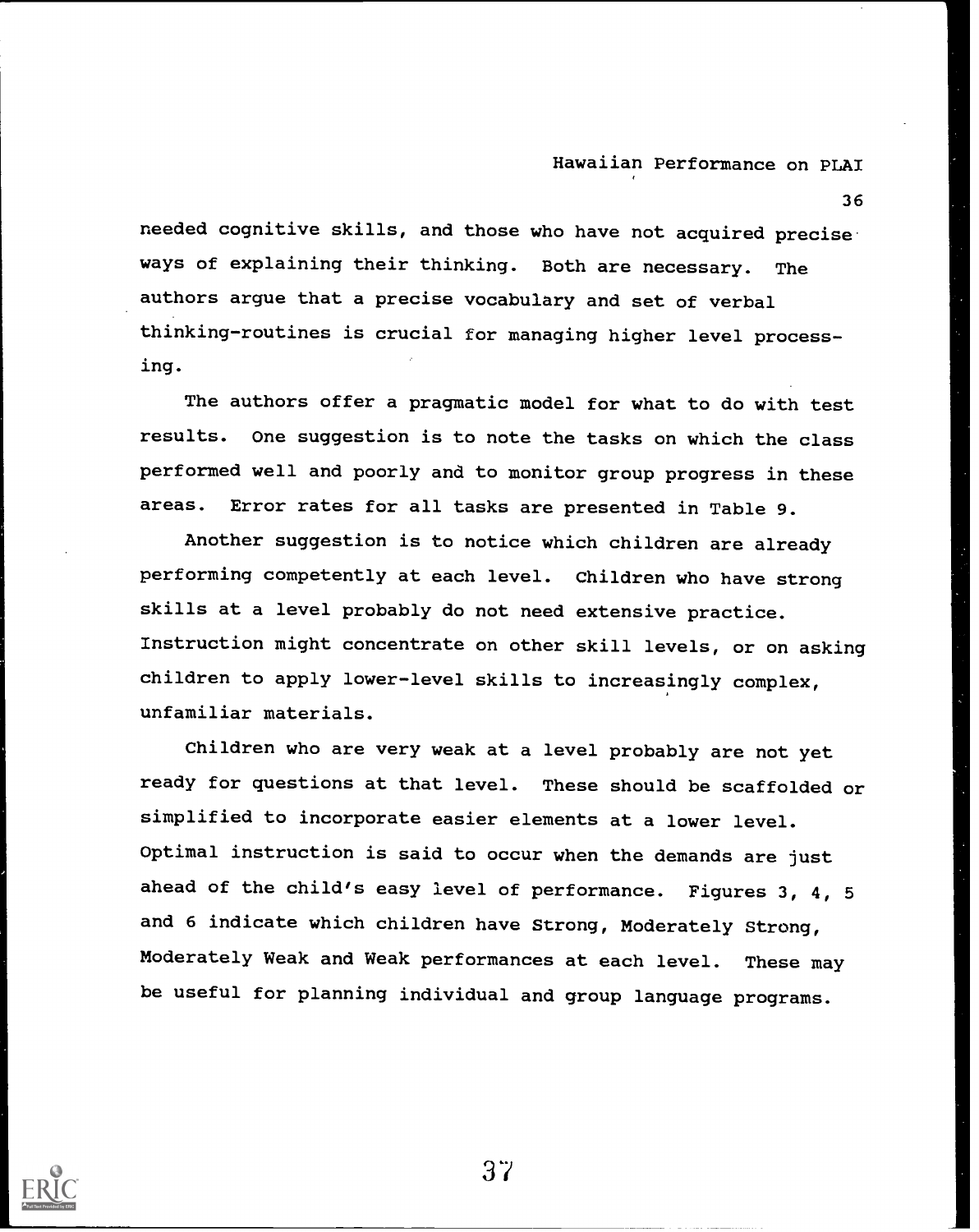36

needed cognitive skills, and those who have not acquired precise ways of explaining their thinking. Both are necessary. The authors argue that a precise vocabulary and set of verbal thinking-routines is crucial for managing higher level processing.

The authors offer a pragmatic model for what to do with test results. One suggestion is to note the tasks on which the class performed well and poorly and to monitor group progress in these areas. Error rates for all tasks are presented in Table 9.

Another suggestion is to notice which children are already performing competently at each level. Children who have strong skills at a level probably do not need extensive practice. Instruction might concentrate on other skill levels, or on asking children to apply lower-level skills to increasingly complex, unfamiliar materials.

Children who are very weak at a level probably are not yet ready for questions at that level. These should be scaffolded or simplified to incorporate easier elements at a lower level. Optimal instruction is said to occur when the demands are just ahead of the child's easy level of performance. Figures 3, 4, 5 and 6 indicate which children have Strong, Moderately Strong, Moderately Weak and Weak performances at each level. These may be useful for planning individual and group language programs.

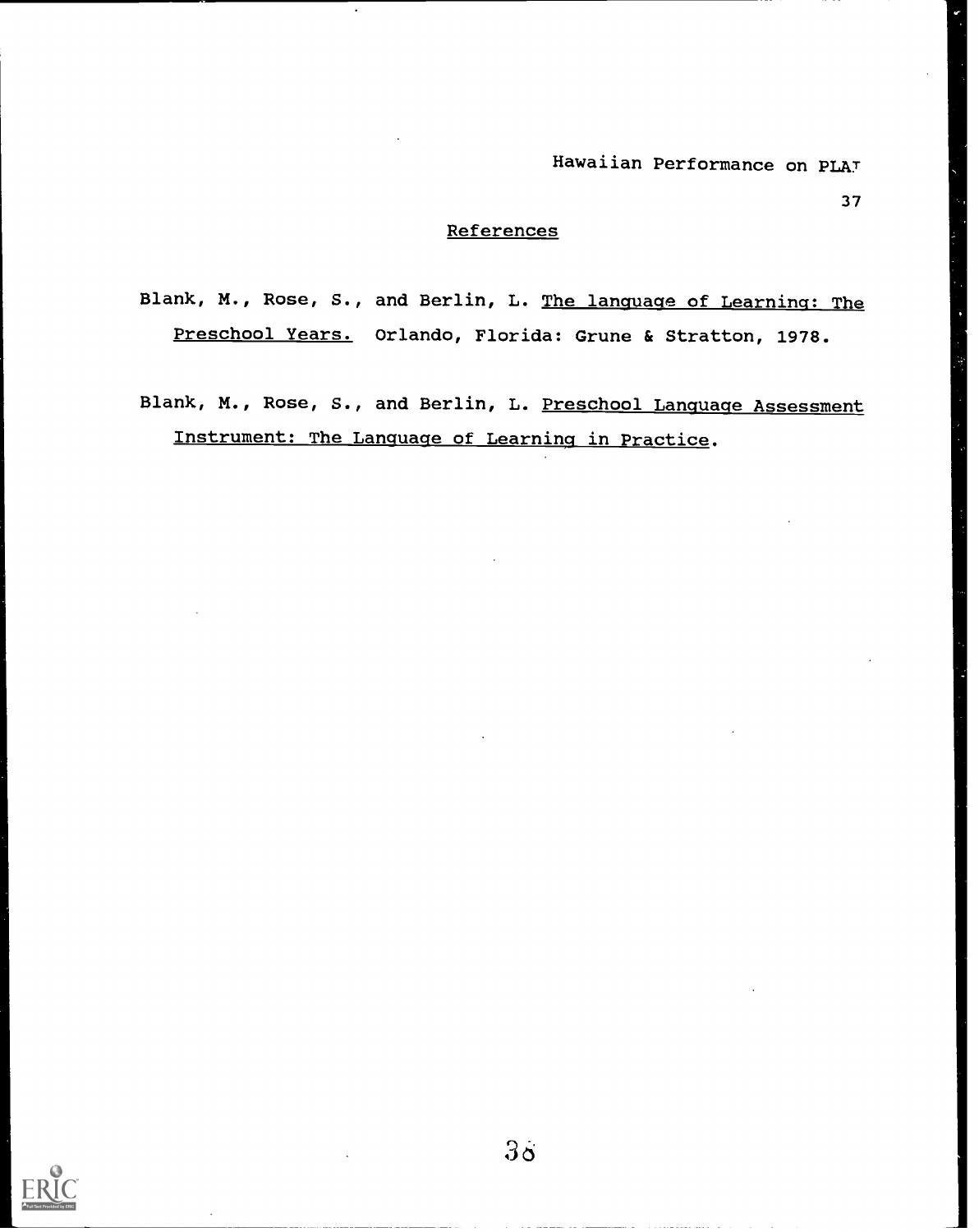37

#### **References**

Blank, M., Rose, S., and Berlin, L. The language of Learning: The Preschool Years. Orlando, Florida: Grune & Stratton, 1978.

Blank, M., Rose, S., and Berlin, L. Preschool Language Assessment Instrument: The Language of Learning in Practice.

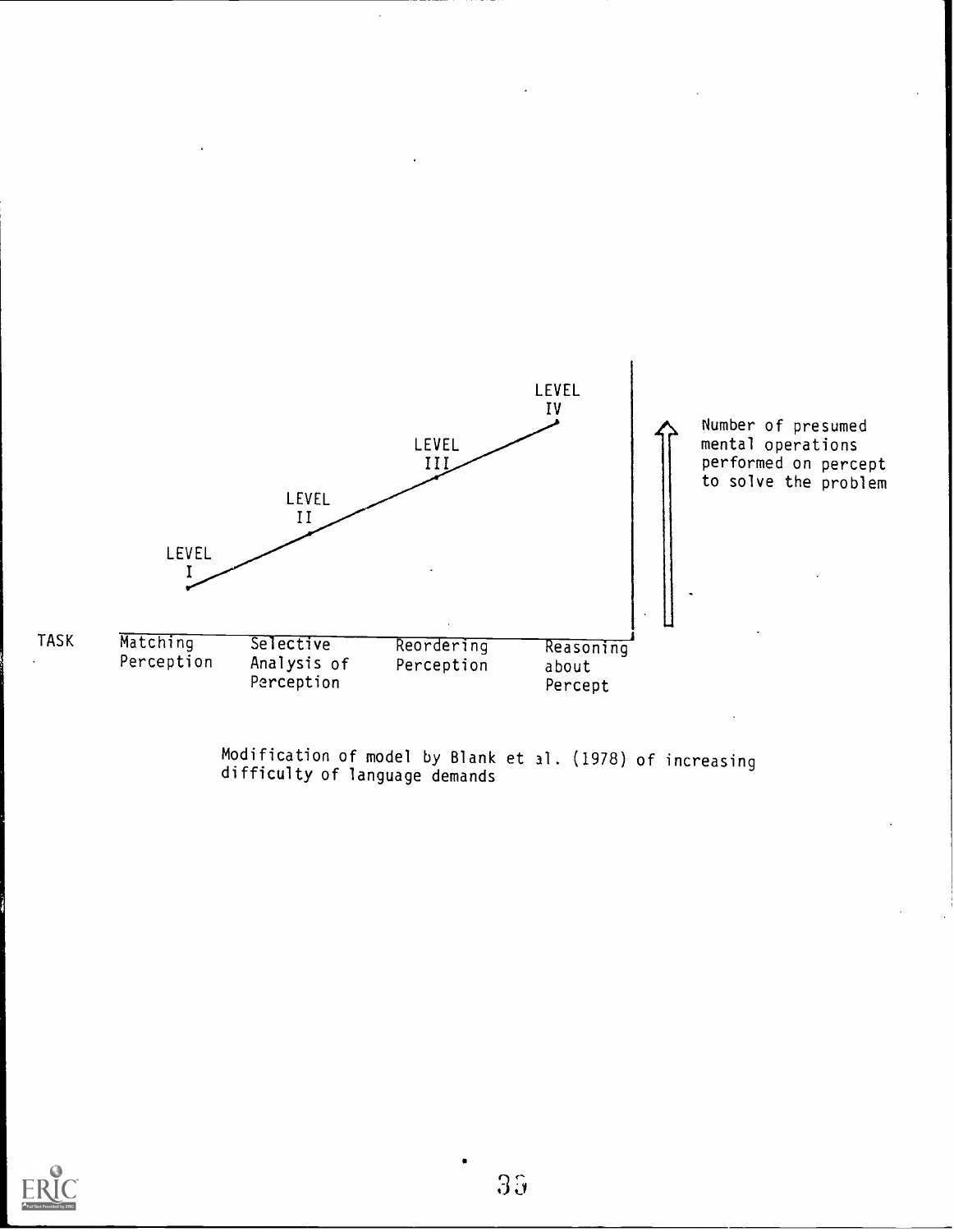

Modification of model by Blank et al. (1978) of increasing difficulty of language demands

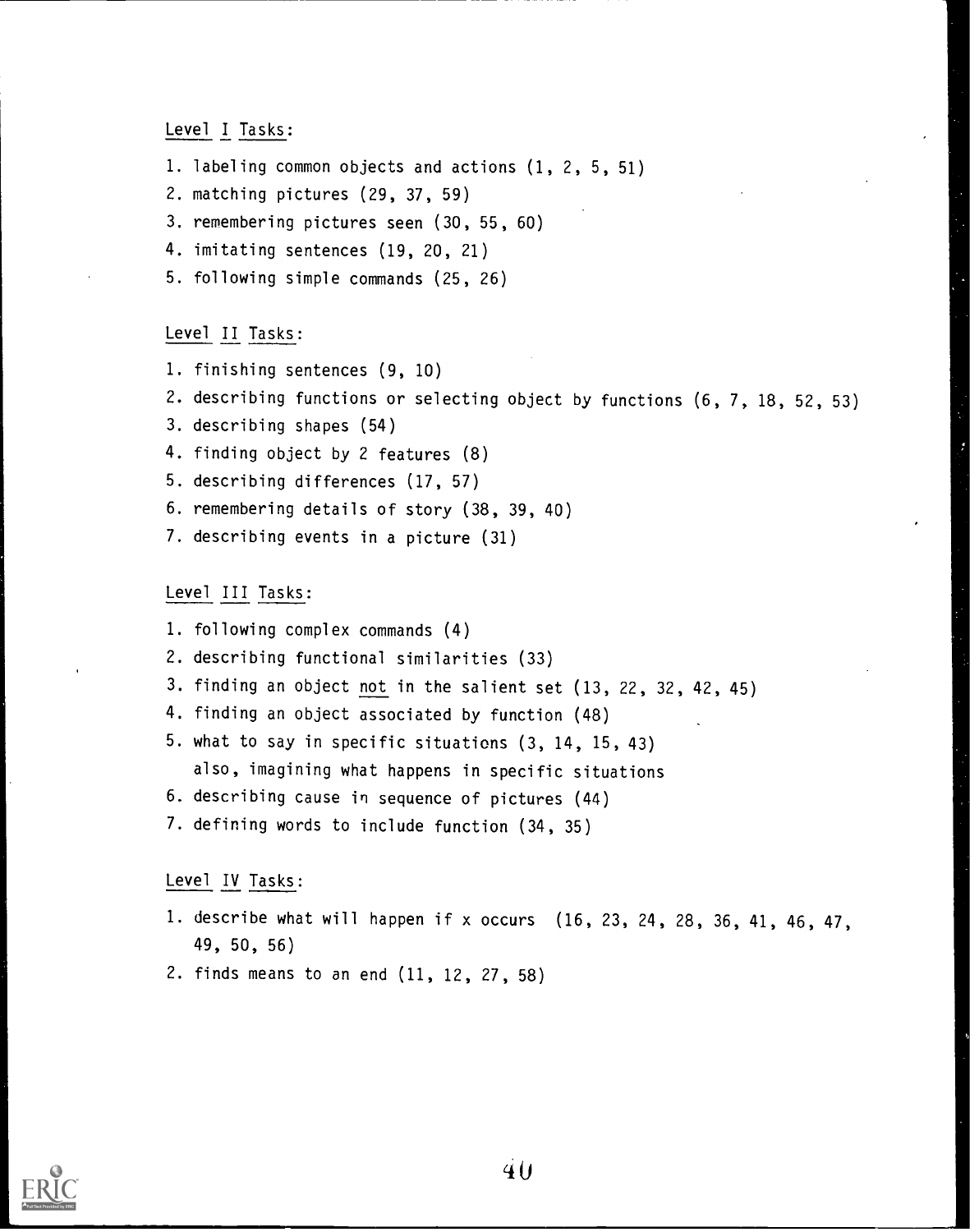Level I Tasks:

- 1. labeling common objects and actions (1, 2, 5, 51)
- 2. matching pictures (29, 37, 59)
- 3. remembering pictures seen (30, 55, 60)
- 4. imitating sentences (19, 20, 21)
- 5. following simple commands (25, 26)

## Level II Tasks:

- 1. finishing sentences (9, 10)
- 2. describing functions or selecting object by functions (6, 7, 18, 52, 53)
- 3. describing shapes (54)
- 4. finding object by 2 features (8)
- 5. describing differences (17, 57)
- 6. remembering details of story (38, 39, 40)
- 7. describing events in a picture (31)

Level III Tasks:

- 1. following complex commands (4)
- 2. describing functional similarities (33)
- 3. finding an object not in the salient set (13, 22, 32, 42, 45)
- 4. finding an object associated by function (48)
- 5. what to say in specific situations (3, 14, 15, 43) also, imagining what happens in specific situations
- 6. describing cause in sequence of pictures (44)
- 7. defining words to include function (34, 35)

Level IV Tasks:

- 1. describe what will happen if x occurs (16, 23, 24, 28, 36, 41, 46, 47, 49, 50, 56)
- 2. finds means to an end (11, 12, 27, 58)

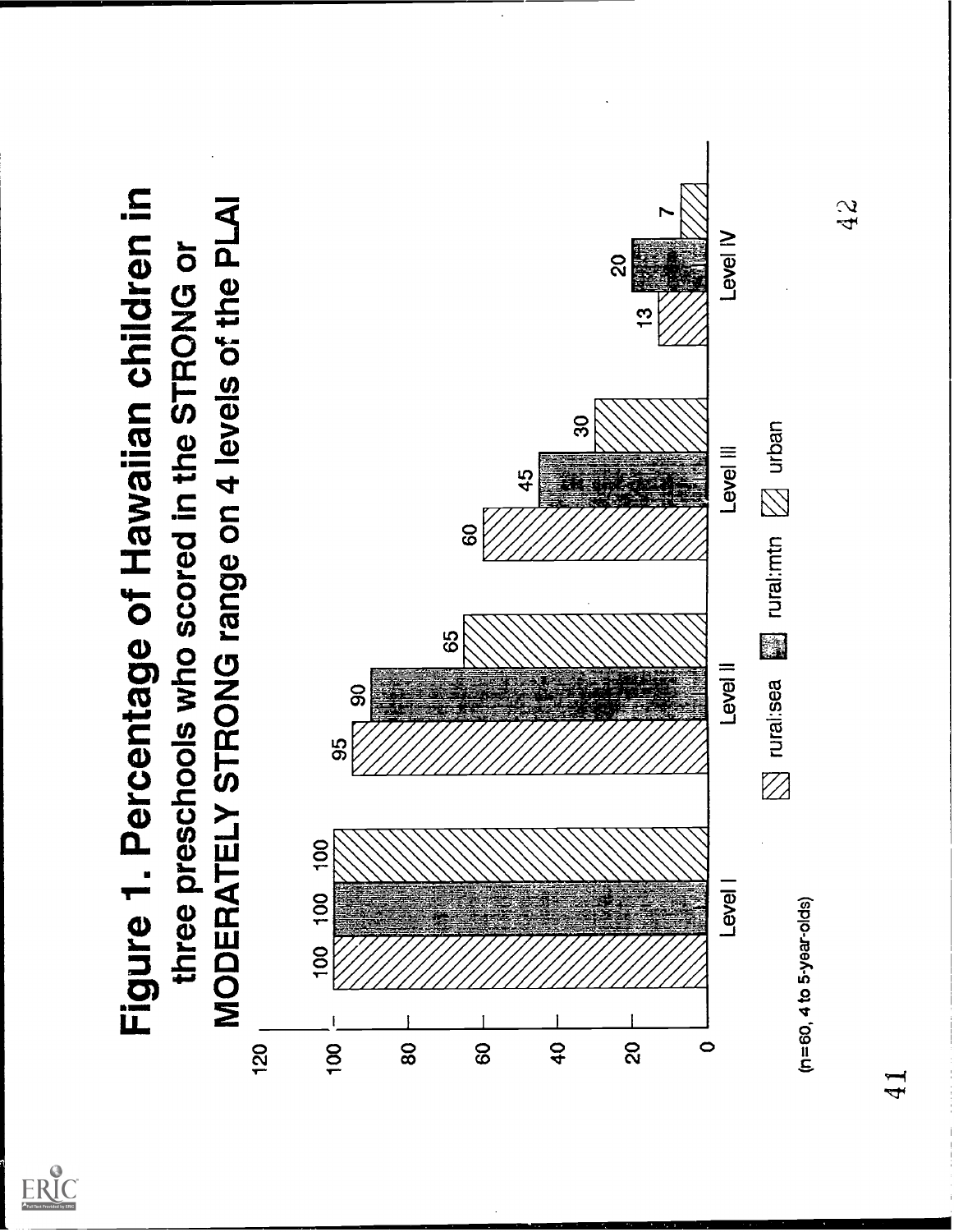

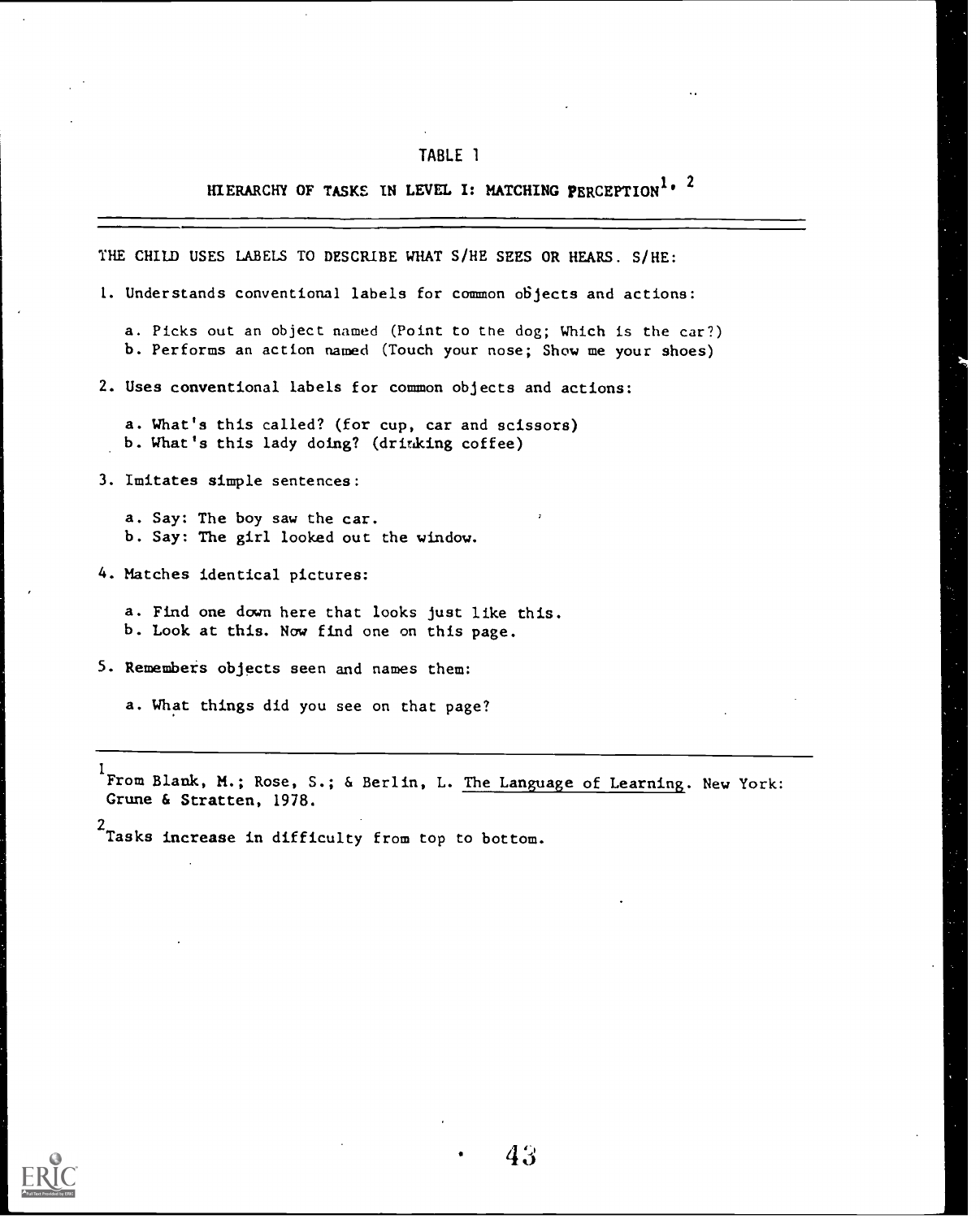## HIERARCHY OF TASKS IN LEVEL I: MATCHING PERCEPTION<sup>1, 2</sup>

THE CHILD USES LABELS TO DESCRIBE WHAT S/HE SEES OR HEARS. S/HE:

1. Understands conventional labels for common objects and actions:

a. Picks out an object named (Point to the dog; Which is the car?) b. Performs an action named (Touch your nose; Show me your shoes)

2. Uses conventional labels for common objects and actions:

a. What's this called? (for cup, car and scissors) b. What's this lady doing? (drinking coffee)

3. Imitates simple sentences:

a. Say: The boy saw the car. b. Say: The girl looked out the window.

4. Matches identical pictures:

a. Find one down here that looks just like this. b. Look at this. Now find one on this page.

5. Remembers objects seen and names them:

a. What things did you see on that page?

1 From Blank, M.; Rose, S.; & Berlin, L. The Language of Learning. New York: Grune & Stratten, 1978.

<sup>2</sup><br>Tasks increase in difficulty from top to bottom.

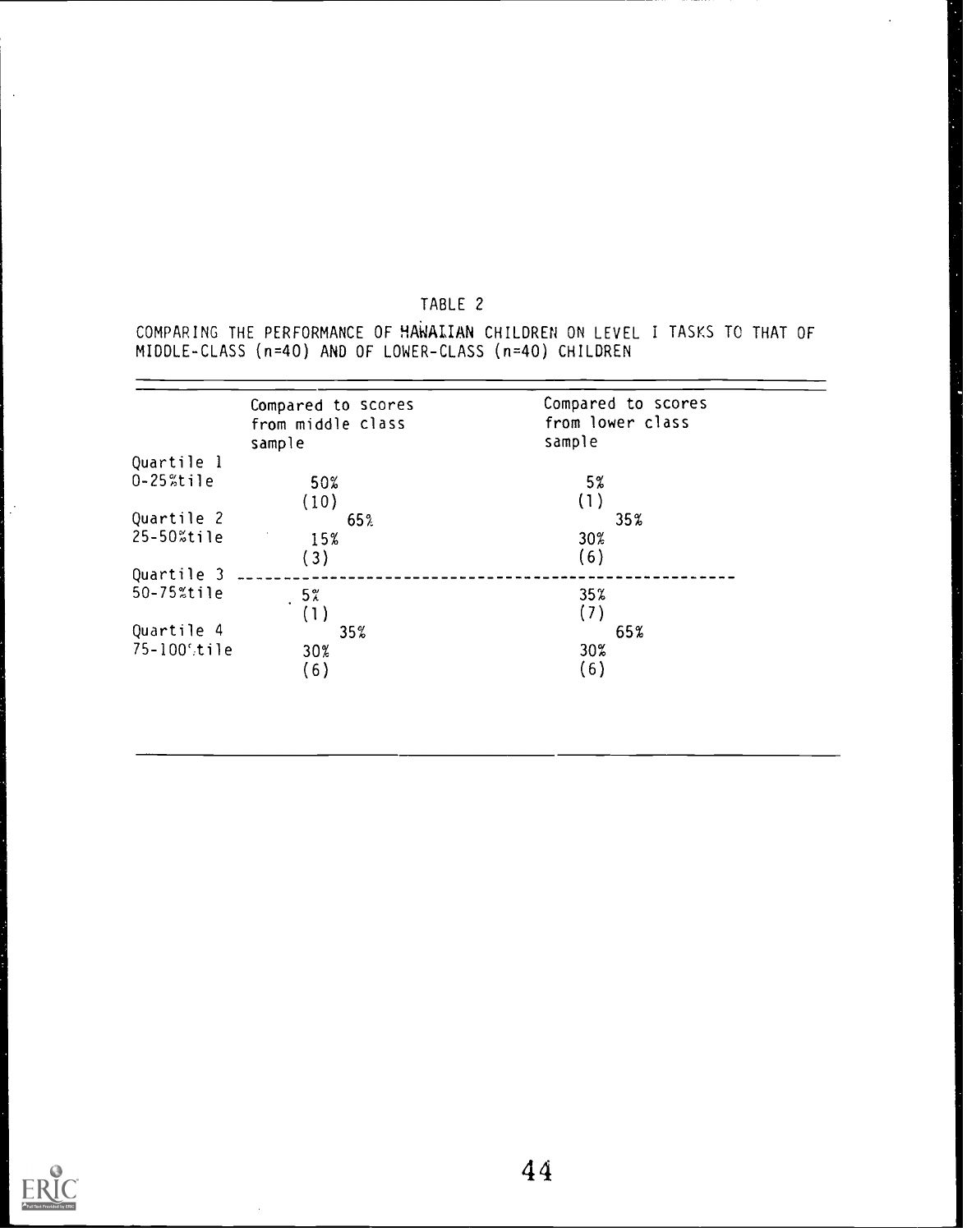COMPARING THE PERFORMANCE OF HAWALIAN CHILDREN ON LEVEL I TASKS TO THAT OF MIDDLE-CLASS (n=40) AND OF LOWER-CLASS (n=40) CHILDREN

 $\bar{z}$ 

|                | Compared to scores | Compared to scores |
|----------------|--------------------|--------------------|
|                | from middle class  | from lower class   |
|                | sample             | sample             |
| Quartile 1     |                    |                    |
| $0 - 25$ %tile | 50%                | 5%                 |
|                | (10)               | (1)                |
| Quartile 2     | 65%                | 35%                |
| 25-50%tile     | 15%                | 30%                |
|                | (3)                | (6)                |
| Quartile 3     |                    |                    |
| 50-75%tile     | $5\%$              | $35\%$             |
|                | (1)                | (7)                |
| Quartile 4     | 35%                | 65%                |
| 75-1005tile    | 30%                | 30%                |
|                | (6)                | (6)                |
|                |                    |                    |



 $\mathbb{R}^2$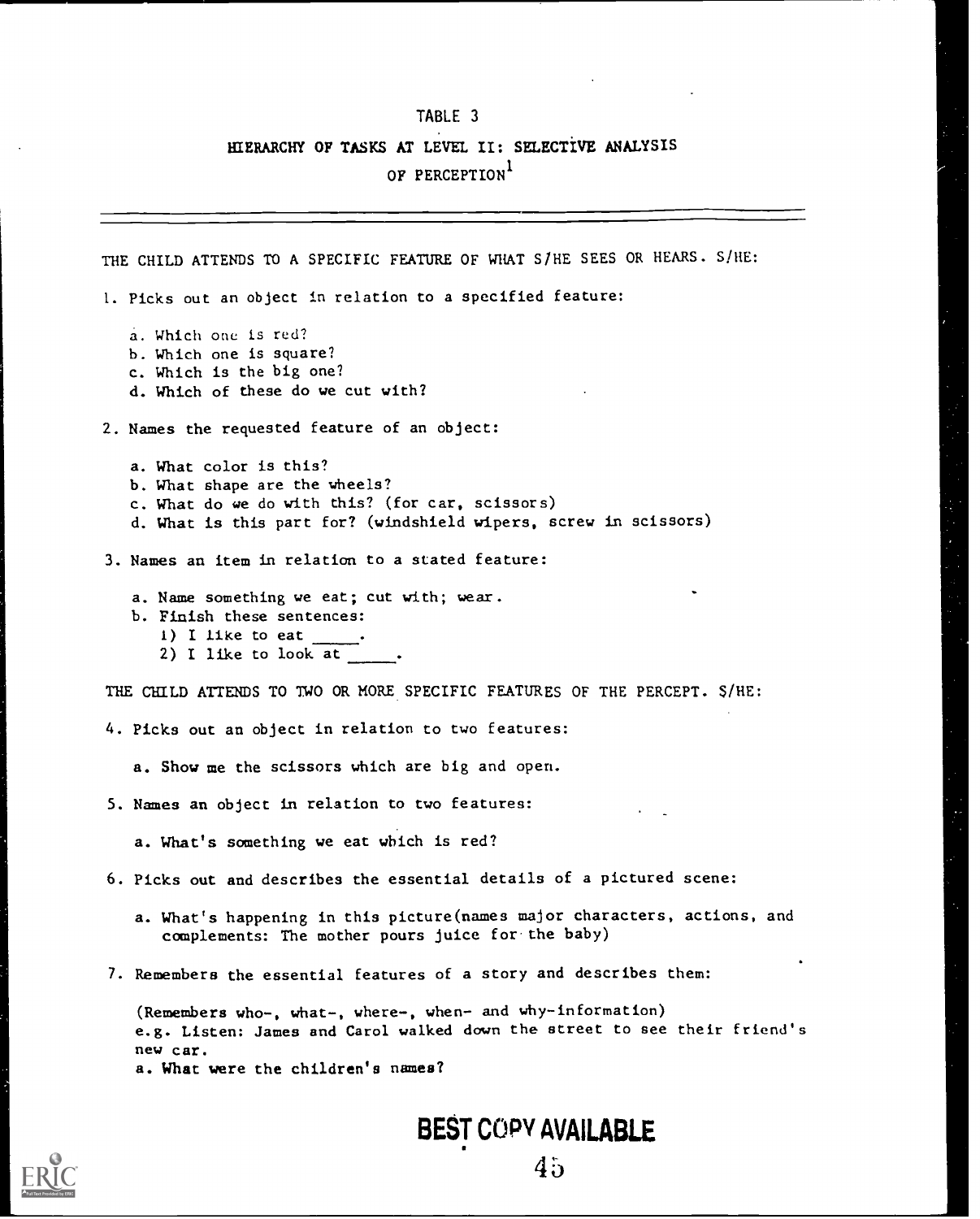## HIERARCHY OF TASKS AT LEVEL II: SELECTIVE ANALYSIS OF PERCEPTION<sup>1</sup>

THE CHILD ATTENDS TO A SPECIFIC FEATURE OF WHAT S/HE SEES OR HEARS. S/HE: 1. Picks out an object in relation to a specified feature: a. Which one is red? b. Which one is square? c. Which is the big one? d. Which of these do we cut with? 2. Names the requested feature of an object: a. What color is this? b. What shape are the wheels? c. What do we do with this? (for car, scissors) d. What is this part for? (windshield wipers, screw in scissors) 3. Names an item in relation to a stated feature: a. Name something we eat; cut with; wear. b. Finish these sentences: 1) I like to eat 2) I like to look at THE CHILD ATTENDS TO TWO OR MORE SPECIFIC FEATURES OF THE PERCEPT. S /HE: 4. Picks out an object in relation to two features: a. Show me the scissors which are big and open. 5. Names an object in relation to two features: a. What's something we eat which is red? 6. Picks out and describes the essential details of a pictured scene: a. What's happening in this picture(names major characters, actions, and complements: The mother pours juice for.the baby) 7. Remembers the essential features of a story and describes them: (Remembers who-, what-, where-, when- and why-information) e.g. Listen: James and Carol walked down the street to see their friend's new car.

a. What were the children's names?

BEST COPY AVAILABLE

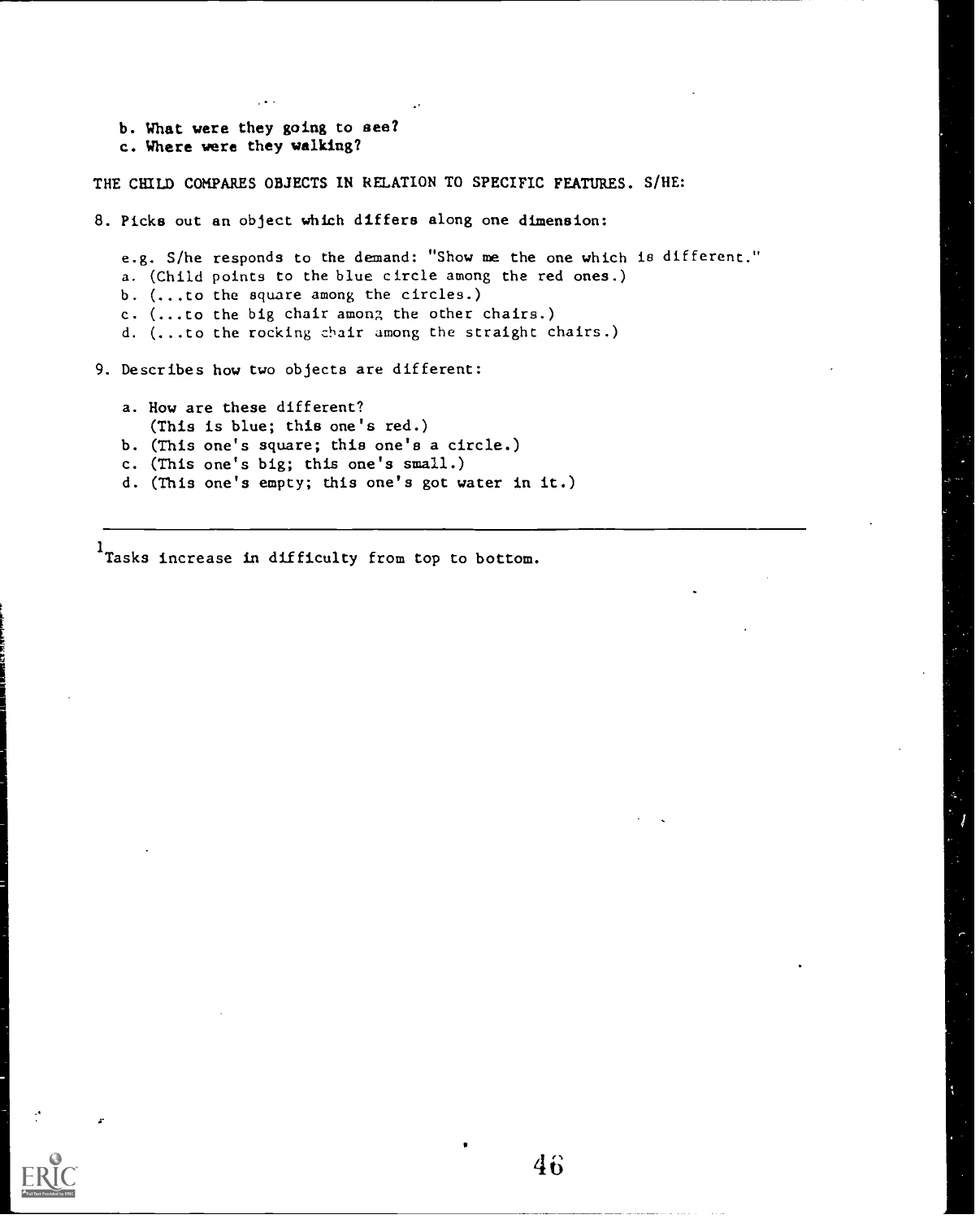- b. What were they going to see?
- c. Where were they walking?

THE CHILD COMPARES OBJECTS IN RELATION TO SPECIFIC FEATURES. S/HE:

8. Picks out an object which differs along one dimension:

e.g. S/he responds to the demand: "Show me the one which is different." a. (Child points to the blue circle among the red ones.) b. (...to the square among the circles.) c. (...to the big chair among the other chairs.) d. (...to the rocking chair among the straight chairs.)

9. Describes how two objects are different:

- a. How are these different?
- (This is blue; this one's red.)
- b. (This one's square; this one's a circle.)
- c. (This one's big; this one's small.)
- d. (This one's empty; this one's got water in it.)

1<br>Tasks increase in difficulty from top to bottom.

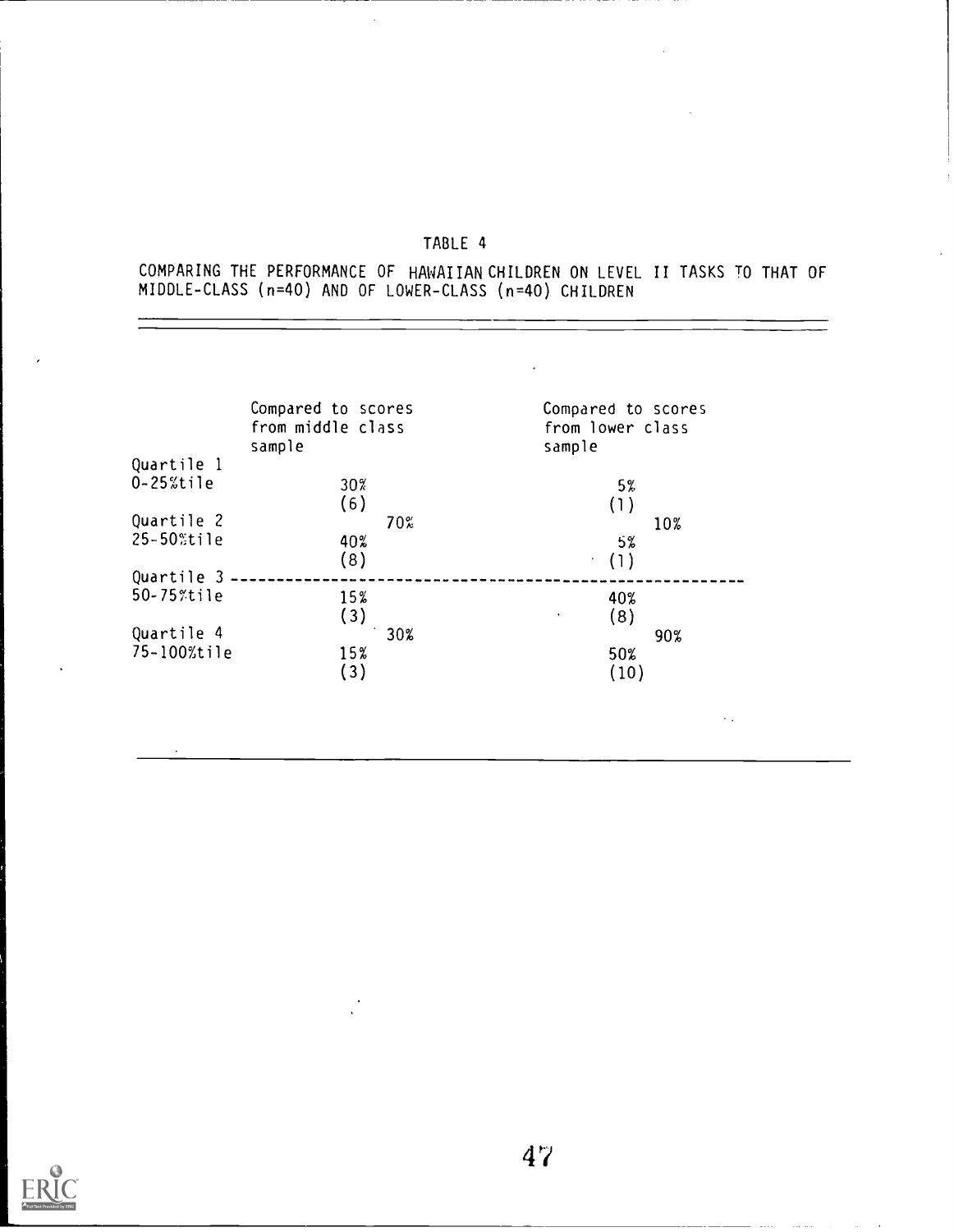$\bar{\beta}$ 

COMPARING THE PERFORMANCE OF HAWAIIAN CHILDREN ON LEVEL II TASKS TO THAT OF MIDDLE-CLASS (n=40) AND OF LOWER-CLASS (n=40) CHILDREN

|                | Compared to scores<br>from middle class<br>sample | Compared to scores<br>from lower class<br>sample |
|----------------|---------------------------------------------------|--------------------------------------------------|
| Quartile 1     |                                                   |                                                  |
| $0 - 25%$ tile | 30%<br>(6)                                        | 5%<br>(1)                                        |
| Quartile 2     | 70%                                               | 10%                                              |
| 25-50%tile     | 40%<br>(8)                                        | 5%<br>(1)<br>÷,                                  |
| Quartile 3     |                                                   |                                                  |
| 50-75%tile     | 15%<br>(3)                                        | 40%<br>(8)<br>$\bullet$                          |
| Quartile 4     | 30%                                               | 90%                                              |
| 75-100%tile    | 15%<br>(3)                                        | 50%<br>(10)                                      |
|                |                                                   | $\sim$ $\sim$                                    |

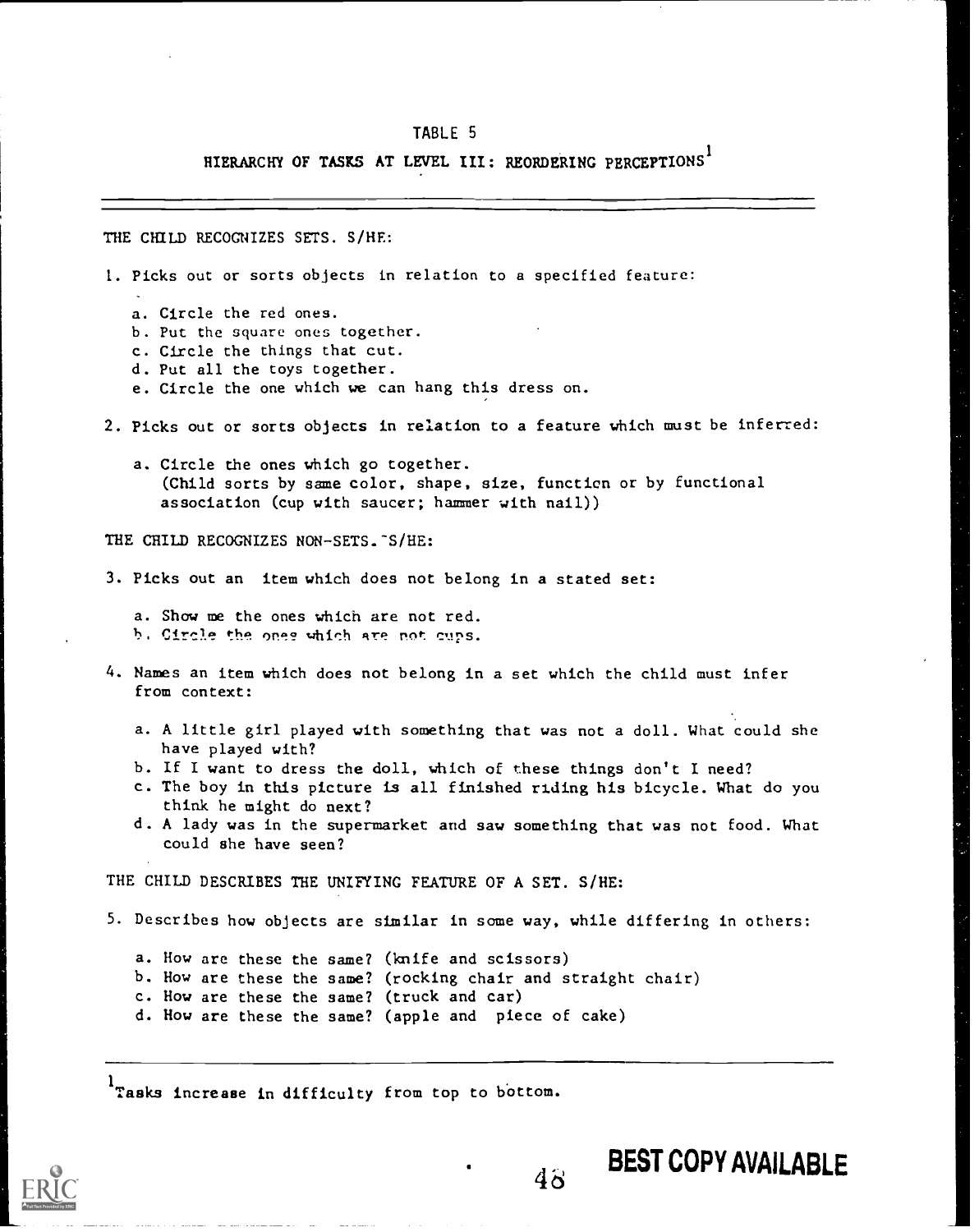## HIERARCHY OF TASKS AT LEVEL III: REORDERING PERCEPTIONS

THE CHILD RECOGNIZES SETS. S/HE:

- 1. Picks out or sorts objects in relation to a specified feature: a. Circle the red ones. b. Put the square ones together. c. Circle the things that cut. d. Put all the toys together. e. Circle the one which we can hang this dress on. 2. Picks out or sorts objects in relation to a feature which must be inferred: a. Circle the ones which go together. (Child sorts by same color, shape, size, function or by functional association (cup with saucer; hammer with nail)) THE CHILD RECOGNIZES NON-SETS. S/HE: 3. Picks out an item which does not belong in a stated set: a. Show me the ones which are not red. b. Circle the ones which are not cups. 4. Names an item which does not belong in a set which the child must infer from context: a. A little girl played with something that was not a doll. What could she have played with? b. If I want to dress the doll, which of these things don't I need? c. The boy in this picture is all finished riding his bicycle. What do you think he might do next? d. A lady was in the supermarket and saw something that was not food. What could she have seen? THE CHILD DESCRIBES THE UNIFYING FEATURE OF A SET. S/HE: 5. Describes how objects are similar in some way, while differing in others: a. How are these the same? (knife and scissors)
	- b. How are these the same? (rocking chair and straight chair)
	- c. How are these the same? (truck and car)
	- d. How are these the same? (apple and piece of cake)

1<sub>Tasks</sub> increase in difficulty from top to bottom.

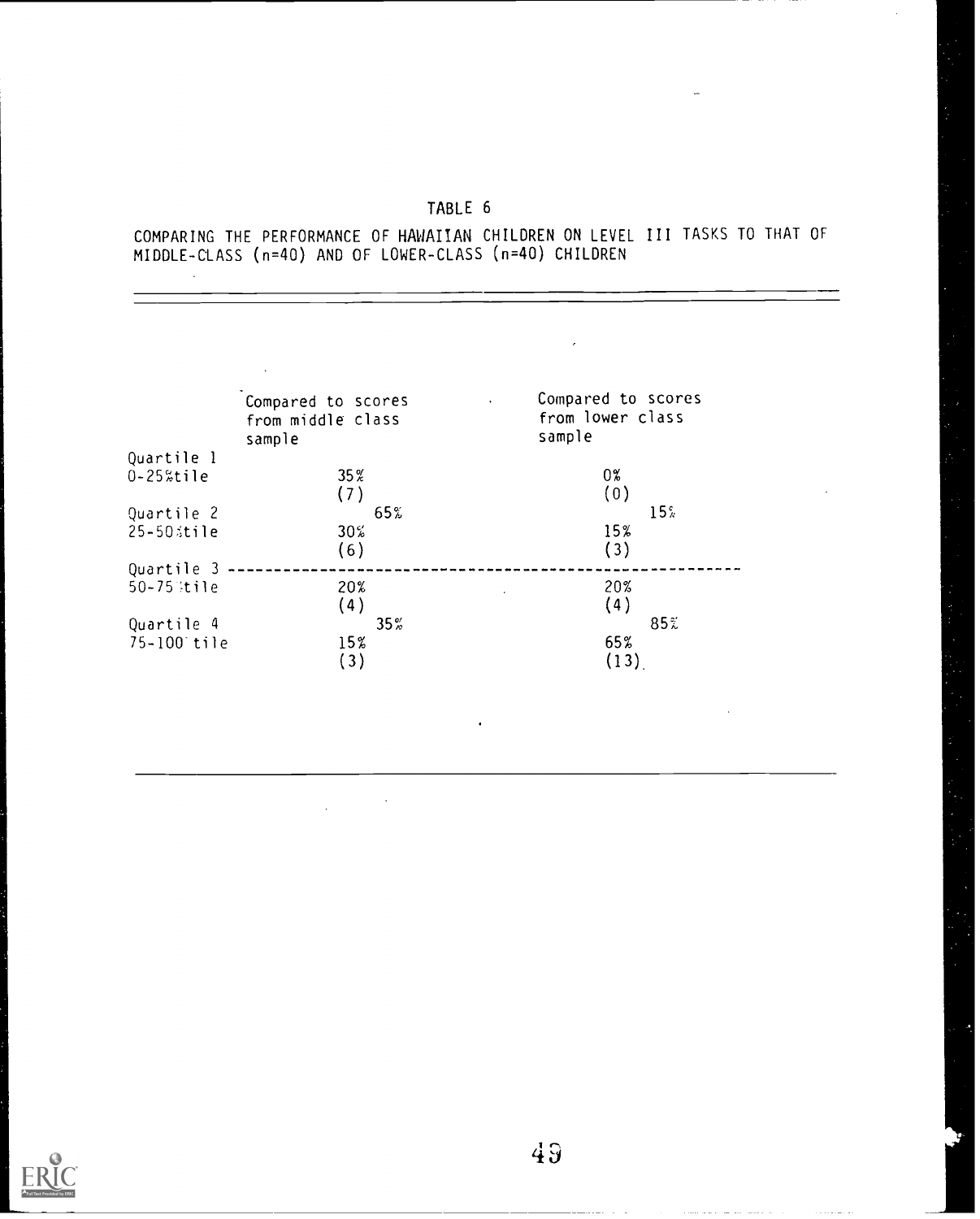COMPARING THE PERFORMANCE OF HAWAIIAN CHILDREN ON LEVEL III TASKS TO THAT OF MIDDLE-CLASS (n=40) AND OF LOWER-CLASS (n=40) CHILDREN

| Compared to scores          | Compared to scores<br>$\ddot{\phantom{1}}$ |
|-----------------------------|--------------------------------------------|
| from middle class<br>sample | from lower class<br>sample                 |
|                             |                                            |
| 35%<br>(7)                  | $0\%$<br>(0)                               |
| 65%                         | 15 <sup>c</sup>                            |
| 30%<br>(6)                  | 15%<br>(3)                                 |
|                             |                                            |
| 20%<br>(4)                  | 20%<br>(4)                                 |
| $35\%$                      | 85%                                        |
| 15%<br>(3)                  | 65%<br>(13)                                |
|                             |                                            |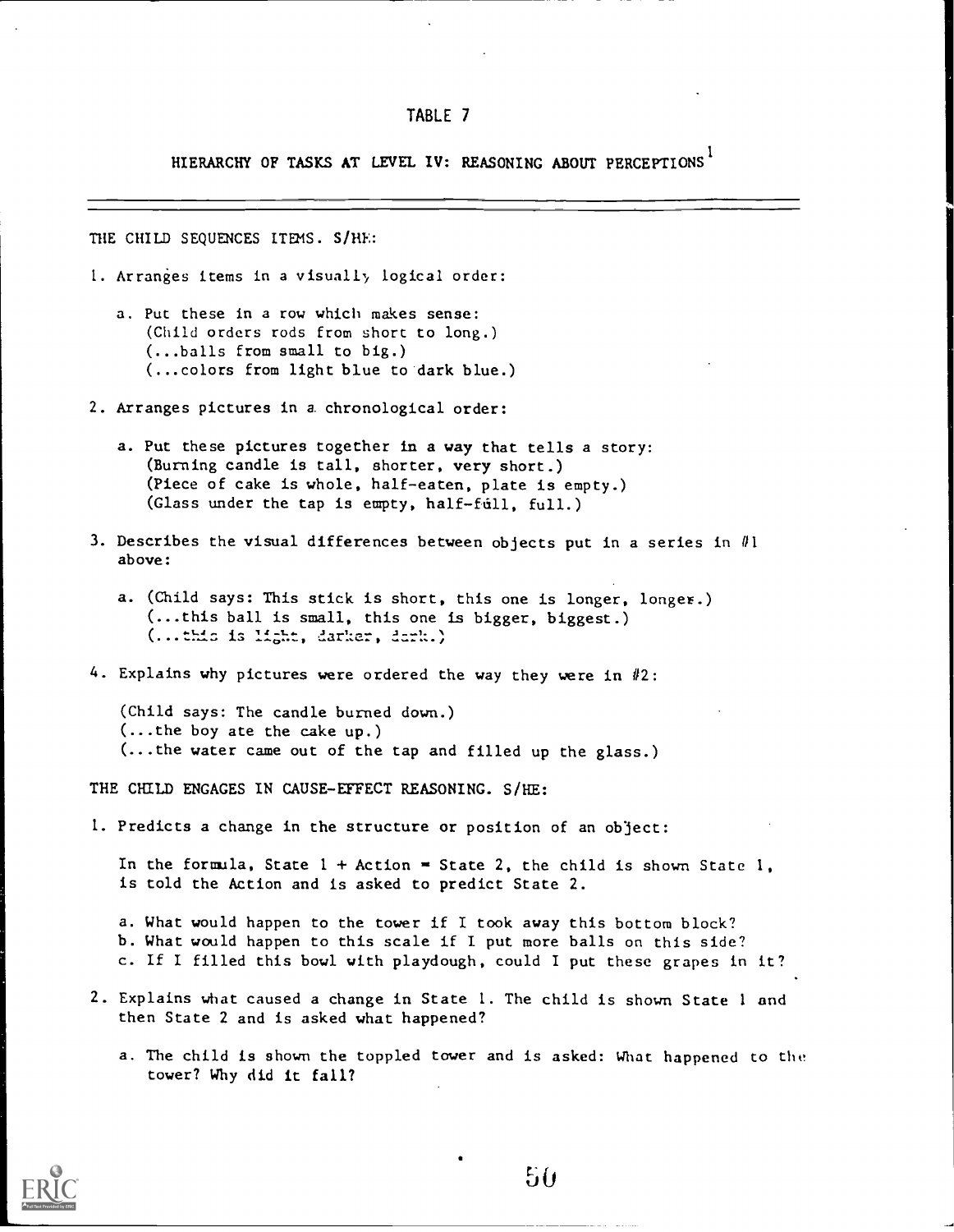HIERARCHY OF TASKS AT LEVEL IV: REASONING ABOUT PERCEPTIONS 1

THE CHILD SEQUENCES ITEMS. S/HE:

- 1. Arranges items in a visually logical order:
	- a. Put these in a row which makes sense: (Child orders rods from short to long.) (...balls from small to big.) (...colors from light blue to 'dark blue.)
- 2. Arranges pictures in a. chronological order:
	- a. Put these pictures together in a way that tells a story: (Burning candle is tall, shorter, very short.) (Piece of cake is whole, half-eaten, plate is empty.) (Glass under the tap is empty, half-full, full.)
- 3. Describes the visual differences between objects put in a series in  $\#1$ above:
	- a. (Child says: This stick is short, this one is longer, longer.) (...this ball is small, this one is bigger, biggest.) (...this is light, darker, dark.)
- 4. Explains why pictures were ordered the way they were in  $#2$ :

(Child says: The candle burned down.) (...the boy ate the cake up.) (...the water came out of the tap and filled up the glass.)

THE CHILD ENGAGES IN CAUSE-EFFECT REASONING. S/HE:

1. Predicts a change in the structure or position of an object:

In the formula, State  $1 +$  Action = State 2, the child is shown State 1, is told the Action and is asked to predict State 2.

a. What would happen to the tower if I took away this bottom block? b. What would happen to this scale if I put more balls on this side? c. If I filled this bowl with playdough, could I put these grapes in it?

- 2. Explains what caused a change in State 1. The child is shown State <sup>1</sup> and then State 2 and is asked what happened?
	- a. The child is shown the toppled tower and is asked: What happened to the tower? Why did it fall?

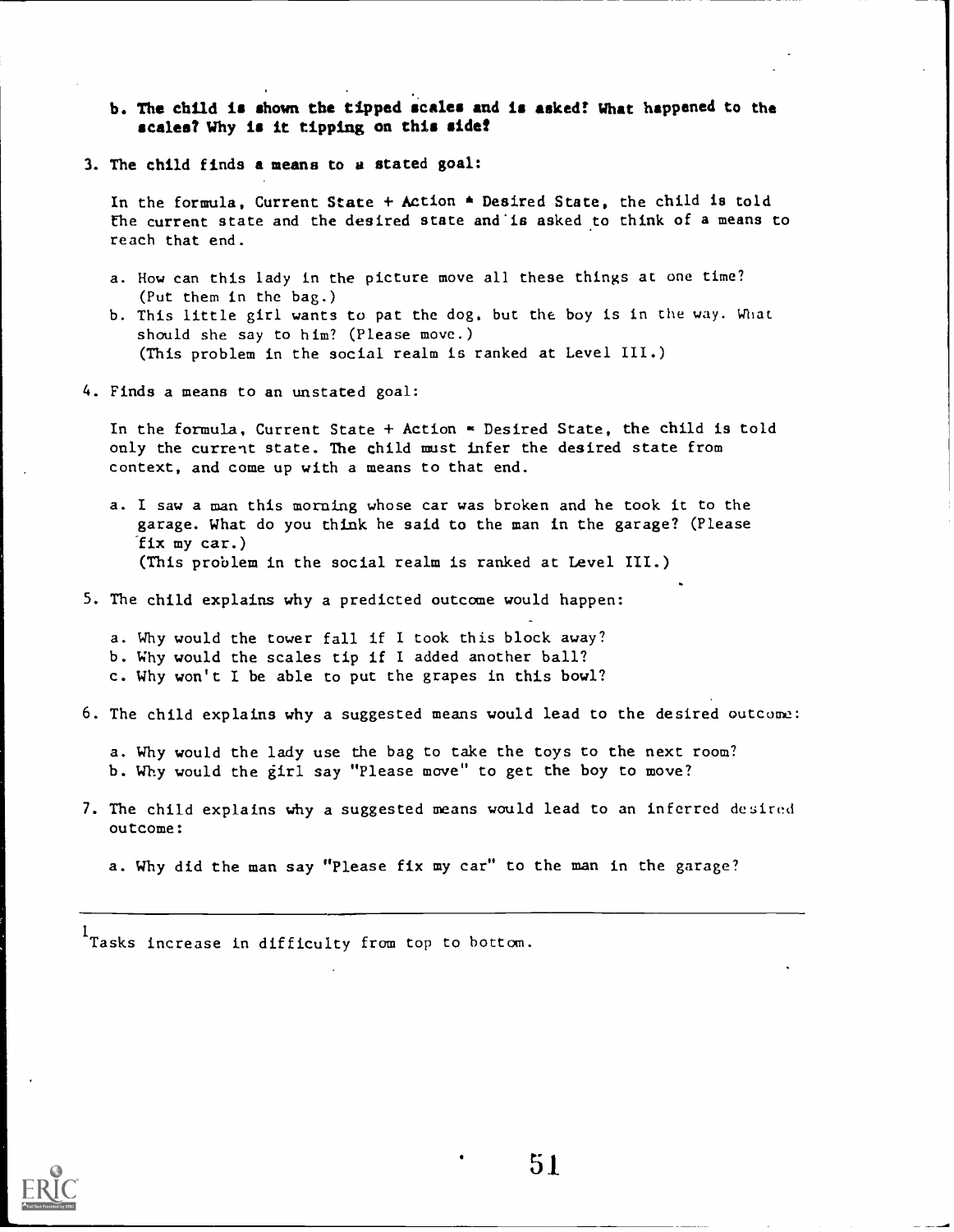#### b. The child is shown the tipped scales and is asked! What happened to the scales? Why is it tipping on this side?

3. The child finds a means to a stated goal:

In the formula, Current State + Action  $*$  Desired State, the child is told the current state and the desired state and'is asked to think of a means to reach that end.

- a. How can this lady in the picture move all these things at one time? (Put them in the bag.)
- b. This little girl wants to pat the dog, but the boy is in the way. What should she say to him? (Please move.) (This problem in the social realm is ranked at Level III.)
- 4. Finds a means to an unstated goal:

In the formula, Current State + Action  $\infty$  Desired State, the child is told only the current state. The child must infer the desired state from context, and come up with a means to that end.

a. I saw a man this morning whose car was broken and he took it to the garage. What do you think he said to the man in the garage? (Please fix my car.) (This problem in the social realm is ranked at Level III.)

5. The child explains why a predicted outcome would happen:

a. Why would the tower fall if I took this block away?

- b. Why would the scales tip if I added another ball?
- c. Why won't I be able to put the grapes in this bowl?
- 6. The child explains why a suggested means would lead to the desired outcome:

a. Why would the lady use the bag to take the toys to the next room? b. Why would the girl say "Please move" to get the boy to move?

7. The child explains why a suggested means would lead to an inferred desired outcome:

a. Why did the man say "Please fix my car" to the man in the garage?

l<br>Tasks increase in difficulty from top to bottom.